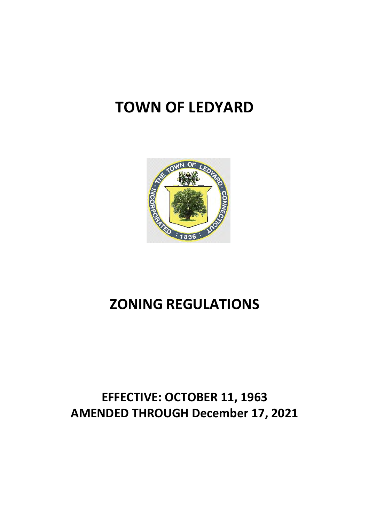# **TOWN OF LEDYARD**



# **ZONING REGULATIONS**

# **EFFECTIVE: OCTOBER 11, 1963 AMENDED THROUGH December 17, 2021**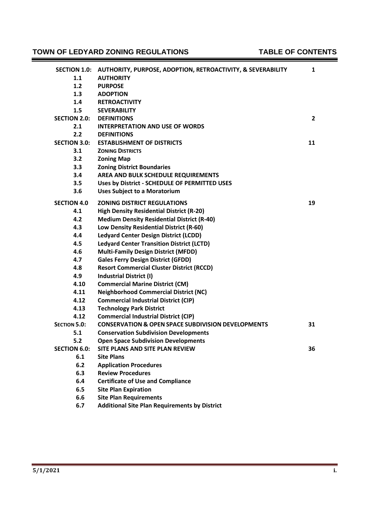# **TOWN OF LEDYARD ZONING REGULATIONS TABLE OF CONTENTS**

Ė

3

| <b>SECTION 1.0:</b> | AUTHORITY, PURPOSE, ADOPTION, RETROACTIVITY, & SEVERABILITY   | 1  |
|---------------------|---------------------------------------------------------------|----|
| 1.1                 | <b>AUTHORITY</b>                                              |    |
| 1.2                 | <b>PURPOSE</b>                                                |    |
| 1.3                 | <b>ADOPTION</b>                                               |    |
| 1.4                 | <b>RETROACTIVITY</b>                                          |    |
| 1.5                 | <b>SEVERABILITY</b>                                           |    |
| <b>SECTION 2.0:</b> | <b>DEFINITIONS</b>                                            | 2  |
| 2.1                 | <b>INTERPRETATION AND USE OF WORDS</b>                        |    |
| 2.2                 | <b>DEFINITIONS</b>                                            |    |
| <b>SECTION 3.0:</b> | <b>ESTABLISHMENT OF DISTRICTS</b>                             | 11 |
| 3.1                 | <b>ZONING DISTRICTS</b>                                       |    |
| 3.2                 | <b>Zoning Map</b>                                             |    |
| 3.3                 | <b>Zoning District Boundaries</b>                             |    |
| 3.4                 | AREA AND BULK SCHEDULE REQUIREMENTS                           |    |
| 3.5                 | Uses by District - SCHEDULE OF PERMITTED USES                 |    |
|                     |                                                               |    |
| 3.6                 | <b>Uses Subject to a Moratorium</b>                           |    |
| <b>SECTION 4.0</b>  | <b>ZONING DISTRICT REGULATIONS</b>                            | 19 |
| 4.1                 | <b>High Density Residential District (R-20)</b>               |    |
| 4.2                 | <b>Medium Density Residential District (R-40)</b>             |    |
| 4.3                 | Low Density Residential District (R-60)                       |    |
| 4.4                 | <b>Ledyard Center Design District (LCDD)</b>                  |    |
| 4.5                 | <b>Ledyard Center Transition District (LCTD)</b>              |    |
| 4.6                 | <b>Multi-Family Design District (MFDD)</b>                    |    |
| 4.7                 | <b>Gales Ferry Design District (GFDD)</b>                     |    |
| 4.8                 | <b>Resort Commercial Cluster District (RCCD)</b>              |    |
| 4.9                 | <b>Industrial District (I)</b>                                |    |
| 4.10                | <b>Commercial Marine District (CM)</b>                        |    |
| 4.11                | <b>Neighborhood Commercial District (NC)</b>                  |    |
| 4.12                | <b>Commercial Industrial District (CIP)</b>                   |    |
| 4.13                | <b>Technology Park District</b>                               |    |
| 4.12                | <b>Commercial Industrial District (CIP)</b>                   |    |
| <b>SECTION 5.0:</b> | <b>CONSERVATION &amp; OPEN SPACE SUBDIVISION DEVELOPMENTS</b> | 31 |
| 5.1                 | <b>Conservation Subdivision Developments</b>                  |    |
| 5.2                 | <b>Open Space Subdivision Developments</b>                    |    |
| <b>SECTION 6.0:</b> | SITE PLANS AND SITE PLAN REVIEW                               | 36 |
| 6.1                 | <b>Site Plans</b>                                             |    |
| 6.2                 | <b>Application Procedures</b>                                 |    |
| 6.3                 | <b>Review Procedures</b>                                      |    |
| 6.4                 | <b>Certificate of Use and Compliance</b>                      |    |
| 6.5                 | <b>Site Plan Expiration</b>                                   |    |
| 6.6                 | <b>Site Plan Requirements</b>                                 |    |
| 6.7                 | <b>Additional Site Plan Requirements by District</b>          |    |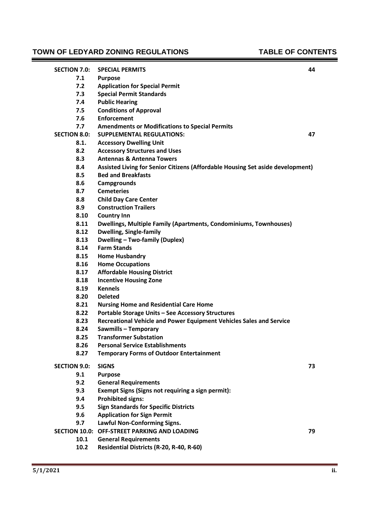# **TOWN OF LEDYARD ZONING REGULATIONS TABLE OF CONTENTS**

 $\blacksquare$ 

3

| <b>SECTION 7.0:</b> | <b>SPECIAL PERMITS</b>                                                         | 44 |
|---------------------|--------------------------------------------------------------------------------|----|
| 7.1                 | <b>Purpose</b>                                                                 |    |
| 7.2                 | <b>Application for Special Permit</b>                                          |    |
| 7.3                 | <b>Special Permit Standards</b>                                                |    |
| 7.4                 | <b>Public Hearing</b>                                                          |    |
| 7.5                 | <b>Conditions of Approval</b>                                                  |    |
| 7.6                 | <b>Enforcement</b>                                                             |    |
| 7.7                 | <b>Amendments or Modifications to Special Permits</b>                          |    |
| <b>SECTION 8.0:</b> | <b>SUPPLEMENTAL REGULATIONS:</b>                                               | 47 |
| 8.1.                | <b>Accessory Dwelling Unit</b>                                                 |    |
| 8.2                 | <b>Accessory Structures and Uses</b>                                           |    |
| 8.3                 | <b>Antennas &amp; Antenna Towers</b>                                           |    |
| 8.4                 | Assisted Living for Senior Citizens (Affordable Housing Set aside development) |    |
| 8.5                 | <b>Bed and Breakfasts</b>                                                      |    |
| 8.6                 | Campgrounds                                                                    |    |
| 8.7                 | <b>Cemeteries</b>                                                              |    |
| 8.8                 | <b>Child Day Care Center</b>                                                   |    |
| 8.9                 | <b>Construction Trailers</b>                                                   |    |
| 8.10                | <b>Country Inn</b>                                                             |    |
| 8.11                | Dwellings, Multiple Family (Apartments, Condominiums, Townhouses)              |    |
| 8.12                | Dwelling, Single-family                                                        |    |
| 8.13                | <b>Dwelling - Two-family (Duplex)</b>                                          |    |
| 8.14                | <b>Farm Stands</b>                                                             |    |
| 8.15                | <b>Home Husbandry</b>                                                          |    |
| 8.16                | <b>Home Occupations</b>                                                        |    |
| 8.17                | <b>Affordable Housing District</b>                                             |    |
| 8.18                | <b>Incentive Housing Zone</b>                                                  |    |
| 8.19                | <b>Kennels</b>                                                                 |    |
| 8.20                | <b>Deleted</b>                                                                 |    |
| 8.21                | <b>Nursing Home and Residential Care Home</b>                                  |    |
| 8.22                | <b>Portable Storage Units - See Accessory Structures</b>                       |    |
| 8.23                | Recreational Vehicle and Power Equipment Vehicles Sales and Service            |    |
| 8.24                | Sawmills - Temporary                                                           |    |
| 8.25                | <b>Transformer Substation</b>                                                  |    |
| 8.26                | <b>Personal Service Establishments</b>                                         |    |
| 8.27                | <b>Temporary Forms of Outdoor Entertainment</b>                                |    |
| <b>SECTION 9.0:</b> | <b>SIGNS</b>                                                                   | 73 |
| 9.1                 | <b>Purpose</b>                                                                 |    |
| 9.2                 | <b>General Requirements</b>                                                    |    |
| 9.3                 | Exempt Signs (Signs not requiring a sign permit):                              |    |
| 9.4                 | <b>Prohibited signs:</b>                                                       |    |
| 9.5                 | <b>Sign Standards for Specific Districts</b>                                   |    |
| 9.6                 | <b>Application for Sign Permit</b>                                             |    |
| 9.7                 | Lawful Non-Conforming Signs.                                                   |    |
|                     | SECTION 10.0: OFF-STREET PARKING AND LOADING                                   | 79 |
| 10.1                | <b>General Requirements</b>                                                    |    |
| 10.2                | Residential Districts (R-20, R-40, R-60)                                       |    |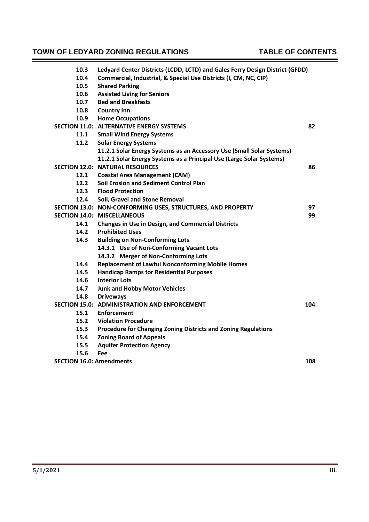#### **TOWN OF LEDYARD ZONING REGULATIONS TABLE OF CONTENTS** E

| 10.3 | Ledyard Center Districts (LCDD, LCTD) and Gales Ferry Design District (GFDD) |     |
|------|------------------------------------------------------------------------------|-----|
| 10.4 | Commercial, Industrial, & Special Use Districts (I, CM, NC, CIP)             |     |
| 10.5 | <b>Shared Parking</b>                                                        |     |
| 10.6 | <b>Assisted Living for Seniors</b>                                           |     |
| 10.7 | <b>Bed and Breakfasts</b>                                                    |     |
| 10.8 | <b>Country Inn</b>                                                           |     |
| 10.9 | <b>Home Occupations</b>                                                      |     |
|      | <b>SECTION 11.0: ALTERNATIVE ENERGY SYSTEMS</b>                              | 82  |
| 11.1 | <b>Small Wind Energy Systems</b>                                             |     |
| 11.2 | <b>Solar Energy Systems</b>                                                  |     |
|      | 11.2.1 Solar Energy Systems as an Accessory Use (Small Solar Systems)        |     |
|      | 11.2.1 Solar Energy Systems as a Principal Use (Large Solar Systems)         |     |
|      | <b>SECTION 12.0: NATURAL RESOURCES</b>                                       | 86  |
| 12.1 | <b>Coastal Area Management (CAM)</b>                                         |     |
| 12.2 | Soil Erosion and Sediment Control Plan                                       |     |
| 12.3 | <b>Flood Protection</b>                                                      |     |
| 12.4 | Soil, Gravel and Stone Removal                                               |     |
|      | SECTION 13.0: NON-CONFORMING USES, STRUCTURES, AND PROPERTY                  | 97  |
|      | <b>SECTION 14.0: MISCELLANEOUS</b>                                           | 99  |
| 14.1 | <b>Changes in Use in Design, and Commercial Districts</b>                    |     |
| 14.2 | <b>Prohibited Uses</b>                                                       |     |
| 14.3 | <b>Building on Non-Conforming Lots</b>                                       |     |
|      | 14.3.1 Use of Non-Conforming Vacant Lots                                     |     |
|      | 14.3.2 Merger of Non-Conforming Lots                                         |     |
| 14.4 | <b>Replacement of Lawful Nonconforming Mobile Homes</b>                      |     |
| 14.5 | <b>Handicap Ramps for Residential Purposes</b>                               |     |
| 14.6 | <b>Interior Lots</b>                                                         |     |
| 14.7 | <b>Junk and Hobby Motor Vehicles</b>                                         |     |
| 14.8 | <b>Driveways</b>                                                             |     |
|      | SECTION 15.0: ADMINISTRATION AND ENFORCEMENT                                 | 104 |
| 15.1 | <b>Enforcement</b>                                                           |     |
| 15.2 | <b>Violation Procedure</b>                                                   |     |
| 15.3 | Procedure for Changing Zoning Districts and Zoning Regulations               |     |
| 15.4 | <b>Zoning Board of Appeals</b>                                               |     |
| 15.5 | <b>Aquifer Protection Agency</b>                                             |     |
| 15.6 | Fee                                                                          |     |
|      | <b>SECTION 16.0: Amendments</b>                                              | 108 |
|      |                                                                              |     |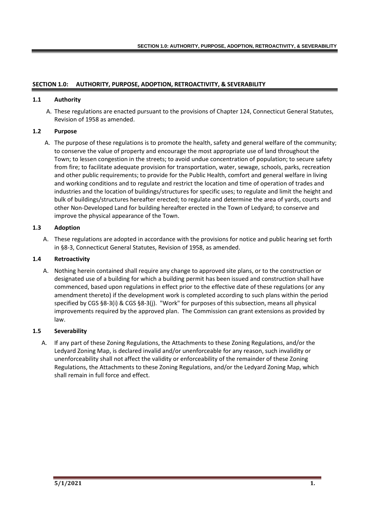# **SECTION 1.0: AUTHORITY, PURPOSE, ADOPTION, RETROACTIVITY, & SEVERABILITY**

#### **1.1 Authority**

A. These regulations are enacted pursuant to the provisions of Chapter 124, Connecticut General Statutes, Revision of 1958 as amended.

#### **1.2 Purpose**

A. The purpose of these regulations is to promote the health, safety and general welfare of the community; to conserve the value of property and encourage the most appropriate use of land throughout the Town; to lessen congestion in the streets; to avoid undue concentration of population; to secure safety from fire; to facilitate adequate provision for transportation, water, sewage, schools, parks, recreation and other public requirements; to provide for the Public Health, comfort and general welfare in living and working conditions and to regulate and restrict the location and time of operation of trades and industries and the location of buildings/structures for specific uses; to regulate and limit the height and bulk of buildings/structures hereafter erected; to regulate and determine the area of yards, courts and other Non-Developed Land for building hereafter erected in the Town of Ledyard; to conserve and improve the physical appearance of the Town.

#### **1.3 Adoption**

A. These regulations are adopted in accordance with the provisions for notice and public hearing set forth in §8-3, Connecticut General Statutes, Revision of 1958, as amended.

#### **1.4 Retroactivity**

A. Nothing herein contained shall require any change to approved site plans, or to the construction or designated use of a building for which a building permit has been issued and construction shall have commenced, based upon regulations in effect prior to the effective date of these regulations (or any amendment thereto) if the development work is completed according to such plans within the period specified by CGS §8-3(i) & CGS §8-3(j). "Work" for purposes of this subsection, means all physical improvements required by the approved plan. The Commission can grant extensions as provided by law.

# **1.5 Severability**

A. If any part of these Zoning Regulations, the Attachments to these Zoning Regulations, and/or the Ledyard Zoning Map, is declared invalid and/or unenforceable for any reason, such invalidity or unenforceability shall not affect the validity or enforceability of the remainder of these Zoning Regulations, the Attachments to these Zoning Regulations, and/or the Ledyard Zoning Map, which shall remain in full force and effect.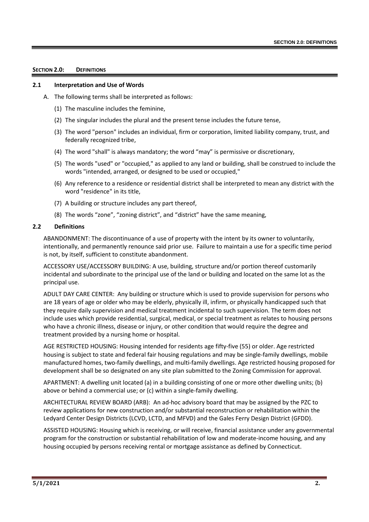#### **SECTION 2.0: DEFINITIONS**

#### **2.1 Interpretation and Use of Words**

- A. The following terms shall be interpreted as follows:
	- (1) The masculine includes the feminine,
	- (2) The singular includes the plural and the present tense includes the future tense,
	- (3) The word "person" includes an individual, firm or corporation, limited liability company, trust, and federally recognized tribe,
	- (4) The word "shall" is always mandatory; the word "may" is permissive or discretionary,
	- (5) The words "used" or "occupied," as applied to any land or building, shall be construed to include the words "intended, arranged, or designed to be used or occupied,"
	- (6) Any reference to a residence or residential district shall be interpreted to mean any district with the word "residence" in its title,
	- (7) A building or structure includes any part thereof,
	- (8) The words "zone", "zoning district", and "district" have the same meaning,

#### **2.2 Definitions**

ABANDONMENT: The discontinuance of a use of property with the intent by its owner to voluntarily, intentionally, and permanently renounce said prior use. Failure to maintain a use for a specific time period is not, by itself, sufficient to constitute abandonment.

ACCESSORY USE/ACCESSORY BUILDING: A use, building, structure and/or portion thereof customarily incidental and subordinate to the principal use of the land or building and located on the same lot as the principal use.

ADULT DAY CARE CENTER: Any building or structure which is used to provide supervision for persons who are 18 years of age or older who may be elderly, physically ill, infirm, or physically handicapped such that they require daily supervision and medical treatment incidental to such supervision. The term does not include uses which provide residential, surgical, medical, or special treatment as relates to housing persons who have a chronic illness, disease or injury, or other condition that would require the degree and treatment provided by a nursing home or hospital.

AGE RESTRICTED HOUSING: Housing intended for residents age fifty-five (55) or older. Age restricted housing is subject to state and federal fair housing regulations and may be single-family dwellings, mobile manufactured homes, two-family dwellings, and multi-family dwellings. Age restricted housing proposed for development shall be so designated on any site plan submitted to the Zoning Commission for approval.

APARTMENT: A dwelling unit located (a) in a building consisting of one or more other dwelling units; (b) above or behind a commercial use; or (c) within a single-family dwelling.

ARCHITECTURAL REVIEW BOARD (ARB): An ad-hoc advisory board that may be assigned by the PZC to review applications for new construction and/or substantial reconstruction or rehabilitation within the Ledyard Center Design Districts (LCVD, LCTD, and MFVD) and the Gales Ferry Design District (GFDD).

ASSISTED HOUSING: Housing which is receiving, or will receive, financial assistance under any governmental program for the construction or substantial rehabilitation of low and moderate-income housing, and any housing occupied by persons receiving rental or mortgage assistance as defined by Connecticut.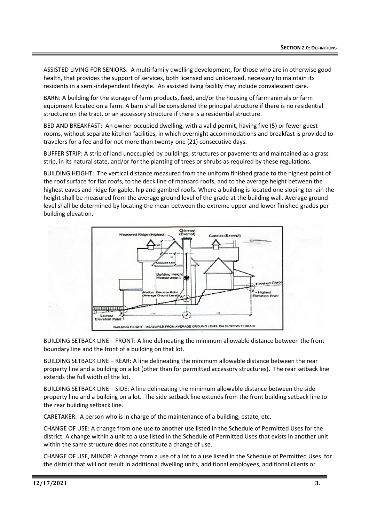ASSISTED LIVING FOR SENIORS: A multi-family dwelling development, for those who are in otherwise good health, that provides the support of services, both licensed and unlicensed, necessary to maintain its residents in a semi-independent lifestyle. An assisted living facility may include convalescent care.

BARN: A building for the storage of farm products, feed, and/or the housing of farm animals or farm equipment located on a farm. A barn shall be considered the principal structure if there is no residential structure on the tract, or an accessory structure if there is a residential structure.

BED AND BREAKFAST: An owner-occupied dwelling, with a valid permit, having five (5) or fewer guest rooms, without separate kitchen facilities, in which overnight accommodations and breakfast is provided to travelers for a fee and for not more than twenty-one (21) consecutive days.

BUFFER STRIP: A strip of land unoccupied by buildings, structures or pavements and maintained as a grass strip, in its natural state, and/or for the planting of trees or shrubs as required by these regulations.

BUILDING HEIGHT: The vertical distance measured from the uniform finished grade to the highest point of the roof surface for flat roofs, to the deck line of mansard roofs, and to the average height between the highest eaves and ridge for gable, hip and gambrel roofs. Where a building is located one sloping terrain the height shall be measured from the average ground level of the grade at the building wall. Average ground level shall be determined by locating the mean between the extreme upper and lower finished grades per building elevation.



BUILDING SETBACK LINE – FRONT: A line delineating the minimum allowable distance between the front boundary line and the front of a building on that lot.

BUILDING SETBACK LINE – REAR: A line delineating the minimum allowable distance between the rear property line and a building on a lot (other than for permitted accessory structures). The rear setback line extends the full width of the lot.

BUILDING SETBACK LINE – SIDE: A line delineating the minimum allowable distance between the side property line and a building on a lot. The side setback line extends from the front building setback line to the rear building setback line.

CARETAKER: A person who is in charge of the maintenance of a building, estate, etc.

CHANGE OF USE: A change from one use to another use listed in the Schedule of Permitted Uses for the district. A change within a unit to a use listed in the Schedule of Permitted Uses that exists in another unit within the same structure does not constitute a change of use.

CHANGE OF USE, MINOR: A change from a use of a lot to a use listed in the Schedule of Permitted Uses for the district that will not result in additional dwelling units, additional employees, additional clients or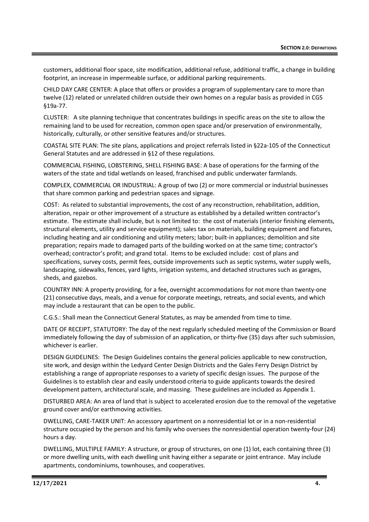customers, additional floor space, site modification, additional refuse, additional traffic, a change in building footprint, an increase in impermeable surface, or additional parking requirements.

CHILD DAY CARE CENTER: A place that offers or provides a program of supplementary care to more than twelve (12) related or unrelated children outside their own homes on a regular basis as provided in CGS §19a-77.

CLUSTER: A site planning technique that concentrates buildings in specific areas on the site to allow the remaining land to be used for recreation, common open space and/or preservation of environmentally, historically, culturally, or other sensitive features and/or structures.

COASTAL SITE PLAN: The site plans, applications and project referrals listed in §22a-105 of the Connecticut General Statutes and are addressed in §12 of these regulations.

COMMERCIAL FISHING, LOBSTERING, SHELL FISHING BASE: A base of operations for the farming of the waters of the state and tidal wetlands on leased, franchised and public underwater farmlands.

COMPLEX, COMMERCIAL OR INDUSTRIAL: A group of two (2) or more commercial or industrial businesses that share common parking and pedestrian spaces and signage.

COST: As related to substantial improvements, the cost of any reconstruction, rehabilitation, addition, alteration, repair or other improvement of a structure as established by a detailed written contractor's estimate. The estimate shall include, but is not limited to: the cost of materials (interior finishing elements, structural elements, utility and service equipment); sales tax on materials, building equipment and fixtures, including heating and air conditioning and utility meters; labor; built-in appliances; demolition and site preparation; repairs made to damaged parts of the building worked on at the same time; contractor's overhead; contractor's profit; and grand total. Items to be excluded include: cost of plans and specifications, survey costs, permit fees, outside improvements such as septic systems, water supply wells, landscaping, sidewalks, fences, yard lights, irrigation systems, and detached structures such as garages, sheds, and gazebos.

COUNTRY INN: A property providing, for a fee, overnight accommodations for not more than twenty-one (21) consecutive days, meals, and a venue for corporate meetings, retreats, and social events, and which may include a restaurant that can be open to the public.

C.G.S.: Shall mean the Connecticut General Statutes, as may be amended from time to time.

DATE OF RECEIPT, STATUTORY: The day of the next regularly scheduled meeting of the Commission or Board immediately following the day of submission of an application, or thirty-five (35) days after such submission, whichever is earlier.

DESIGN GUIDELINES: The Design Guidelines contains the general policies applicable to new construction, site work, and design within the Ledyard Center Design Districts and the Gales Ferry Design District by establishing a range of appropriate responses to a variety of specific design issues. The purpose of the Guidelines is to establish clear and easily understood criteria to guide applicants towards the desired development pattern, architectural scale, and massing. These guidelines are included as Appendix 1.

DISTURBED AREA: An area of land that is subject to accelerated erosion due to the removal of the vegetative ground cover and/or earthmoving activities.

DWELLING, CARE-TAKER UNIT: An accessory apartment on a nonresidential lot or in a non-residential structure occupied by the person and his family who oversees the nonresidential operation twenty-four (24) hours a day.

DWELLING, MULTIPLE FAMILY: A structure, or group of structures, on one (1) lot, each containing three (3) or more dwelling units, with each dwelling unit having either a separate or joint entrance. May include apartments, condominiums, townhouses, and cooperatives.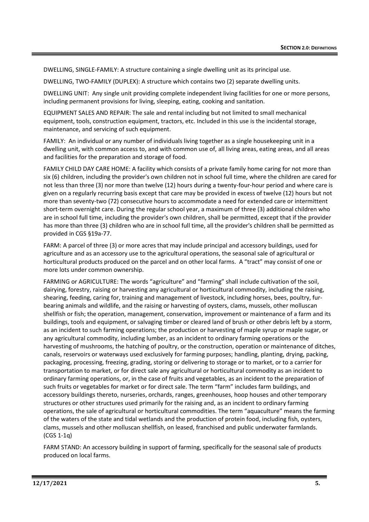DWELLING, SINGLE-FAMILY: A structure containing a single dwelling unit as its principal use.

DWELLING, TWO-FAMILY (DUPLEX): A structure which contains two (2) separate dwelling units.

DWELLING UNIT: Any single unit providing complete independent living facilities for one or more persons, including permanent provisions for living, sleeping, eating, cooking and sanitation.

EQUIPMENT SALES AND REPAIR: The sale and rental including but not limited to small mechanical equipment, tools, construction equipment, tractors, etc. Included in this use is the incidental storage, maintenance, and servicing of such equipment.

FAMILY: An individual or any number of individuals living together as a single housekeeping unit in a dwelling unit, with common access to, and with common use of, all living areas, eating areas, and all areas and facilities for the preparation and storage of food.

FAMILY CHILD DAY CARE HOME: A facility which consists of a private family home caring for not more than six (6) children, including the provider's own children not in school full time, where the children are cared for not less than three (3) nor more than twelve (12) hours during a twenty-four-hour period and where care is given on a regularly recurring basis except that care may be provided in excess of twelve (12) hours but not more than seventy-two (72) consecutive hours to accommodate a need for extended care or intermittent short-term overnight care. During the regular school year, a maximum of three (3) additional children who are in school full time, including the provider's own children, shall be permitted, except that if the provider has more than three (3) children who are in school full time, all the provider's children shall be permitted as provided in CGS §19a-77.

FARM: A parcel of three (3) or more acres that may include principal and accessory buildings, used for agriculture and as an accessory use to the agricultural operations, the seasonal sale of agricultural or horticultural products produced on the parcel and on other local farms. A "tract" may consist of one or more lots under common ownership.

FARMING or AGRICULTURE: The words "agriculture" and "farming" shall include cultivation of the soil, dairying, forestry, raising or harvesting any agricultural or horticultural commodity, including the raising, shearing, feeding, caring for, training and management of livestock, including horses, bees, poultry, furbearing animals and wildlife, and the raising or harvesting of oysters, clams, mussels, other molluscan shellfish or fish; the operation, management, conservation, improvement or maintenance of a farm and its buildings, tools and equipment, or salvaging timber or cleared land of brush or other debris left by a storm, as an incident to such farming operations; the production or harvesting of maple syrup or maple sugar, or any agricultural commodity, including lumber, as an incident to ordinary farming operations or the harvesting of mushrooms, the hatching of poultry, or the construction, operation or maintenance of ditches, canals, reservoirs or waterways used exclusively for farming purposes; handling, planting, drying, packing, packaging, processing, freezing, grading, storing or delivering to storage or to market, or to a carrier for transportation to market, or for direct sale any agricultural or horticultural commodity as an incident to ordinary farming operations, or, in the case of fruits and vegetables, as an incident to the preparation of such fruits or vegetables for market or for direct sale. The term "farm" includes farm buildings, and accessory buildings thereto, nurseries, orchards, ranges, greenhouses, hoop houses and other temporary structures or other structures used primarily for the raising and, as an incident to ordinary farming operations, the sale of agricultural or horticultural commodities. The term "aquaculture" means the farming of the waters of the state and tidal wetlands and the production of protein food, including fish, oysters, clams, mussels and other molluscan shellfish, on leased, franchised and public underwater farmlands. (CGS 1-1q)

FARM STAND: An accessory building in support of farming, specifically for the seasonal sale of products produced on local farms.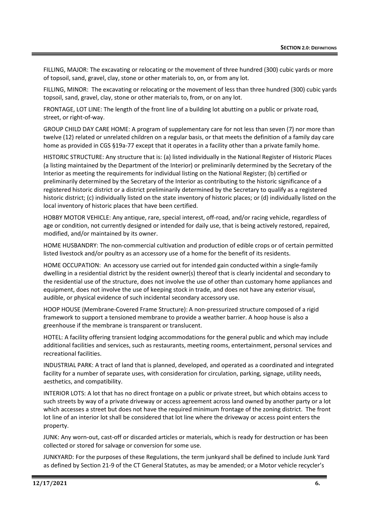FILLING, MAJOR: The excavating or relocating or the movement of three hundred (300) cubic yards or more of topsoil, sand, gravel, clay, stone or other materials to, on, or from any lot.

FILLING, MINOR: The excavating or relocating or the movement of less than three hundred (300) cubic yards topsoil, sand, gravel, clay, stone or other materials to, from, or on any lot.

FRONTAGE, LOT LINE: The length of the front line of a building lot abutting on a public or private road, street, or right-of-way.

GROUP CHILD DAY CARE HOME: A program of supplementary care for not less than seven (7) nor more than twelve (12) related or unrelated children on a regular basis, or that meets the definition of a family day care home as provided in CGS §19a-77 except that it operates in a facility other than a private family home.

HISTORIC STRUCTURE: Any structure that is: (a) listed individually in the National Register of Historic Places (a listing maintained by the Department of the Interior) or preliminarily determined by the Secretary of the Interior as meeting the requirements for individual listing on the National Register; (b) certified or preliminarily determined by the Secretary of the Interior as contributing to the historic significance of a registered historic district or a district preliminarily determined by the Secretary to qualify as a registered historic district; (c) individually listed on the state inventory of historic places; or (d) individually listed on the local inventory of historic places that have been certified.

HOBBY MOTOR VEHICLE: Any antique, rare, special interest, off-road, and/or racing vehicle, regardless of age or condition, not currently designed or intended for daily use, that is being actively restored, repaired, modified, and/or maintained by its owner.

HOME HUSBANDRY: The non-commercial cultivation and production of edible crops or of certain permitted listed livestock and/or poultry as an accessory use of a home for the benefit of its residents.

HOME OCCUPATION: An accessory use carried out for intended gain conducted within a single-family dwelling in a residential district by the resident owner(s) thereof that is clearly incidental and secondary to the residential use of the structure, does not involve the use of other than customary home appliances and equipment, does not involve the use of keeping stock in trade, and does not have any exterior visual, audible, or physical evidence of such incidental secondary accessory use.

HOOP HOUSE (Membrane-Covered Frame Structure): A non-pressurized structure composed of a rigid framework to support a tensioned membrane to provide a weather barrier. A hoop house is also a greenhouse if the membrane is transparent or translucent.

HOTEL: A facility offering transient lodging accommodations for the general public and which may include additional facilities and services, such as restaurants, meeting rooms, entertainment, personal services and recreational facilities.

INDUSTRIAL PARK: A tract of land that is planned, developed, and operated as a coordinated and integrated facility for a number of separate uses, with consideration for circulation, parking, signage, utility needs, aesthetics, and compatibility.

INTERIOR LOTS: A lot that has no direct frontage on a public or private street, but which obtains access to such streets by way of a private driveway or access agreement across land owned by another party or a lot which accesses a street but does not have the required minimum frontage of the zoning district. The front lot line of an interior lot shall be considered that lot line where the driveway or access point enters the property.

JUNK: Any worn-out, cast-off or discarded articles or materials, which is ready for destruction or has been collected or stored for salvage or conversion for some use.

JUNKYARD: For the purposes of these Regulations, the term junkyard shall be defined to include Junk Yard as defined by Section 21-9 of the CT General Statutes, as may be amended; or a Motor vehicle recycler's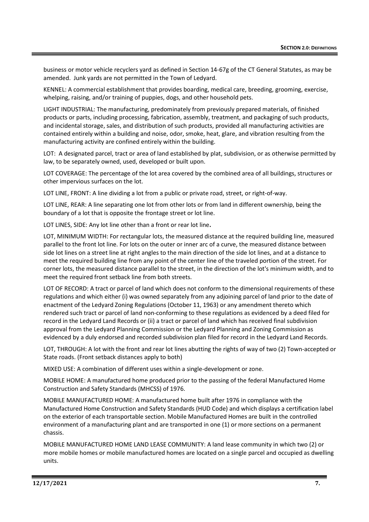business or motor vehicle recyclers yard as defined in Section 14-67g of the CT General Statutes, as may be amended. Junk yards are not permitted in the Town of Ledyard.

KENNEL: A commercial establishment that provides boarding, medical care, breeding, grooming, exercise, whelping, raising, and/or training of puppies, dogs, and other household pets.

LIGHT INDUSTRIAL: The manufacturing, predominately from previously prepared materials, of finished products or parts, including processing, fabrication, assembly, treatment, and packaging of such products, and incidental storage, sales, and distribution of such products, provided all manufacturing activities are contained entirely within a building and noise, odor, smoke, heat, glare, and vibration resulting from the manufacturing activity are confined entirely within the building.

LOT: A designated parcel, tract or area of land established by plat, subdivision, or as otherwise permitted by law, to be separately owned, used, developed or built upon.

LOT COVERAGE: The percentage of the lot area covered by the combined area of all buildings, structures or other impervious surfaces on the lot.

LOT LINE, FRONT: A line dividing a lot from a public or private road, street, or right-of-way.

LOT LINE, REAR: A line separating one lot from other lots or from land in different ownership, being the boundary of a lot that is opposite the frontage street or lot line.

LOT LINES, SIDE: Any lot line other than a front or rear lot line**.**

LOT, MINIMUM WIDTH: For rectangular lots, the measured distance at the required building line, measured parallel to the front lot line. For lots on the outer or inner arc of a curve, the measured distance between side lot lines on a street line at right angles to the main direction of the side lot lines, and at a distance to meet the required building line from any point of the center line of the traveled portion of the street. For corner lots, the measured distance parallel to the street, in the direction of the lot's minimum width, and to meet the required front setback line from both streets.

LOT OF RECORD: A tract or parcel of land which does not conform to the dimensional requirements of these regulations and which either (i) was owned separately from any adjoining parcel of land prior to the date of enactment of the Ledyard Zoning Regulations (October 11, 1963) or any amendment thereto which rendered such tract or parcel of land non-conforming to these regulations as evidenced by a deed filed for record in the Ledyard Land Records or (ii) a tract or parcel of land which has received final subdivision approval from the Ledyard Planning Commission or the Ledyard Planning and Zoning Commission as evidenced by a duly endorsed and recorded subdivision plan filed for record in the Ledyard Land Records.

LOT, THROUGH: A lot with the front and rear lot lines abutting the rights of way of two (2) Town-accepted or State roads. (Front setback distances apply to both)

MIXED USE: A combination of different uses within a single-development or zone.

MOBILE HOME: A manufactured home produced prior to the passing of the federal Manufactured Home Construction and Safety Standards (MHCSS) of 1976.

MOBILE MANUFACTURED HOME: A manufactured home built after 1976 in compliance with the Manufactured Home Construction and Safety Standards (HUD Code) and which displays a certification label on the exterior of each transportable section. Mobile Manufactured Homes are built in the controlled environment of a manufacturing plant and are transported in one (1) or more sections on a permanent chassis.

MOBILE MANUFACTURED HOME LAND LEASE COMMUNITY: A land lease community in which two (2) or more mobile homes or mobile manufactured homes are located on a single parcel and occupied as dwelling units.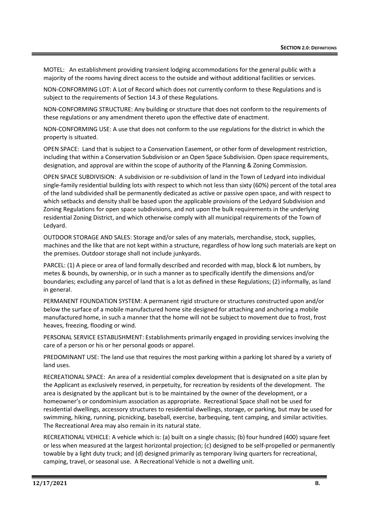MOTEL: An establishment providing transient lodging accommodations for the general public with a majority of the rooms having direct access to the outside and without additional facilities or services.

NON-CONFORMING LOT: A Lot of Record which does not currently conform to these Regulations and is subject to the requirements of Section 14.3 of these Regulations.

NON-CONFORMING STRUCTURE: Any building or structure that does not conform to the requirements of these regulations or any amendment thereto upon the effective date of enactment.

NON-CONFORMING USE: A use that does not conform to the use regulations for the district in which the property is situated.

OPEN SPACE: Land that is subject to a Conservation Easement, or other form of development restriction, including that within a Conservation Subdivision or an Open Space Subdivision. Open space requirements, designation, and approval are within the scope of authority of the Planning & Zoning Commission.

OPEN SPACE SUBDIVISION: A subdivision or re-subdivision of land in the Town of Ledyard into individual single-family residential building lots with respect to which not less than sixty (60%) percent of the total area of the land subdivided shall be permanently dedicated as active or passive open space, and with respect to which setbacks and density shall be based upon the applicable provisions of the Ledyard Subdivision and Zoning Regulations for open space subdivisions, and not upon the bulk requirements in the underlying residential Zoning District, and which otherwise comply with all municipal requirements of the Town of Ledyard.

OUTDOOR STORAGE AND SALES: Storage and/or sales of any materials, merchandise, stock, supplies, machines and the like that are not kept within a structure, regardless of how long such materials are kept on the premises. Outdoor storage shall not include junkyards.

PARCEL: (1) A piece or area of land formally described and recorded with map, block & lot numbers, by metes & bounds, by ownership, or in such a manner as to specifically identify the dimensions and/or boundaries; excluding any parcel of land that is a lot as defined in these Regulations; (2) informally, as land in general.

PERMANENT FOUNDATION SYSTEM: A permanent rigid structure or structures constructed upon and/or below the surface of a mobile manufactured home site designed for attaching and anchoring a mobile manufactured home, in such a manner that the home will not be subject to movement due to frost, frost heaves, freezing, flooding or wind.

PERSONAL SERVICE ESTABLISHMENT: Establishments primarily engaged in providing services involving the care of a person or his or her personal goods or apparel.

PREDOMINANT USE: The land use that requires the most parking within a parking lot shared by a variety of land uses.

RECREATIONAL SPACE: An area of a residential complex development that is designated on a site plan by the Applicant as exclusively reserved, in perpetuity, for recreation by residents of the development. The area is designated by the applicant but is to be maintained by the owner of the development, or a homeowner's or condominium association as appropriate. Recreational Space shall not be used for residential dwellings, accessory structures to residential dwellings, storage, or parking, but may be used for swimming, hiking, running, picnicking, baseball, exercise, barbequing, tent camping, and similar activities. The Recreational Area may also remain in its natural state.

RECREATIONAL VEHICLE: A vehicle which is: (a) built on a single chassis; (b) four hundred (400) square feet or less when measured at the largest horizontal projection; (c) designed to be self-propelled or permanently towable by a light duty truck; and (d) designed primarily as temporary living quarters for recreational, camping, travel, or seasonal use. A Recreational Vehicle is not a dwelling unit.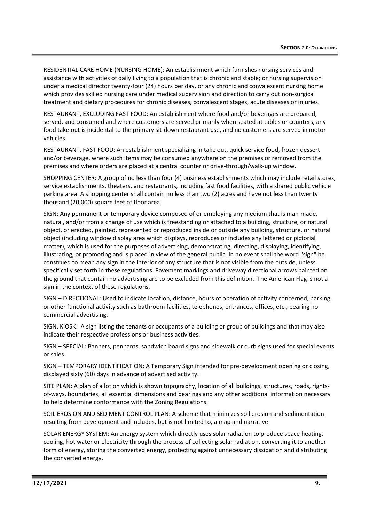RESIDENTIAL CARE HOME (NURSING HOME): An establishment which furnishes nursing services and assistance with activities of daily living to a population that is chronic and stable; or nursing supervision under a medical director twenty-four (24) hours per day, or any chronic and convalescent nursing home which provides skilled nursing care under medical supervision and direction to carry out non-surgical treatment and dietary procedures for chronic diseases, convalescent stages, acute diseases or injuries.

RESTAURANT, EXCLUDING FAST FOOD: An establishment where food and/or beverages are prepared, served, and consumed and where customers are served primarily when seated at tables or counters, any food take out is incidental to the primary sit-down restaurant use, and no customers are served in motor vehicles.

RESTAURANT, FAST FOOD: An establishment specializing in take out, quick service food, frozen dessert and/or beverage, where such items may be consumed anywhere on the premises or removed from the premises and where orders are placed at a central counter or drive-through/walk-up window.

SHOPPING CENTER: A group of no less than four (4) business establishments which may include retail stores, service establishments, theaters, and restaurants, including fast food facilities, with a shared public vehicle parking area. A shopping center shall contain no less than two (2) acres and have not less than twenty thousand (20,000) square feet of floor area.

SIGN: Any permanent or temporary device composed of or employing any medium that is man-made, natural, and/or from a change of use which is freestanding or attached to a building, structure, or natural object, or erected, painted, represented or reproduced inside or outside any building, structure, or natural object (including window display area which displays, reproduces or includes any lettered or pictorial matter), which is used for the purposes of advertising, demonstrating, directing, displaying, identifying, illustrating, or promoting and is placed in view of the general public. In no event shall the word "sign" be construed to mean any sign in the interior of any structure that is not visible from the outside, unless specifically set forth in these regulations. Pavement markings and driveway directional arrows painted on the ground that contain no advertising are to be excluded from this definition. The American Flag is not a sign in the context of these regulations.

SIGN – DIRECTIONAL: Used to indicate location, distance, hours of operation of activity concerned, parking, or other functional activity such as bathroom facilities, telephones, entrances, offices, etc., bearing no commercial advertising.

SIGN, KIOSK: A sign listing the tenants or occupants of a building or group of buildings and that may also indicate their respective professions or business activities.

SIGN – SPECIAL: Banners, pennants, sandwich board signs and sidewalk or curb signs used for special events or sales.

SIGN – TEMPORARY IDENTIFICATION: A Temporary Sign intended for pre-development opening or closing, displayed sixty (60) days in advance of advertised activity.

SITE PLAN: A plan of a lot on which is shown topography, location of all buildings, structures, roads, rightsof-ways, boundaries, all essential dimensions and bearings and any other additional information necessary to help determine conformance with the Zoning Regulations.

SOIL EROSION AND SEDIMENT CONTROL PLAN: A scheme that minimizes soil erosion and sedimentation resulting from development and includes, but is not limited to, a map and narrative.

SOLAR ENERGY SYSTEM: An energy system which directly uses solar radiation to produce space heating, cooling, hot water or electricity through the process of collecting solar radiation, converting it to another form of energy, storing the converted energy, protecting against unnecessary dissipation and distributing the converted energy.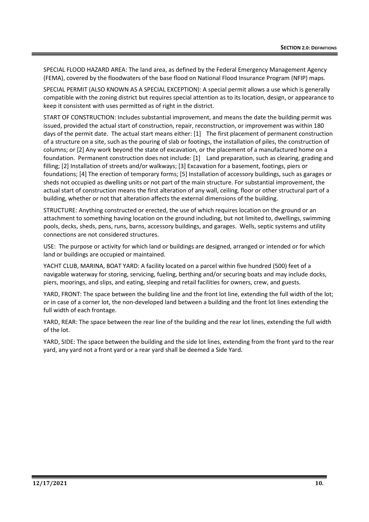SPECIAL FLOOD HAZARD AREA: The land area, as defined by the Federal Emergency Management Agency (FEMA), covered by the floodwaters of the base flood on National Flood Insurance Program (NFIP) maps.

SPECIAL PERMIT (ALSO KNOWN AS A SPECIAL EXCEPTION): A special permit allows a use which is generally compatible with the zoning district but requires special attention as to its location, design, or appearance to keep it consistent with uses permitted as of right in the district.

START OF CONSTRUCTION: Includes substantial improvement, and means the date the building permit was issued, provided the actual start of construction, repair, reconstruction, or improvement was within 180 days of the permit date. The actual start means either: [1] The first placement of permanent construction of a structure on a site, such as the pouring of slab or footings, the installation of piles, the construction of columns; or [2] Any work beyond the state of excavation, or the placement of a manufactured home on a foundation. Permanent construction does not include: [1] Land preparation, such as clearing, grading and filling; [2] Installation of streets and/or walkways; [3] Excavation for a basement, footings, piers or foundations; [4] The erection of temporary forms; [5] Installation of accessory buildings, such as garages or sheds not occupied as dwelling units or not part of the main structure. For substantial improvement, the actual start of construction means the first alteration of any wall, ceiling, floor or other structural part of a building, whether or not that alteration affects the external dimensions of the building.

STRUCTURE: Anything constructed or erected, the use of which requires location on the ground or an attachment to something having location on the ground including, but not limited to, dwellings, swimming pools, decks, sheds, pens, runs, barns, accessory buildings, and garages. Wells, septic systems and utility connections are not considered structures.

USE: The purpose or activity for which land or buildings are designed, arranged or intended or for which land or buildings are occupied or maintained.

YACHT CLUB, MARINA, BOAT YARD: A facility located on a parcel within five hundred (500) feet of a navigable waterway for storing, servicing, fueling, berthing and/or securing boats and may include docks, piers, moorings, and slips, and eating, sleeping and retail facilities for owners, crew, and guests.

YARD, FRONT: The space between the building line and the front lot line, extending the full width of the lot; or in case of a corner lot, the non-developed land between a building and the front lot lines extending the full width of each frontage.

YARD, REAR: The space between the rear line of the building and the rear lot lines, extending the full width of the lot.

YARD, SIDE: The space between the building and the side lot lines, extending from the front yard to the rear yard, any yard not a front yard or a rear yard shall be deemed a Side Yard.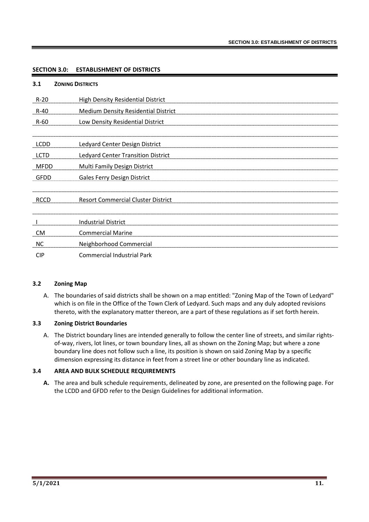#### **SECTION 3.0: ESTABLISHMENT OF DISTRICTS**

| 3.1         | <b>ZONING DISTRICTS</b>                    |
|-------------|--------------------------------------------|
| $R-20$      | <b>High Density Residential District</b>   |
| $R-40$      | <b>Medium Density Residential District</b> |
| $R-60$      | Low Density Residential District           |
|             |                                            |
| <b>LCDD</b> | <b>Ledyard Center Design District</b>      |
| <b>LCTD</b> | <b>Ledyard Center Transition District</b>  |
| <b>MFDD</b> | Multi Family Design District               |
| <b>GFDD</b> | Gales Ferry Design District                |
| <b>RCCD</b> | <b>Resort Commercial Cluster District</b>  |
|             | <b>Industrial District</b>                 |
| <b>CM</b>   | <b>Commercial Marine</b>                   |
| <b>NC</b>   | <b>Neighborhood Commercial</b>             |
| <b>CIP</b>  | <b>Commercial Industrial Park</b>          |

#### **3.2 Zoning Map**

A. The boundaries of said districts shall be shown on a map entitled: "Zoning Map of the Town of Ledyard" which is on file in the Office of the Town Clerk of Ledyard. Such maps and any duly adopted revisions thereto, with the explanatory matter thereon, are a part of these regulations as if set forth herein.

#### **3.3 Zoning District Boundaries**

A. The District boundary lines are intended generally to follow the center line of streets, and similar rightsof-way, rivers, lot lines, or town boundary lines, all as shown on the Zoning Map; but where a zone boundary line does not follow such a line, its position is shown on said Zoning Map by a specific dimension expressing its distance in feet from a street line or other boundary line as indicated.

#### **3.4 AREA AND BULK SCHEDULE REQUIREMENTS**

**A.** The area and bulk schedule requirements, delineated by zone, are presented on the following page. For the LCDD and GFDD refer to the Design Guidelines for additional information.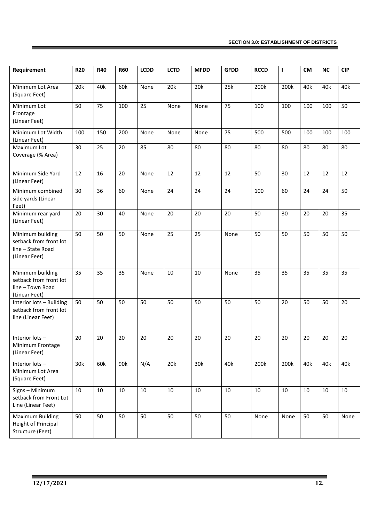| Requirement                                                                      | <b>R20</b> | <b>R40</b> | <b>R60</b> | <b>LCDD</b> | <b>LCTD</b> | <b>MFDD</b> | <b>GFDD</b> | <b>RCCD</b> | $\mathbf{I}$ | <b>CM</b> | <b>NC</b> | <b>CIP</b> |
|----------------------------------------------------------------------------------|------------|------------|------------|-------------|-------------|-------------|-------------|-------------|--------------|-----------|-----------|------------|
| Minimum Lot Area<br>(Square Feet)                                                | 20k        | 40k        | 60k        | None        | 20k         | 20k         | 25k         | 200k        | 200k         | 40k       | 40k       | 40k        |
| Minimum Lot<br>Frontage<br>(Linear Feet)                                         | 50         | 75         | 100        | 25          | None        | None        | 75          | 100         | 100          | 100       | 100       | 50         |
| Minimum Lot Width<br>(Linear Feet)                                               | 100        | 150        | 200        | None        | None        | None        | 75          | 500         | 500          | 100       | 100       | 100        |
| Maximum Lot<br>Coverage (% Area)                                                 | 30         | 25         | 20         | 85          | 80          | 80          | 80          | 80          | 80           | 80        | 80        | 80         |
| Minimum Side Yard<br>(Linear Feet)                                               | 12         | 16         | 20         | None        | 12          | 12          | 12          | 50          | 30           | 12        | 12        | 12         |
| Minimum combined<br>side yards (Linear<br>Feet)                                  | 30         | 36         | 60         | None        | 24          | 24          | 24          | 100         | 60           | 24        | 24        | 50         |
| Minimum rear yard<br>(Linear Feet)                                               | 20         | 30         | 40         | None        | 20          | 20          | 20          | 50          | 30           | 20        | 20        | 35         |
| Minimum building<br>setback from front lot<br>line - State Road<br>(Linear Feet) | 50         | 50         | 50         | None        | 25          | 25          | None        | 50          | 50           | 50        | 50        | 50         |
| Minimum building<br>setback from front lot<br>line - Town Road<br>(Linear Feet)  | 35         | 35         | 35         | None        | 10          | 10          | None        | 35          | 35           | 35        | 35        | 35         |
| Interior lots - Building<br>setback from front lot<br>line (Linear Feet)         | 50         | 50         | 50         | 50          | 50          | 50          | 50          | 50          | 20           | 50        | 50        | 20         |
| Interior lots-<br>Minimum Frontage<br>(Linear Feet)                              | 20         | 20         | 20         | 20          | 20          | 20          | 20          | 20          | 20           | 20        | 20        | 20         |
| Interior lots-<br>Minimum Lot Area<br>(Square Feet)                              | 30k        | 60k        | 90k        | N/A         | 20k         | 30k         | 40k         | 200k        | 200k         | 40k       | 40k       | 40k        |
| Signs - Minimum<br>setback from Front Lot<br>Line (Linear Feet)                  | 10         | 10         | 10         | $10\,$      | $10\,$      | 10          | $10\,$      | 10          | 10           | 10        | 10        | $10\,$     |
| Maximum Building<br>Height of Principal<br>Structure (Feet)                      | 50         | 50         | 50         | 50          | 50          | 50          | 50          | None        | None         | 50        | 50        | None       |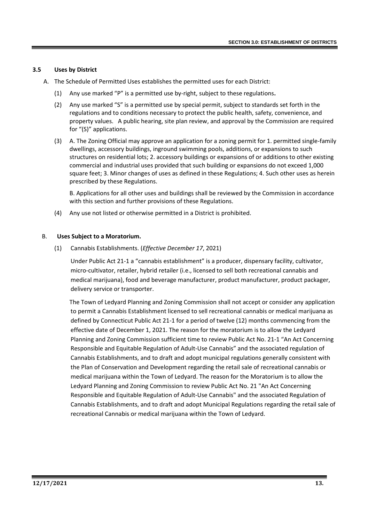#### **3.5 Uses by District**

- A. The Schedule of Permitted Uses establishes the permitted uses for each District:
	- (1) Any use marked "P" is a permitted use by-right, subject to these regulations**.**
	- (2) Any use marked "S" is a permitted use by special permit, subject to standards set forth in the regulations and to conditions necessary to protect the public health, safety, convenience, and property values. A public hearing, site plan review, and approval by the Commission are required for "(S)" applications.
	- (3) A. The Zoning Official may approve an application for a zoning permit for 1. permitted single-family dwellings, accessory buildings, inground swimming pools, additions, or expansions to such structures on residential lots; 2. accessory buildings or expansions of or additions to other existing commercial and industrial uses provided that such building or expansions do not exceed 1,000 square feet; 3. Minor changes of uses as defined in these Regulations; 4. Such other uses as herein prescribed by these Regulations.

B. Applications for all other uses and buildings shall be reviewed by the Commission in accordance with this section and further provisions of these Regulations.

(4) Any use not listed or otherwise permitted in a District is prohibited.

#### B. **Uses Subject to a Moratorium.**

(1) Cannabis Establishments. (*Effective December 17*, 2021)

Under Public Act 21-1 a "cannabis establishment" is a producer, dispensary facility, cultivator, micro-cultivator, retailer, hybrid retailer (i.e., licensed to sell both recreational cannabis and medical marijuana), food and beverage manufacturer, product manufacturer, product packager, delivery service or transporter.

The Town of Ledyard Planning and Zoning Commission shall not accept or consider any application to permit a Cannabis Establishment licensed to sell recreational cannabis or medical marijuana as defined by Connecticut Public Act 21-1 for a period of twelve (12) months commencing from the effective date of December 1, 2021. The reason for the moratorium is to allow the Ledyard Planning and Zoning Commission sufficient time to review Public Act No. 21-1 "An Act Concerning Responsible and Equitable Regulation of Adult-Use Cannabis" and the associated regulation of Cannabis Establishments, and to draft and adopt municipal regulations generally consistent with the Plan of Conservation and Development regarding the retail sale of recreational cannabis or medical marijuana within the Town of Ledyard. The reason for the Moratorium is to allow the Ledyard Planning and Zoning Commission to review Public Act No. 21 "An Act Concerning Responsible and Equitable Regulation of Adult-Use Cannabis" and the associated Regulation of Cannabis Establishments, and to draft and adopt Municipal Regulations regarding the retail sale of recreational Cannabis or medical marijuana within the Town of Ledyard.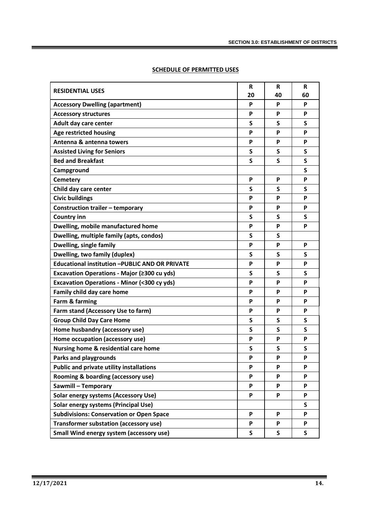|                                                       | R  | R  | R  |
|-------------------------------------------------------|----|----|----|
| <b>RESIDENTIAL USES</b>                               | 20 | 40 | 60 |
| <b>Accessory Dwelling (apartment)</b>                 | P  | P  | P  |
| <b>Accessory structures</b>                           | P  | P  | P  |
| Adult day care center                                 | S  | S  | S  |
| <b>Age restricted housing</b>                         | P  | P  | P  |
| Antenna & antenna towers                              | P  | P  | P  |
| <b>Assisted Living for Seniors</b>                    | S  | S  | S  |
| <b>Bed and Breakfast</b>                              | S  | S  | S  |
| Campground                                            |    |    | S  |
| <b>Cemetery</b>                                       | P  | P  | P  |
| Child day care center                                 | S  | S  | S  |
| <b>Civic buildings</b>                                | P  | P  | P  |
| Construction trailer - temporary                      | P  | P  | P  |
| <b>Country inn</b>                                    | S  | S  | S  |
| Dwelling, mobile manufactured home                    | P  | P  | P  |
| Dwelling, multiple family (apts, condos)              | S  | S  |    |
| Dwelling, single family                               | P  | P  | P  |
| <b>Dwelling, two family (duplex)</b>                  | S  | S  | S  |
| Educational institution -PUBLIC AND OR PRIVATE        | P  | P  | P  |
| Excavation Operations - Major (≥300 cu yds)           | S  | S  | S  |
| <b>Excavation Operations - Minor (&lt;300 cy yds)</b> | P  | P  | P  |
| Family child day care home                            | P  | P  | P  |
| Farm & farming                                        | P  | P  | P  |
| Farm stand (Accessory Use to farm)                    | P  | P  | P  |
| <b>Group Child Day Care Home</b>                      | S  | S  | S  |
| Home husbandry (accessory use)                        | S  | S  | S  |
| Home occupation (accessory use)                       | P  | P  | P  |
| Nursing home & residential care home                  | S  | S  | S  |
| <b>Parks and playgrounds</b>                          | P  | P  | P  |
| <b>Public and private utility installations</b>       | P  | P  | P  |
| Rooming & boarding (accessory use)                    | P  | P  | P  |
| Sawmill - Temporary                                   | P  | P  | P  |
| <b>Solar energy systems (Accessory Use)</b>           | P  | P  | P  |
| Solar energy systems (Principal Use)                  |    |    | S  |
| <b>Subdivisions: Conservation or Open Space</b>       | P  | P  | P  |
| Transformer substation (accessory use)                | P  | P  | P  |
| Small Wind energy system (accessory use)              | S  | S  | S  |

#### **SCHEDULE OF PERMITTED USES**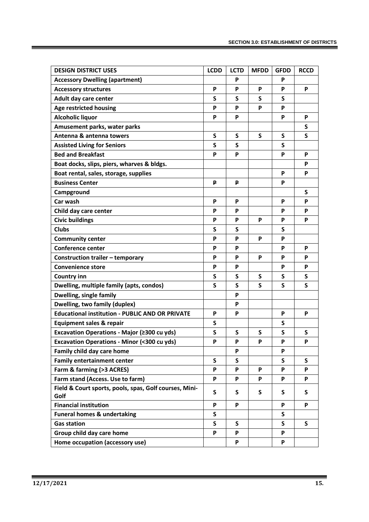| <b>DESIGN DISTRICT USES</b>                            | <b>LCDD</b> | <b>LCTD</b> | <b>MFDD</b> | <b>GFDD</b> | <b>RCCD</b> |
|--------------------------------------------------------|-------------|-------------|-------------|-------------|-------------|
| <b>Accessory Dwelling (apartment)</b>                  |             | P           |             | P           |             |
| <b>Accessory structures</b>                            | P           | P           | P           | P           | P           |
| Adult day care center                                  | S           | S           | S           | S           |             |
| <b>Age restricted housing</b>                          | P           | P           | P           | P           |             |
| <b>Alcoholic liquor</b>                                | P           | P           |             | P           | P           |
| Amusement parks, water parks                           |             |             |             |             | S           |
| Antenna & antenna towers                               | S           | $\mathsf S$ | S           | S           | S           |
| <b>Assisted Living for Seniors</b>                     | S           | S           |             | S           |             |
| <b>Bed and Breakfast</b>                               | P           | P           |             | P           | P           |
| Boat docks, slips, piers, wharves & bldgs.             |             |             |             |             | P           |
| Boat rental, sales, storage, supplies                  |             |             |             | P           | P           |
| <b>Business Center</b>                                 | ₽           | ₽           |             | P           |             |
| Campground                                             |             |             |             |             | S           |
| Car wash                                               | P           | P           |             | P           | P           |
| Child day care center                                  | P           | P           |             | P           | P           |
| <b>Civic buildings</b>                                 | P           | P           | P           | P           | P           |
| <b>Clubs</b>                                           | S           | S           |             | S           |             |
| <b>Community center</b>                                | P           | P           | P           | P           |             |
| <b>Conference center</b>                               | P           | P           |             | P           | P           |
| <b>Construction trailer - temporary</b>                | P           | P           | P           | P           | P           |
| <b>Convenience store</b>                               | P           | P           |             | P           | P           |
| <b>Country inn</b>                                     | S           | S           | S           | S           | S           |
| Dwelling, multiple family (apts, condos)               | S           | S           | S           | S           | S           |
| Dwelling, single family                                |             | P           |             |             |             |
| <b>Dwelling, two family (duplex)</b>                   |             | P           |             |             |             |
| <b>Educational institution - PUBLIC AND OR PRIVATE</b> | P           | P           |             | P           | P           |
| <b>Equipment sales &amp; repair</b>                    | S           |             |             | S           |             |
| Excavation Operations - Major (≥300 cu yds)            | S           | S           | S           | S           | S           |
| <b>Excavation Operations - Minor (&lt;300 cu yds)</b>  | P           | P           | P           | P           | P           |
| Family child day care home                             |             | P           |             | P           |             |
| <b>Family entertainment center</b>                     | S           | S           |             | S           | S           |
| Farm & farming (>3 ACRES)                              | P           | P           | P           | P           | P           |
| Farm stand (Access. Use to farm)                       | P           | P           | P           | P           | P           |
| Field & Court sports, pools, spas, Golf courses, Mini- | S           | S           | S           | S           | S           |
| Golf                                                   |             |             |             |             |             |
| <b>Financial institution</b>                           | P           | P           |             | P           | P           |
| <b>Funeral homes &amp; undertaking</b>                 | S           |             |             | S           |             |
| <b>Gas station</b>                                     | S           | S           |             | S.          | S           |
| Group child day care home                              | P           | P           |             | P           |             |
| Home occupation (accessory use)                        |             | P           |             | P           |             |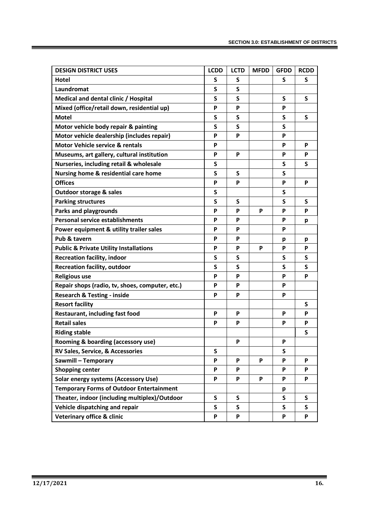| <b>DESIGN DISTRICT USES</b>                       | <b>LCDD</b> | <b>LCTD</b> | <b>MFDD</b> | <b>GFDD</b> | <b>RCDD</b> |
|---------------------------------------------------|-------------|-------------|-------------|-------------|-------------|
| <b>Hotel</b>                                      | S           | S           |             | S           | S           |
| Laundromat                                        | S           | S           |             |             |             |
| Medical and dental clinic / Hospital              | S           | S           |             | S           | S           |
| Mixed (office/retail down, residential up)        | P           | P           |             | P           |             |
| <b>Motel</b>                                      | S           | S           |             | S           | S           |
| Motor vehicle body repair & painting              | S           | S           |             | S           |             |
| Motor vehicle dealership (includes repair)        | P           | P           |             | P           |             |
| <b>Motor Vehicle service &amp; rentals</b>        | P           |             |             | P           | P           |
| Museums, art gallery, cultural institution        | P           | P           |             | P           | P           |
| Nurseries, including retail & wholesale           | S           |             |             | S           | S           |
| Nursing home & residential care home              | S           | S           |             | S           |             |
| <b>Offices</b>                                    | P           | P           |             | P           | P           |
| <b>Outdoor storage &amp; sales</b>                | S           |             |             | S           |             |
| <b>Parking structures</b>                         | S           | S           |             | S           | S           |
| <b>Parks and playgrounds</b>                      | P           | P           | P           | P           | P           |
| <b>Personal service establishments</b>            | P           | P           |             | P           | p           |
| Power equipment & utility trailer sales           | P           | P           |             | P           |             |
| Pub & tavern                                      | P           | P           |             | р           | p           |
| <b>Public &amp; Private Utility Installations</b> | P           | P           | P           | P           | P           |
| <b>Recreation facility, indoor</b>                | S           | S           |             | S           | S           |
| <b>Recreation facility, outdoor</b>               | S           | S           |             | S           | S           |
| <b>Religious use</b>                              | P           | P           |             | P           | P           |
| Repair shops (radio, tv, shoes, computer, etc.)   | P           | P           |             | P           |             |
| <b>Research &amp; Testing - inside</b>            | P           | P           |             | P           |             |
| <b>Resort facility</b>                            |             |             |             |             | S           |
| Restaurant, including fast food                   | P           | P           |             | P           | P           |
| <b>Retail sales</b>                               | P           | P           |             | P           | P           |
| <b>Riding stable</b>                              |             |             |             |             | S           |
| Rooming & boarding (accessory use)                |             | P           |             | P           |             |
| RV Sales, Service, & Accessories                  | S           |             |             | S           |             |
| Sawmill - Temporary                               | P           | P           | P           | P           | P           |
| <b>Shopping center</b>                            | P           | P           |             | P           | P           |
| <b>Solar energy systems (Accessory Use)</b>       | P           | P           | P           | P           | P           |
| <b>Temporary Forms of Outdoor Entertainment</b>   |             |             |             | p           |             |
| Theater, indoor (including multiplex)/Outdoor     | S           | S           |             | S           | S           |
| Vehicle dispatching and repair                    | S           | S           |             | S           | S           |
| Veterinary office & clinic                        | P           | P           |             | P           | P           |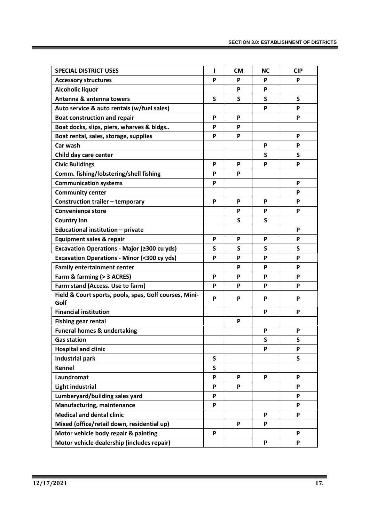| <b>SPECIAL DISTRICT USES</b>                                   | T | <b>CM</b> | <b>NC</b> | <b>CIP</b>                |
|----------------------------------------------------------------|---|-----------|-----------|---------------------------|
| <b>Accessory structures</b>                                    | P | P         | P         | P                         |
| <b>Alcoholic liquor</b>                                        |   | P         | P         |                           |
| Antenna & antenna towers                                       | S | S         | S         | S                         |
| Auto service & auto rentals (w/fuel sales)                     |   |           | P         | P                         |
| <b>Boat construction and repair</b>                            | P | P         |           | P                         |
| Boat docks, slips, piers, wharves & bldgs                      | P | P         |           |                           |
| Boat rental, sales, storage, supplies                          | P | P         |           | P                         |
| Car wash                                                       |   |           | P         | P                         |
| Child day care center                                          |   |           | S         | S                         |
| <b>Civic Buildings</b>                                         | P | P         | P         | P                         |
| Comm. fishing/lobstering/shell fishing                         | P | P         |           |                           |
| <b>Communication systems</b>                                   | P |           |           | P                         |
| <b>Community center</b>                                        |   |           |           | P                         |
| Construction trailer - temporary                               | P | P         | P         | P                         |
| <b>Convenience store</b>                                       |   | P         | P         | P                         |
| <b>Country inn</b>                                             |   | S         | S         |                           |
| Educational institution - private                              |   |           |           | P                         |
| <b>Equipment sales &amp; repair</b>                            | P | P         | P         | P                         |
| Excavation Operations - Major (≥300 cu yds)                    | S | S         | S         | S                         |
| <b>Excavation Operations - Minor (&lt;300 cy yds)</b>          | P | P         | P         | P                         |
| <b>Family entertainment center</b>                             |   | P         | P         | P                         |
| Farm & farming (> 3 ACRES)                                     | P | P         | P         | P                         |
| Farm stand (Access. Use to farm)                               | P | P         | P         | P                         |
| Field & Court sports, pools, spas, Golf courses, Mini-<br>Golf | P | P         | P         | P                         |
| <b>Financial institution</b>                                   |   |           | P         | P                         |
| <b>Fishing gear rental</b>                                     |   | P         |           |                           |
| <b>Funeral homes &amp; undertaking</b>                         |   |           | P         | P                         |
| <b>Gas station</b>                                             |   |           | S         | $\mathsf{s}$              |
| <b>Hospital and clinic</b>                                     |   |           | P         | $\boldsymbol{\mathsf{P}}$ |
| <b>Industrial park</b>                                         | S |           |           | S                         |
| <b>Kennel</b>                                                  | S |           |           |                           |
| Laundromat                                                     | P | P         | P         | P                         |
| <b>Light industrial</b>                                        | P | P         |           | P                         |
| Lumberyard/building sales yard                                 | P |           |           | P                         |
| Manufacturing, maintenance                                     | P |           |           | P                         |
| <b>Medical and dental clinic</b>                               |   |           | P         | P                         |
| Mixed (office/retail down, residential up)                     |   | P         | P         |                           |
| Motor vehicle body repair & painting                           | P |           |           | P                         |
| Motor vehicle dealership (includes repair)                     |   |           | P         | P                         |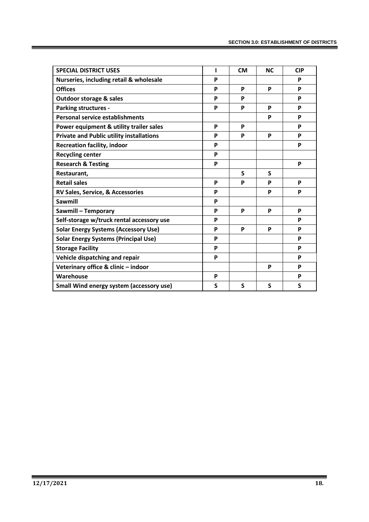| <b>SPECIAL DISTRICT USES</b>                    | T | <b>CM</b> | <b>NC</b> | <b>CIP</b> |
|-------------------------------------------------|---|-----------|-----------|------------|
| Nurseries, including retail & wholesale         | P |           |           | P          |
| <b>Offices</b>                                  | P | P         | P         | P          |
| <b>Outdoor storage &amp; sales</b>              | P | P         |           | P          |
| <b>Parking structures -</b>                     | P | P         | P         | P          |
| <b>Personal service establishments</b>          |   |           | P         | P          |
| Power equipment & utility trailer sales         | P | P         |           | P          |
| <b>Private and Public utility installations</b> | P | P         | P         | P          |
| <b>Recreation facility, indoor</b>              | P |           |           | P          |
| <b>Recycling center</b>                         | P |           |           |            |
| <b>Research &amp; Testing</b>                   | P |           |           | P          |
| Restaurant,                                     |   | S         | S         |            |
| <b>Retail sales</b>                             | P | P         | P         | P          |
| RV Sales, Service, & Accessories                | P |           | P         | P          |
| <b>Sawmill</b>                                  | P |           |           |            |
| Sawmill - Temporary                             | P | P         | P         | P          |
| Self-storage w/truck rental accessory use       | P |           |           | P          |
| <b>Solar Energy Systems (Accessory Use)</b>     | P | P         | P         | P          |
| <b>Solar Energy Systems (Principal Use)</b>     | P |           |           | P          |
| <b>Storage Facility</b>                         | P |           |           | P          |
| Vehicle dispatching and repair                  | P |           |           | P          |
| Veterinary office & clinic - indoor             |   |           | P         | P          |
| Warehouse                                       | P |           |           | P          |
| Small Wind energy system (accessory use)        | S | S         | S         | S          |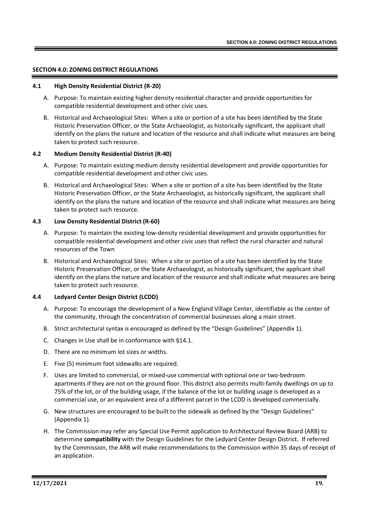#### **SECTION 4.0: ZONING DISTRICT REGULATIONS**

#### **4.1 High Density Residential District (R-20)**

- A. Purpose: To maintain existing higher density residential character and provide opportunities for compatible residential development and other civic uses.
- B. Historical and Archaeological Sites: When a site or portion of a site has been identified by the State Historic Preservation Officer, or the State Archaeologist, as historically significant, the applicant shall identify on the plans the nature and location of the resource and shall indicate what measures are being taken to protect such resource.

#### **4.2 Medium Density Residential District (R-40)**

- A. Purpose: To maintain existing medium density residential development and provide opportunities for compatible residential development and other civic uses.
- B. Historical and Archaeological Sites: When a site or portion of a site has been identified by the State Historic Preservation Officer, or the State Archaeologist, as historically significant, the applicant shall identify on the plans the nature and location of the resource and shall indicate what measures are being taken to protect such resource.

#### **4.3 Low Density Residential District (R-60)**

- A. Purpose: To maintain the existing low-density residential development and provide opportunities for compatible residential development and other civic uses that reflect the rural character and natural resources of the Town
- B. Historical and Archaeological Sites: When a site or portion of a site has been identified by the State Historic Preservation Officer, or the State Archaeologist, as historically significant, the applicant shall identify on the plans the nature and location of the resource and shall indicate what measures are being taken to protect such resource.

#### **4.4 Ledyard Center Design District (LCDD)**

- A. Purpose: To encourage the development of a New England Village Center, identifiable as the center of the community, through the concentration of commercial businesses along a main street.
- B. Strict architectural syntax is encouraged as defined by the "Design Guidelines" (Appendix 1).
- C. Changes in Use shall be in conformance with §14.1.
- D. There are no minimum lot sizes or widths.
- E. Five (5) minimum foot sidewalks are required.
- F. Uses are limited to commercial, or mixed-use commercial with optional one or two-bedroom apartments if they are not on the ground floor. This district also permits multi-family dwellings on up to 75% of the lot, or of the building usage, if the balance of the lot or building usage is developed as a commercial use, or an equivalent area of a different parcel in the LCDD is developed commercially.
- G. New structures are encouraged to be built to the sidewalk as defined by the "Design Guidelines" (Appendix 1).
- H. The Commission may refer any Special Use Permit application to Architectural Review Board (ARB) to determine **compatibility** with the Design Guidelines for the Ledyard Center Design District. If referred by the Commission, the ARB will make recommendations to the Commission within 35 days of receipt of an application.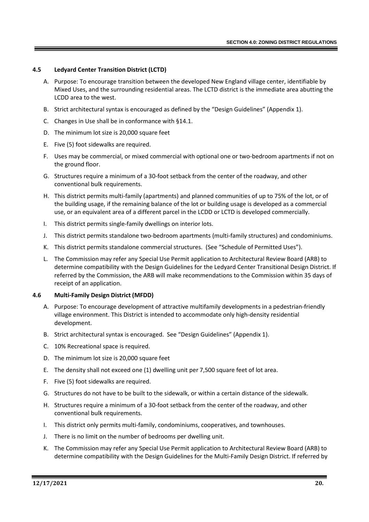#### **4.5 Ledyard Center Transition District (LCTD)**

- A. Purpose: To encourage transition between the developed New England village center, identifiable by Mixed Uses, and the surrounding residential areas. The LCTD district is the immediate area abutting the LCDD area to the west.
- B. Strict architectural syntax is encouraged as defined by the "Design Guidelines" (Appendix 1).
- C. Changes in Use shall be in conformance with §14.1.
- D. The minimum lot size is 20,000 square feet
- E. Five (5) foot sidewalks are required.
- F. Uses may be commercial, or mixed commercial with optional one or two-bedroom apartments if not on the ground floor.
- G. Structures require a minimum of a 30-foot setback from the center of the roadway, and other conventional bulk requirements.
- H. This district permits multi-family (apartments) and planned communities of up to 75% of the lot, or of the building usage, if the remaining balance of the lot or building usage is developed as a commercial use, or an equivalent area of a different parcel in the LCDD or LCTD is developed commercially.
- I. This district permits single-family dwellings on interior lots.
- J. This district permits standalone two-bedroom apartments (multi-family structures) and condominiums.
- K. This district permits standalone commercial structures. (See "Schedule of Permitted Uses").
- L. The Commission may refer any Special Use Permit application to Architectural Review Board (ARB) to determine compatibility with the Design Guidelines for the Ledyard Center Transitional Design District. If referred by the Commission, the ARB will make recommendations to the Commission within 35 days of receipt of an application.

#### **4.6 Multi-Family Design District (MFDD)**

- A. Purpose: To encourage development of attractive multifamily developments in a pedestrian-friendly village environment. This District is intended to accommodate only high-density residential development.
- B. Strict architectural syntax is encouraged. See "Design Guidelines" (Appendix 1).
- C. 10% Recreational space is required.
- D. The minimum lot size is 20,000 square feet
- E. The density shall not exceed one (1) dwelling unit per 7,500 square feet of lot area.
- F. Five (5) foot sidewalks are required.
- G. Structures do not have to be built to the sidewalk, or within a certain distance of the sidewalk.
- H. Structures require a minimum of a 30-foot setback from the center of the roadway, and other conventional bulk requirements.
- I. This district only permits multi-family, condominiums, cooperatives, and townhouses.
- J. There is no limit on the number of bedrooms per dwelling unit.
- K. The Commission may refer any Special Use Permit application to Architectural Review Board (ARB) to determine compatibility with the Design Guidelines for the Multi-Family Design District. If referred by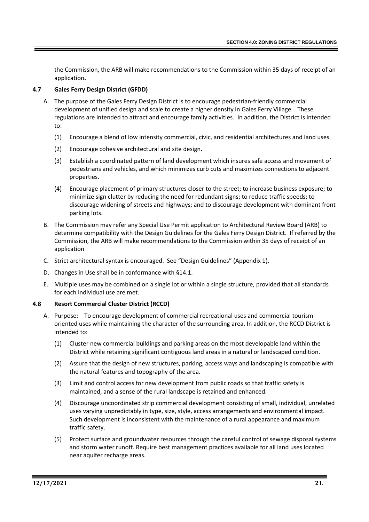the Commission, the ARB will make recommendations to the Commission within 35 days of receipt of an application**.**

# **4.7 Gales Ferry Design District (GFDD)**

- A. The purpose of the Gales Ferry Design District is to encourage pedestrian-friendly commercial development of unified design and scale to create a higher density in Gales Ferry Village. These regulations are intended to attract and encourage family activities. In addition, the District is intended to:
	- (1) Encourage a blend of low intensity commercial, civic, and residential architectures and land uses.
	- (2) Encourage cohesive architectural and site design.
	- (3) Establish a coordinated pattern of land development which insures safe access and movement of pedestrians and vehicles, and which minimizes curb cuts and maximizes connections to adjacent properties.
	- (4) Encourage placement of primary structures closer to the street; to increase business exposure; to minimize sign clutter by reducing the need for redundant signs; to reduce traffic speeds; to discourage widening of streets and highways; and to discourage development with dominant front parking lots.
- B. The Commission may refer any Special Use Permit application to Architectural Review Board (ARB) to determine compatibility with the Design Guidelines for the Gales Ferry Design District. If referred by the Commission, the ARB will make recommendations to the Commission within 35 days of receipt of an application
- C. Strict architectural syntax is encouraged. See "Design Guidelines" (Appendix 1).
- D. Changes in Use shall be in conformance with §14.1.
- E. Multiple uses may be combined on a single lot or within a single structure, provided that all standards for each individual use are met.

#### **4.8 Resort Commercial Cluster District (RCCD)**

- A. Purpose: To encourage development of commercial recreational uses and commercial tourismoriented uses while maintaining the character of the surrounding area. In addition, the RCCD District is intended to:
	- (1) Cluster new commercial buildings and parking areas on the most developable land within the District while retaining significant contiguous land areas in a natural or landscaped condition.
	- (2) Assure that the design of new structures, parking, access ways and landscaping is compatible with the natural features and topography of the area.
	- (3) Limit and control access for new development from public roads so that traffic safety is maintained, and a sense of the rural landscape is retained and enhanced.
	- (4) Discourage uncoordinated strip commercial development consisting of small, individual, unrelated uses varying unpredictably in type, size, style, access arrangements and environmental impact. Such development is inconsistent with the maintenance of a rural appearance and maximum traffic safety.
	- (5) Protect surface and groundwater resources through the careful control of sewage disposal systems and storm water runoff. Require best management practices available for all land uses located near aquifer recharge areas.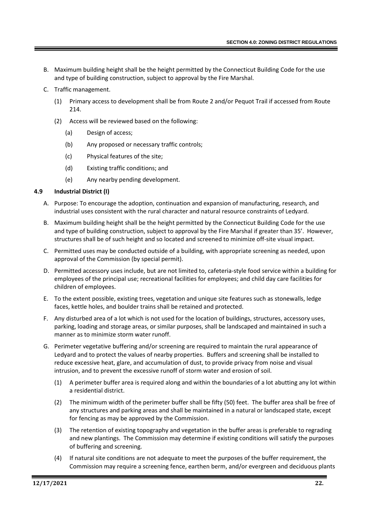- B. Maximum building height shall be the height permitted by the Connecticut Building Code for the use and type of building construction, subject to approval by the Fire Marshal.
- C. Traffic management.
	- (1) Primary access to development shall be from Route 2 and/or Pequot Trail if accessed from Route 214.
	- (2) Access will be reviewed based on the following:
		- (a) Design of access;
		- (b) Any proposed or necessary traffic controls;
		- (c) Physical features of the site;
		- (d) Existing traffic conditions; and
		- (e) Any nearby pending development.

#### **4.9 Industrial District (I)**

- A. Purpose: To encourage the adoption, continuation and expansion of manufacturing, research, and industrial uses consistent with the rural character and natural resource constraints of Ledyard.
- B. Maximum building height shall be the height permitted by the Connecticut Building Code for the use and type of building construction, subject to approval by the Fire Marshal if greater than 35'. However, structures shall be of such height and so located and screened to minimize off-site visual impact.
- C. Permitted uses may be conducted outside of a building, with appropriate screening as needed, upon approval of the Commission (by special permit).
- D. Permitted accessory uses include, but are not limited to, cafeteria-style food service within a building for employees of the principal use; recreational facilities for employees; and child day care facilities for children of employees.
- E. To the extent possible, existing trees, vegetation and unique site features such as stonewalls, ledge faces, kettle holes, and boulder trains shall be retained and protected.
- F. Any disturbed area of a lot which is not used for the location of buildings, structures, accessory uses, parking, loading and storage areas, or similar purposes, shall be landscaped and maintained in such a manner as to minimize storm water runoff.
- G. Perimeter vegetative buffering and/or screening are required to maintain the rural appearance of Ledyard and to protect the values of nearby properties. Buffers and screening shall be installed to reduce excessive heat, glare, and accumulation of dust, to provide privacy from noise and visual intrusion, and to prevent the excessive runoff of storm water and erosion of soil.
	- (1) A perimeter buffer area is required along and within the boundaries of a lot abutting any lot within a residential district.
	- (2) The minimum width of the perimeter buffer shall be fifty (50) feet. The buffer area shall be free of any structures and parking areas and shall be maintained in a natural or landscaped state, except for fencing as may be approved by the Commission.
	- (3) The retention of existing topography and vegetation in the buffer areas is preferable to regrading and new plantings. The Commission may determine if existing conditions will satisfy the purposes of buffering and screening.
	- (4) If natural site conditions are not adequate to meet the purposes of the buffer requirement, the Commission may require a screening fence, earthen berm, and/or evergreen and deciduous plants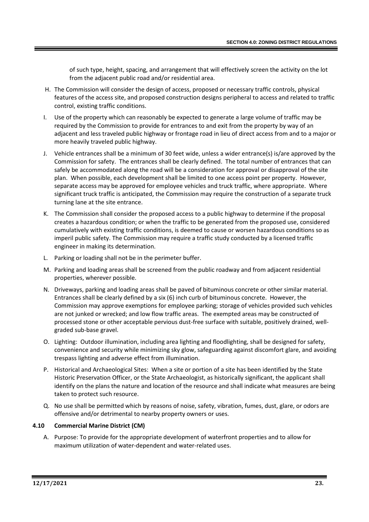of such type, height, spacing, and arrangement that will effectively screen the activity on the lot from the adjacent public road and/or residential area.

- H. The Commission will consider the design of access, proposed or necessary traffic controls, physical features of the access site, and proposed construction designs peripheral to access and related to traffic control, existing traffic conditions.
- I. Use of the property which can reasonably be expected to generate a large volume of traffic may be required by the Commission to provide for entrances to and exit from the property by way of an adjacent and less traveled public highway or frontage road in lieu of direct access from and to a major or more heavily traveled public highway.
- J. Vehicle entrances shall be a minimum of 30 feet wide, unless a wider entrance(s) is/are approved by the Commission for safety. The entrances shall be clearly defined. The total number of entrances that can safely be accommodated along the road will be a consideration for approval or disapproval of the site plan. When possible, each development shall be limited to one access point per property. However, separate access may be approved for employee vehicles and truck traffic, where appropriate. Where significant truck traffic is anticipated, the Commission may require the construction of a separate truck turning lane at the site entrance.
- K. The Commission shall consider the proposed access to a public highway to determine if the proposal creates a hazardous condition; or when the traffic to be generated from the proposed use, considered cumulatively with existing traffic conditions, is deemed to cause or worsen hazardous conditions so as imperil public safety. The Commission may require a traffic study conducted by a licensed traffic engineer in making its determination.
- L. Parking or loading shall not be in the perimeter buffer.
- M. Parking and loading areas shall be screened from the public roadway and from adjacent residential properties, wherever possible.
- N. Driveways, parking and loading areas shall be paved of bituminous concrete or other similar material. Entrances shall be clearly defined by a six (6) inch curb of bituminous concrete. However, the Commission may approve exemptions for employee parking; storage of vehicles provided such vehicles are not junked or wrecked; and low flow traffic areas. The exempted areas may be constructed of processed stone or other acceptable pervious dust-free surface with suitable, positively drained, wellgraded sub-base gravel.
- O. Lighting: Outdoor illumination, including area lighting and floodlighting, shall be designed for safety, convenience and security while minimizing sky glow, safeguarding against discomfort glare, and avoiding trespass lighting and adverse effect from illumination.
- P. Historical and Archaeological Sites: When a site or portion of a site has been identified by the State Historic Preservation Officer, or the State Archaeologist, as historically significant, the applicant shall identify on the plans the nature and location of the resource and shall indicate what measures are being taken to protect such resource.
- Q. No use shall be permitted which by reasons of noise, safety, vibration, fumes, dust, glare, or odors are offensive and/or detrimental to nearby property owners or uses.

# **4.10 Commercial Marine District (CM)**

A. Purpose: To provide for the appropriate development of waterfront properties and to allow for maximum utilization of water-dependent and water-related uses.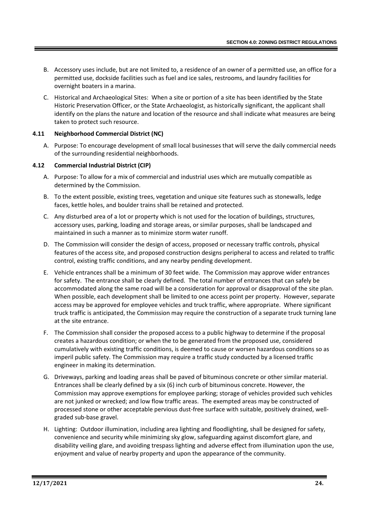- B. Accessory uses include, but are not limited to, a residence of an owner of a permitted use, an office for a permitted use, dockside facilities such as fuel and ice sales, restrooms, and laundry facilities for overnight boaters in a marina.
- C. Historical and Archaeological Sites: When a site or portion of a site has been identified by the State Historic Preservation Officer, or the State Archaeologist, as historically significant, the applicant shall identify on the plans the nature and location of the resource and shall indicate what measures are being taken to protect such resource.

# **4.11 Neighborhood Commercial District (NC)**

A. Purpose: To encourage development of small local businesses that will serve the daily commercial needs of the surrounding residential neighborhoods.

# **4.12 Commercial Industrial District (CIP)**

- A. Purpose: To allow for a mix of commercial and industrial uses which are mutually compatible as determined by the Commission.
- B. To the extent possible, existing trees, vegetation and unique site features such as stonewalls, ledge faces, kettle holes, and boulder trains shall be retained and protected.
- C. Any disturbed area of a lot or property which is not used for the location of buildings, structures, accessory uses, parking, loading and storage areas, or similar purposes, shall be landscaped and maintained in such a manner as to minimize storm water runoff.
- D. The Commission will consider the design of access, proposed or necessary traffic controls, physical features of the access site, and proposed construction designs peripheral to access and related to traffic control, existing traffic conditions, and any nearby pending development.
- E. Vehicle entrances shall be a minimum of 30 feet wide. The Commission may approve wider entrances for safety. The entrance shall be clearly defined. The total number of entrances that can safely be accommodated along the same road will be a consideration for approval or disapproval of the site plan. When possible, each development shall be limited to one access point per property. However, separate access may be approved for employee vehicles and truck traffic, where appropriate. Where significant truck traffic is anticipated, the Commission may require the construction of a separate truck turning lane at the site entrance.
- F. The Commission shall consider the proposed access to a public highway to determine if the proposal creates a hazardous condition; or when the to be generated from the proposed use, considered cumulatively with existing traffic conditions, is deemed to cause or worsen hazardous conditions so as imperil public safety. The Commission may require a traffic study conducted by a licensed traffic engineer in making its determination.
- G. Driveways, parking and loading areas shall be paved of bituminous concrete or other similar material. Entrances shall be clearly defined by a six (6) inch curb of bituminous concrete. However, the Commission may approve exemptions for employee parking; storage of vehicles provided such vehicles are not junked or wrecked; and low flow traffic areas. The exempted areas may be constructed of processed stone or other acceptable pervious dust-free surface with suitable, positively drained, wellgraded sub-base gravel.
- H. Lighting: Outdoor illumination, including area lighting and floodlighting, shall be designed for safety, convenience and security while minimizing sky glow, safeguarding against discomfort glare, and disability veiling glare, and avoiding trespass lighting and adverse effect from illumination upon the use, enjoyment and value of nearby property and upon the appearance of the community.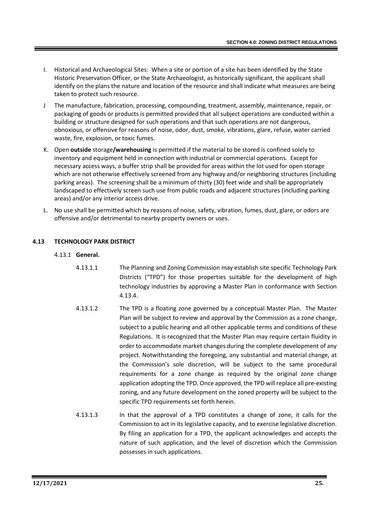- I. Historical and Archaeological Sites: When a site or portion of a site has been identified by the State Historic Preservation Officer, or the State Archaeologist, as historically significant, the applicant shall identify on the plans the nature and location of the resource and shall indicate what measures are being taken to protect such resource.
- J The manufacture, fabrication, processing, compounding, treatment, assembly, maintenance, repair, or packaging of goods or products is permitted provided that all subject operations are conducted within a building or structure designed for such operations and that such operations are not dangerous, obnoxious, or offensive for reasons of noise, odor, dust, smoke, vibrations, glare, refuse, water carried waste, fire, explosion, or toxic fumes.
- K. Open **outside** storage**/warehousing** is permitted if the material to be stored is confined solely to inventory and equipment held in connection with industrial or commercial operations. Except for necessary access ways, a buffer strip shall be provided for areas within the lot used for open storage which are not otherwise effectively screened from any highway and/or neighboring structures (including parking areas). The screening shall be a minimum of thirty (30) feet wide and shall be appropriately landscaped to effectively screen such use from public roads and adjacent structures (including parking areas) and/or any interior access drive.
- L. No use shall be permitted which by reasons of noise, safety, vibration, fumes, dust, glare, or odors are offensive and/or detrimental to nearby property owners or uses.

# **4.13 TECHNOLOGY PARK DISTRICT**

# 4.13.1 **General.**

- 4.13.1.1 The Planning and Zoning Commission may establish site specific Technology Park Districts ("TPD") for those properties suitable for the development of high technology industries by approving a Master Plan in conformance with Section 4.13.4.
- 4.13.1.2 The TPD is a floating zone governed by a conceptual Master Plan. The Master Plan will be subject to review and approval by the Commission as a zone change, subject to a public hearing and all other applicable terms and conditions of these Regulations. It is recognized that the Master Plan may require certain fluidity in order to accommodate market changes during the complete development of any project. Notwithstanding the foregoing, any substantial and material change, at the Commission's sole discretion, will be subject to the same procedural requirements for a zone change as required by the original zone change application adopting the TPD. Once approved, the TPD will replace all pre-existing zoning, and any future development on the zoned property will be subject to the specific TPD requirements set forth herein.
- 4.13.1.3 In that the approval of a TPD constitutes a change of zone, it calls for the Commission to act in its legislative capacity, and to exercise legislative discretion. By filing an application for a TPD, the applicant acknowledges and accepts the nature of such application, and the level of discretion which the Commission possesses in such applications.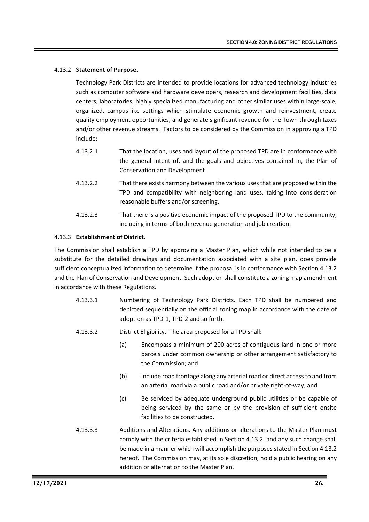#### 4.13.2 **Statement of Purpose.**

Technology Park Districts are intended to provide locations for advanced technology industries such as computer software and hardware developers, research and development facilities, data centers, laboratories, highly specialized manufacturing and other similar uses within large-scale, organized, campus-like settings which stimulate economic growth and reinvestment, create quality employment opportunities, and generate significant revenue for the Town through taxes and/or other revenue streams. Factors to be considered by the Commission in approving a TPD include:

- 4.13.2.1 That the location, uses and layout of the proposed TPD are in conformance with the general intent of, and the goals and objectives contained in, the Plan of Conservation and Development.
- 4.13.2.2 That there exists harmony between the various uses that are proposed within the TPD and compatibility with neighboring land uses, taking into consideration reasonable buffers and/or screening.
- 4.13.2.3 That there is a positive economic impact of the proposed TPD to the community, including in terms of both revenue generation and job creation.

#### 4.13.3 **Establishment of District.**

The Commission shall establish a TPD by approving a Master Plan, which while not intended to be a substitute for the detailed drawings and documentation associated with a site plan, does provide sufficient conceptualized information to determine if the proposal is in conformance with Section 4.13.2 and the Plan of Conservation and Development. Such adoption shall constitute a zoning map amendment in accordance with these Regulations.

- 4.13.3.1 Numbering of Technology Park Districts. Each TPD shall be numbered and depicted sequentially on the official zoning map in accordance with the date of adoption as TPD-1, TPD-2 and so forth.
- 4.13.3.2 District Eligibility. The area proposed for a TPD shall:
	- (a) Encompass a minimum of 200 acres of contiguous land in one or more parcels under common ownership or other arrangement satisfactory to the Commission; and
	- (b) Include road frontage along any arterial road or direct access to and from an arterial road via a public road and/or private right-of-way; and
	- (c) Be serviced by adequate underground public utilities or be capable of being serviced by the same or by the provision of sufficient onsite facilities to be constructed.
- 4.13.3.3 Additions and Alterations. Any additions or alterations to the Master Plan must comply with the criteria established in Section 4.13.2, and any such change shall be made in a manner which will accomplish the purposes stated in Section 4.13.2 hereof. The Commission may, at its sole discretion, hold a public hearing on any addition or alternation to the Master Plan.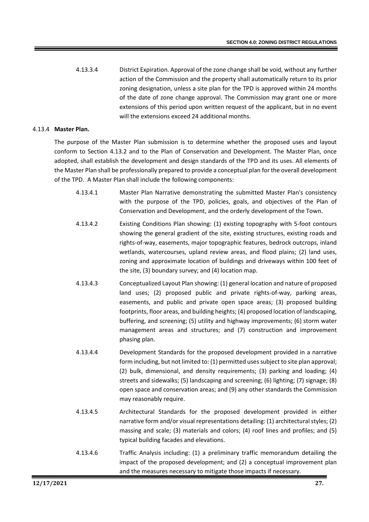4.13.3.4 District Expiration. Approval of the zone change shall be void, without any further action of the Commission and the property shall automatically return to its prior zoning designation, unless a site plan for the TPD is approved within 24 months of the date of zone change approval. The Commission may grant one or more extensions of this period upon written request of the applicant, but in no event will the extensions exceed 24 additional months.

### 4.13.4 **Master Plan.**

The purpose of the Master Plan submission is to determine whether the proposed uses and layout conform to Section 4.13.2 and to the Plan of Conservation and Development. The Master Plan, once adopted, shall establish the development and design standards of the TPD and its uses. All elements of the Master Plan shall be professionally prepared to provide a conceptual plan for the overall development of the TPD. A Master Plan shall include the following components:

- 4.13.4.1 Master Plan Narrative demonstrating the submitted Master Plan's consistency with the purpose of the TPD, policies, goals, and objectives of the Plan of Conservation and Development, and the orderly development of the Town.
- 4.13.4.2 Existing Conditions Plan showing: (1) existing topography with 5-foot contours showing the general gradient of the site, existing structures, existing roads and rights-of-way, easements, major topographic features, bedrock outcrops, inland wetlands, watercourses, upland review areas, and flood plains; (2) land uses, zoning and approximate location of buildings and driveways within 100 feet of the site, (3) boundary survey; and (4) location map.
- 4.13.4.3 Conceptualized Layout Plan showing: (1) general location and nature of proposed land uses; (2) proposed public and private rights-of-way, parking areas, easements, and public and private open space areas; (3) proposed building footprints, floor areas, and building heights; (4) proposed location of landscaping, buffering, and screening; (5) utility and highway improvements; (6) storm water management areas and structures; and (7) construction and improvement phasing plan.
- 4.13.4.4 Development Standards for the proposed development provided in a narrative form including, but not limited to: (1) permitted uses subject to site plan approval; (2) bulk, dimensional, and density requirements; (3) parking and loading; (4) streets and sidewalks; (5) landscaping and screening; (6) lighting; (7) signage; (8) open space and conservation areas; and (9) any other standards the Commission may reasonably require.
- 4.13.4.5 Architectural Standards for the proposed development provided in either narrative form and/or visual representations detailing: (1) architectural styles; (2) massing and scale; (3) materials and colors; (4) roof lines and profiles; and (5) typical building facades and elevations.
- 4.13.4.6 Traffic Analysis including: (1) a preliminary traffic memorandum detailing the impact of the proposed development; and (2) a conceptual improvement plan and the measures necessary to mitigate those impacts if necessary.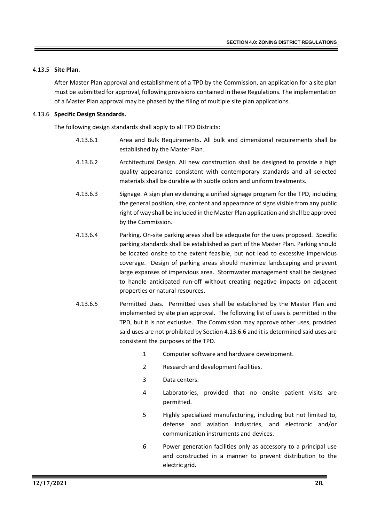#### 4.13.5 **Site Plan.**

After Master Plan approval and establishment of a TPD by the Commission, an application for a site plan must be submitted for approval, following provisions contained in these Regulations. The implementation of a Master Plan approval may be phased by the filing of multiple site plan applications.

#### 4.13.6 **Specific Design Standards.**

The following design standards shall apply to all TPD Districts:

- 4.13.6.1 Area and Bulk Requirements. All bulk and dimensional requirements shall be established by the Master Plan.
- 4.13.6.2 Architectural Design. All new construction shall be designed to provide a high quality appearance consistent with contemporary standards and all selected materials shall be durable with subtle colors and uniform treatments.
- 4.13.6.3 Signage. A sign plan evidencing a unified signage program for the TPD, including the general position, size, content and appearance of signs visible from any public right of way shall be included in the Master Plan application and shall be approved by the Commission.
- 4.13.6.4 Parking. On-site parking areas shall be adequate for the uses proposed. Specific parking standards shall be established as part of the Master Plan. Parking should be located onsite to the extent feasible, but not lead to excessive impervious coverage. Design of parking areas should maximize landscaping and prevent large expanses of impervious area. Stormwater management shall be designed to handle anticipated run-off without creating negative impacts on adjacent properties or natural resources.
- 4.13.6.5 Permitted Uses. Permitted uses shall be established by the Master Plan and implemented by site plan approval. The following list of uses is permitted in the TPD, but it is not exclusive. The Commission may approve other uses, provided said uses are not prohibited by Section 4.13.6.6 and it is determined said uses are consistent the purposes of the TPD.
	- .1 Computer software and hardware development.
	- .2 Research and development facilities.
	- .3 Data centers.
	- .4 Laboratories, provided that no onsite patient visits are permitted.
	- .5 Highly specialized manufacturing, including but not limited to, defense and aviation industries, and electronic and/or communication instruments and devices.
	- .6 Power generation facilities only as accessory to a principal use and constructed in a manner to prevent distribution to the electric grid.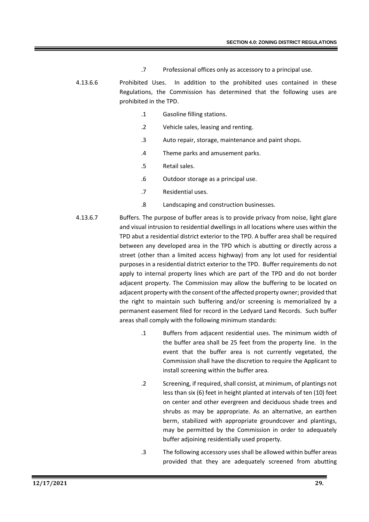- .7 Professional offices only as accessory to a principal use.
- 4.13.6.6 Prohibited Uses. In addition to the prohibited uses contained in these Regulations, the Commission has determined that the following uses are prohibited in the TPD.
	- .1 Gasoline filling stations.
	- .2 Vehicle sales, leasing and renting.
	- .3 Auto repair, storage, maintenance and paint shops.
	- .4 Theme parks and amusement parks.
	- .5 Retail sales.
	- .6 Outdoor storage as a principal use.
	- .7 Residential uses.
	- .8 Landscaping and construction businesses.
- 4.13.6.7 Buffers. The purpose of buffer areas is to provide privacy from noise, light glare and visual intrusion to residential dwellings in all locations where uses within the TPD abut a residential district exterior to the TPD. A buffer area shall be required between any developed area in the TPD which is abutting or directly across a street (other than a limited access highway) from any lot used for residential purposes in a residential district exterior to the TPD. Buffer requirements do not apply to internal property lines which are part of the TPD and do not border adjacent property. The Commission may allow the buffering to be located on adjacent property with the consent of the affected property owner; provided that the right to maintain such buffering and/or screening is memorialized by a permanent easement filed for record in the Ledyard Land Records. Such buffer areas shall comply with the following minimum standards:
	- .1 Buffers from adjacent residential uses. The minimum width of the buffer area shall be 25 feet from the property line. In the event that the buffer area is not currently vegetated, the Commission shall have the discretion to require the Applicant to install screening within the buffer area.
	- .2 Screening, if required, shall consist, at minimum, of plantings not less than six (6) feet in height planted at intervals of ten (10) feet on center and other evergreen and deciduous shade trees and shrubs as may be appropriate. As an alternative, an earthen berm, stabilized with appropriate groundcover and plantings, may be permitted by the Commission in order to adequately buffer adjoining residentially used property.
	- .3 The following accessory uses shall be allowed within buffer areas provided that they are adequately screened from abutting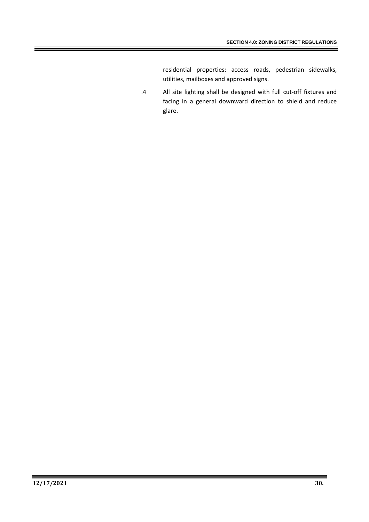residential properties: access roads, pedestrian sidewalks, utilities, mailboxes and approved signs.

.4 All site lighting shall be designed with full cut-off fixtures and facing in a general downward direction to shield and reduce glare.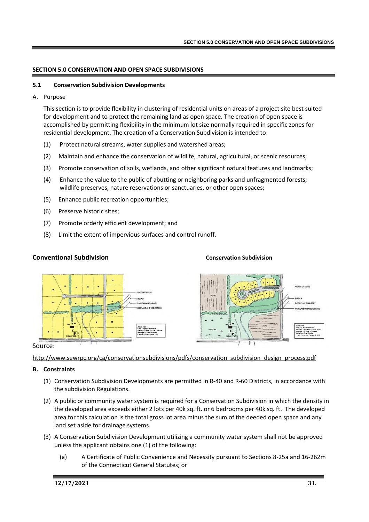#### **SECTION 5.0 CONSERVATION AND OPEN SPACE SUBDIVISIONS**

#### **5.1 Conservation Subdivision Developments**

A. Purpose

This section is to provide flexibility in clustering of residential units on areas of a project site best suited for development and to protect the remaining land as open space. The creation of open space is accomplished by permitting flexibility in the minimum lot size normally required in specific zones for residential development. The creation of a Conservation Subdivision is intended to:

- (1) Protect natural streams, water supplies and watershed areas;
- (2) Maintain and enhance the conservation of wildlife, natural, agricultural, or scenic resources;
- (3) Promote conservation of soils, wetlands, and other significant natural features and landmarks;
- (4) Enhance the value to the public of abutting or neighboring parks and unfragmented forests; wildlife preserves, nature reservations or sanctuaries, or other open spaces;
- (5) Enhance public recreation opportunities;
- (6) Preserve historic sites;
- (7) Promote orderly efficient development; and
- (8) Limit the extent of impervious surfaces and control runoff.

#### **Conventional Subdivision Conservation Subdivision**





#### Source:

http://www.sewrpc.org/ca/conservationsubdivisions/pdfs/conservation\_subdivision\_design\_process.pdf

#### **B. Constraints**

- (1) Conservation Subdivision Developments are permitted in R-40 and R-60 Districts, in accordance with the subdivision Regulations.
- (2) A public or community water system is required for a Conservation Subdivision in which the density in the developed area exceeds either 2 lots per 40k sq. ft. or 6 bedrooms per 40k sq. ft. The developed area for this calculation is the total gross lot area minus the sum of the deeded open space and any land set aside for drainage systems.
- (3) A Conservation Subdivision Development utilizing a community water system shall not be approved unless the applicant obtains one (1) of the following:
	- (a) A Certificate of Public Convenience and Necessity pursuant to Sections 8-25a and 16-262m of the Connecticut General Statutes; or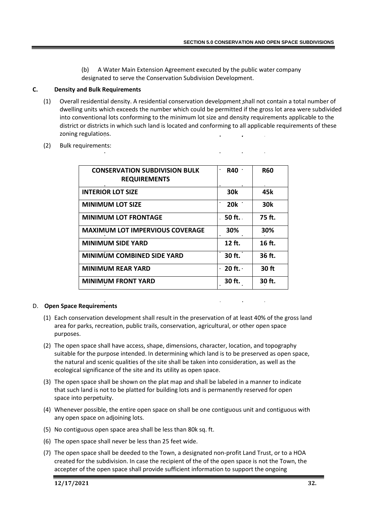(b) A Water Main Extension Agreement executed by the public water company designated to serve the Conservation Subdivision Development.

#### **C. Density and Bulk Requirements**

- (1) Overall residential density. A residential conservation development shall not contain a total number of dwelling units which exceeds the number which could be permitted if the gross lot area were subdivided into conventional lots conforming to the minimum lot size and density requirements applicable to the district or districts in which such land is located and conforming to all applicable requirements of these zoning regulations.
- (2) Bulk requirements:

| <b>CONSERVATION SUBDIVISION BULK</b><br><b>REQUIREMENTS</b> | R40        | <b>R60</b>      |
|-------------------------------------------------------------|------------|-----------------|
| <b>INTERIOR LOT SIZE</b>                                    | <b>30k</b> | 45k             |
| <b>MINIMUM LOT SIZE</b>                                     | <b>20k</b> | 30 <sub>k</sub> |
| <b>MINIMUM LOT FRONTAGE</b>                                 | . 50 ft.   | 75 ft.          |
| <b>MAXIMUM LOT IMPERVIOUS COVERAGE</b>                      | 30%        | 30%             |
| <b>MINIMUM SIDE YARD</b>                                    | $12$ ft.   | $16$ ft.        |
| MINIMUM COMBINED SIDE YARD                                  | 30 ft.     | 36 ft.          |
| <b>MINIMUM REAR YARD</b>                                    | $20$ ft.   | 30 ft           |
| <b>MINIMUM FRONT YARD</b>                                   | 30 ft.     | 30 ft.          |

#### D. **Open Space Requirements**

- (1) Each conservation development shall result in the preservation of at least 40% of the gross land area for parks, recreation, public trails, conservation, agricultural, or other open space purposes.
- (2) The open space shall have access, shape, dimensions, character, location, and topography suitable for the purpose intended. In determining which land is to be preserved as open space, the natural and scenic qualities of the site shall be taken into consideration, as well as the ecological significance of the site and its utility as open space.
- (3) The open space shall be shown on the plat map and shall be labeled in a manner to indicate that such land is not to be platted for building lots and is permanently reserved for open space into perpetuity.
- (4) Whenever possible, the entire open space on shall be one contiguous unit and contiguous with any open space on adjoining lots.
- (5) No contiguous open space area shall be less than 80k sq. ft.
- (6) The open space shall never be less than 25 feet wide.
- (7) The open space shall be deeded to the Town, a designated non-profit Land Trust, or to a HOA created for the subdivision. In case the recipient of the of the open space is not the Town, the accepter of the open space shall provide sufficient information to support the ongoing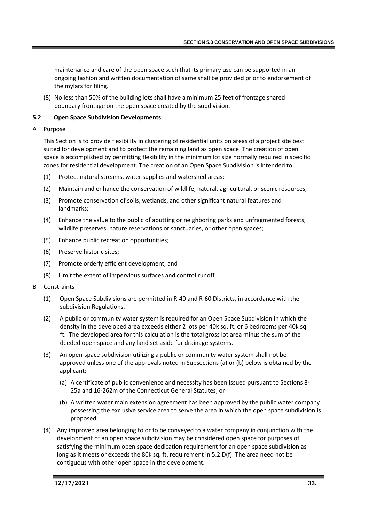maintenance and care of the open space such that its primary use can be supported in an ongoing fashion and written documentation of same shall be provided prior to endorsement of the mylars for filing.

(8) No less than 50% of the building lots shall have a minimum 25 feet of frontage shared boundary frontage on the open space created by the subdivision.

# **5.2 Open Space Subdivision Developments**

A Purpose

This Section is to provide flexibility in clustering of residential units on areas of a project site best suited for development and to protect the remaining land as open space. The creation of open space is accomplished by permitting flexibility in the minimum lot size normally required in specific zones for residential development. The creation of an Open Space Subdivision is intended to:

- (1) Protect natural streams, water supplies and watershed areas;
- (2) Maintain and enhance the conservation of wildlife, natural, agricultural, or scenic resources;
- (3) Promote conservation of soils, wetlands, and other significant natural features and landmarks;
- (4) Enhance the value to the public of abutting or neighboring parks and unfragmented forests; wildlife preserves, nature reservations or sanctuaries, or other open spaces;
- (5) Enhance public recreation opportunities;
- (6) Preserve historic sites;
- (7) Promote orderly efficient development; and
- (8) Limit the extent of impervious surfaces and control runoff.
- B Constraints
	- (1) Open Space Subdivisions are permitted in R-40 and R-60 Districts, in accordance with the subdivision Regulations.
	- (2) A public or community water system is required for an Open Space Subdivision in which the density in the developed area exceeds either 2 lots per 40k sq. ft. or 6 bedrooms per 40k sq. ft. The developed area for this calculation is the total gross lot area minus the sum of the deeded open space and any land set aside for drainage systems.
	- (3) An open-space subdivision utilizing a public or community water system shall not be approved unless one of the approvals noted in Subsections (a) or (b) below is obtained by the applicant:
		- (a) A certificate of public convenience and necessity has been issued pursuant to Sections 8- 25a and 16-262m of the Connecticut General Statutes; or
		- (b) A written water main extension agreement has been approved by the public water company possessing the exclusive service area to serve the area in which the open space subdivision is proposed;
	- (4) Any improved area belonging to or to be conveyed to a water company in conjunction with the development of an open space subdivision may be considered open space for purposes of satisfying the minimum open space dedication requirement for an open space subdivision as long as it meets or exceeds the 80k sq. ft. requirement in 5.2.D(f). The area need not be contiguous with other open space in the development.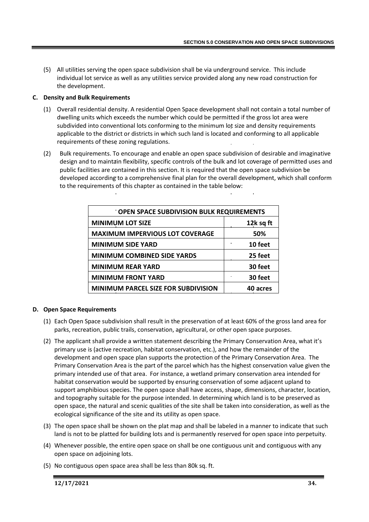(5) All utilities serving the open space subdivision shall be via underground service. This include individual lot service as well as any utilities service provided along any new road construction for the development.

# **C. Density and Bulk Requirements**

- (1) Overall residential density. A residential Open Space development shall not contain a total number of dwelling units which exceeds the number which could be permitted if the gross lot area were subdivided into conventional lots conforming to the minimum lot size and density requirements applicable to the district or districts in which such land is located and conforming to all applicable requirements of these zoning regulations.
- (2) Bulk requirements. To encourage and enable an open space subdivision of desirable and imaginative design and to maintain flexibility, specific controls of the bulk and lot coverage of permitted uses and public facilities are contained in this section. It is required that the open space subdivision be developed according to a comprehensive final plan for the overall development, which shall conform to the requirements of this chapter as contained in the table below:

| OPEN SPACE SUBDIVISION BULK REQUIREMENTS   |           |  |
|--------------------------------------------|-----------|--|
| <b>MINIMUM LOT SIZE</b>                    | 12k sq ft |  |
| <b>MAXIMUM IMPERVIOUS LOT COVERAGE</b>     | 50%       |  |
| <b>MINIMUM SIDE YARD</b>                   | 10 feet   |  |
| <b>MINIMUM COMBINED SIDE YARDS</b>         | 25 feet   |  |
| <b>MINIMUM REAR YARD</b>                   | 30 feet   |  |
| <b>MINIMUM FRONT YARD</b>                  | 30 feet   |  |
| <b>MINIMUM PARCEL SIZE FOR SUBDIVISION</b> | 40 acres  |  |

# **D. Open Space Requirements**

- (1) Each Open Space subdivision shall result in the preservation of at least 60% of the gross land area for parks, recreation, public trails, conservation, agricultural, or other open space purposes.
- (2) The applicant shall provide a written statement describing the Primary Conservation Area, what it's primary use is (active recreation, habitat conservation, etc.), and how the remainder of the development and open space plan supports the protection of the Primary Conservation Area. The Primary Conservation Area is the part of the parcel which has the highest conservation value given the primary intended use of that area. For instance, a wetland primary conservation area intended for habitat conservation would be supported by ensuring conservation of some adjacent upland to support amphibious species. The open space shall have access, shape, dimensions, character, location, and topography suitable for the purpose intended. In determining which land is to be preserved as open space, the natural and scenic qualities of the site shall be taken into consideration, as well as the ecological significance of the site and its utility as open space.
- (3) The open space shall be shown on the plat map and shall be labeled in a manner to indicate that such land is not to be platted for building lots and is permanently reserved for open space into perpetuity.
- (4) Whenever possible, the entire open space on shall be one contiguous unit and contiguous with any open space on adjoining lots.
- (5) No contiguous open space area shall be less than 80k sq. ft.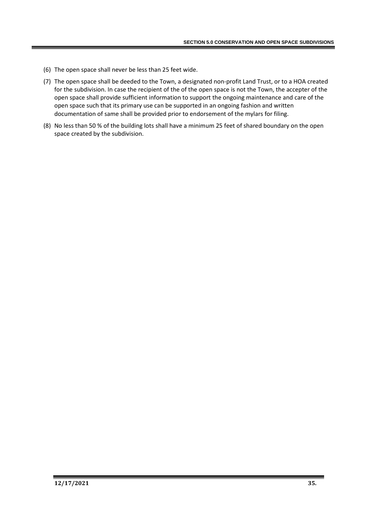- (6) The open space shall never be less than 25 feet wide.
- (7) The open space shall be deeded to the Town, a designated non-profit Land Trust, or to a HOA created for the subdivision. In case the recipient of the of the open space is not the Town, the accepter of the open space shall provide sufficient information to support the ongoing maintenance and care of the open space such that its primary use can be supported in an ongoing fashion and written documentation of same shall be provided prior to endorsement of the mylars for filing.
- (8) No less than 50 % of the building lots shall have a minimum 25 feet of shared boundary on the open space created by the subdivision.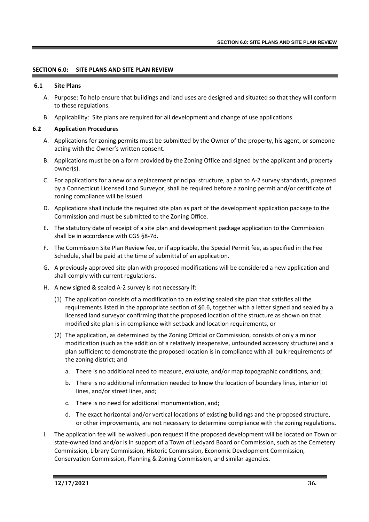### **SECTION 6.0: SITE PLANS AND SITE PLAN REVIEW**

#### **6.1 Site Plans**

- A. Purpose: To help ensure that buildings and land uses are designed and situated so that they will conform to these regulations.
- B. Applicability: Site plans are required for all development and change of use applications.

### **6.2 Application Procedure**s

- A. Applications for zoning permits must be submitted by the Owner of the property, his agent, or someone acting with the Owner's written consent.
- B. Applications must be on a form provided by the Zoning Office and signed by the applicant and property owner(s).
- C. For applications for a new or a replacement principal structure, a plan to A-2 survey standards, prepared by a Connecticut Licensed Land Surveyor, shall be required before a zoning permit and/or certificate of zoning compliance will be issued.
- D. Applications shall include the required site plan as part of the development application package to the Commission and must be submitted to the Zoning Office.
- E. The statutory date of receipt of a site plan and development package application to the Commission shall be in accordance with CGS §8-7d.
- F. The Commission Site Plan Review fee, or if applicable, the Special Permit fee, as specified in the Fee Schedule, shall be paid at the time of submittal of an application.
- G. A previously approved site plan with proposed modifications will be considered a new application and shall comply with current regulations.
- H. A new signed & sealed A-2 survey is not necessary if:
	- (1) The application consists of a modification to an existing sealed site plan that satisfies all the requirements listed in the appropriate section of §6.6, together with a letter signed and sealed by a licensed land surveyor confirming that the proposed location of the structure as shown on that modified site plan is in compliance with setback and location requirements, or
	- (2) The application, as determined by the Zoning Official or Commission, consists of only a minor modification (such as the addition of a relatively inexpensive, unfounded accessory structure) and a plan sufficient to demonstrate the proposed location is in compliance with all bulk requirements of the zoning district; and
		- a. There is no additional need to measure, evaluate, and/or map topographic conditions, and;
		- b. There is no additional information needed to know the location of boundary lines, interior lot lines, and/or street lines, and;
		- c. There is no need for additional monumentation, and;
		- d. The exact horizontal and/or vertical locations of existing buildings and the proposed structure, or other improvements, are not necessary to determine compliance with the zoning regulations**.**
- I. The application fee will be waived upon request if the proposed development will be located on Town or state-owned land and/or is in support of a Town of Ledyard Board or Commission, such as the Cemetery Commission, Library Commission, Historic Commission, Economic Development Commission, Conservation Commission, Planning & Zoning Commission, and similar agencies.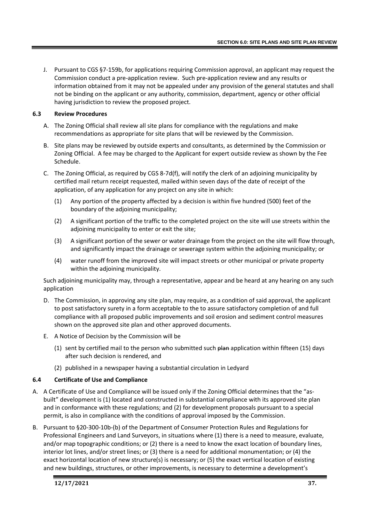J. Pursuant to CGS §7-159b, for applications requiring Commission approval, an applicant may request the Commission conduct a pre-application review. Such pre-application review and any results or information obtained from it may not be appealed under any provision of the general statutes and shall not be binding on the applicant or any authority, commission, department, agency or other official having jurisdiction to review the proposed project.

### **6.3 Review Procedures**

- A. The Zoning Official shall review all site plans for compliance with the regulations and make recommendations as appropriate for site plans that will be reviewed by the Commission.
- B. Site plans may be reviewed by outside experts and consultants, as determined by the Commission or Zoning Official. A fee may be charged to the Applicant for expert outside review as shown by the Fee Schedule.
- C. The Zoning Official, as required by CGS 8-7d(f), will notify the clerk of an adjoining municipality by certified mail return receipt requested, mailed within seven days of the date of receipt of the application, of any application for any project on any site in which:
	- (1) Any portion of the property affected by a decision is within five hundred (500) feet of the boundary of the adjoining municipality;
	- (2) A significant portion of the traffic to the completed project on the site will use streets within the adjoining municipality to enter or exit the site;
	- (3) A significant portion of the sewer or water drainage from the project on the site will flow through, and significantly impact the drainage or sewerage system within the adjoining municipality; or
	- (4) water runoff from the improved site will impact streets or other municipal or private property within the adjoining municipality.

Such adjoining municipality may, through a representative, appear and be heard at any hearing on any such application

- D. The Commission, in approving any site plan, may require, as a condition of said approval, the applicant to post satisfactory surety in a form acceptable to the to assure satisfactory completion of and full compliance with all proposed public improvements and soil erosion and sediment control measures shown on the approved site plan and other approved documents.
- E. A Notice of Decision by the Commission will be
	- (1) sent by certified mail to the person who submitted such  $\frac{1}{2}$  application within fifteen (15) days after such decision is rendered, and
	- (2) published in a newspaper having a substantial circulation in Ledyard

# **6.4 Certificate of Use and Compliance**

- A. A Certificate of Use and Compliance will be issued only if the Zoning Official determines that the "asbuilt" development is (1) located and constructed in substantial compliance with its approved site plan and in conformance with these regulations; and (2) for development proposals pursuant to a special permit, is also in compliance with the conditions of approval imposed by the Commission.
- B. Pursuant to §20-300-10b-(b) of the Department of Consumer Protection Rules and Regulations for Professional Engineers and Land Surveyors, in situations where (1) there is a need to measure, evaluate, and/or map topographic conditions; or (2) there is a need to know the exact location of boundary lines, interior lot lines, and/or street lines; or (3) there is a need for additional monumentation; or (4) the exact horizontal location of new structure(s) is necessary; or (5) the exact vertical location of existing and new buildings, structures, or other improvements, is necessary to determine a development's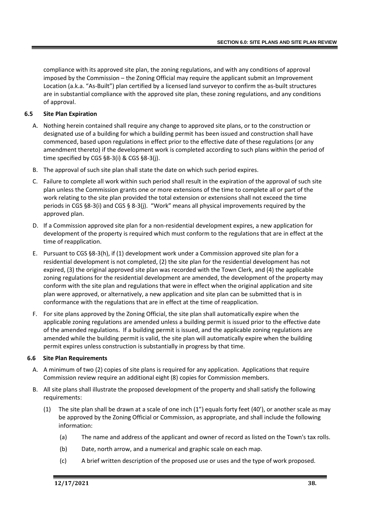compliance with its approved site plan, the zoning regulations, and with any conditions of approval imposed by the Commission – the Zoning Official may require the applicant submit an Improvement Location (a.k.a. "As-Built") plan certified by a licensed land surveyor to confirm the as-built structures are in substantial compliance with the approved site plan, these zoning regulations, and any conditions of approval.

# **6.5 Site Plan Expiration**

- A. Nothing herein contained shall require any change to approved site plans, or to the construction or designated use of a building for which a building permit has been issued and construction shall have commenced, based upon regulations in effect prior to the effective date of these regulations (or any amendment thereto) if the development work is completed according to such plans within the period of time specified by CGS §8-3(i) & CGS §8-3(j).
- B. The approval of such site plan shall state the date on which such period expires.
- C. Failure to complete all work within such period shall result in the expiration of the approval of such site plan unless the Commission grants one or more extensions of the time to complete all or part of the work relating to the site plan provided the total extension or extensions shall not exceed the time periods in CGS §8-3(i) and CGS § 8-3(j). "Work" means all physical improvements required by the approved plan.
- D. If a Commission approved site plan for a non-residential development expires, a new application for development of the property is required which must conform to the regulations that are in effect at the time of reapplication.
- E. Pursuant to CGS §8-3(h), if (1) development work under a Commission approved site plan for a residential development is not completed, (2) the site plan for the residential development has not expired, (3) the original approved site plan was recorded with the Town Clerk, and (4) the applicable zoning regulations for the residential development are amended, the development of the property may conform with the site plan and regulations that were in effect when the original application and site plan were approved, or alternatively, a new application and site plan can be submitted that is in conformance with the regulations that are in effect at the time of reapplication.
- F. For site plans approved by the Zoning Official, the site plan shall automatically expire when the applicable zoning regulations are amended unless a building permit is issued prior to the effective date of the amended regulations. If a building permit is issued, and the applicable zoning regulations are amended while the building permit is valid, the site plan will automatically expire when the building permit expires unless construction is substantially in progress by that time.

### **6.6 Site Plan Requirements**

- A. A minimum of two (2) copies of site plans is required for any application. Applications that require Commission review require an additional eight (8) copies for Commission members.
- B. All site plans shall illustrate the proposed development of the property and shall satisfy the following requirements:
	- (1) The site plan shall be drawn at a scale of one inch (1") equals forty feet (40'), or another scale as may be approved by the Zoning Official or Commission, as appropriate, and shall include the following information:
		- (a) The name and address of the applicant and owner of record as listed on the Town's tax rolls.
		- (b) Date, north arrow, and a numerical and graphic scale on each map.
		- (c) A brief written description of the proposed use or uses and the type of work proposed.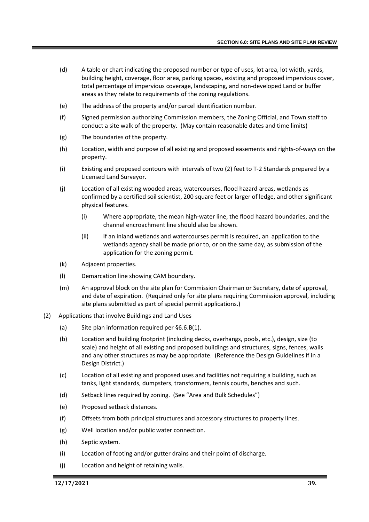- (d) A table or chart indicating the proposed number or type of uses, lot area, lot width, yards, building height, coverage, floor area, parking spaces, existing and proposed impervious cover, total percentage of impervious coverage, landscaping, and non-developed Land or buffer areas as they relate to requirements of the zoning regulations.
- (e) The address of the property and/or parcel identification number.
- (f) Signed permission authorizing Commission members, the Zoning Official, and Town staff to conduct a site walk of the property. (May contain reasonable dates and time limits)
- (g) The boundaries of the property.
- (h) Location, width and purpose of all existing and proposed easements and rights-of-ways on the property.
- (i) Existing and proposed contours with intervals of two (2) feet to T-2 Standards prepared by a Licensed Land Surveyor.
- (j) Location of all existing wooded areas, watercourses, flood hazard areas, wetlands as confirmed by a certified soil scientist, 200 square feet or larger of ledge, and other significant physical features.
	- (i) Where appropriate, the mean high-water line, the flood hazard boundaries, and the channel encroachment line should also be shown.
	- (ii) If an inland wetlands and watercourses permit is required, an application to the wetlands agency shall be made prior to, or on the same day, as submission of the application for the zoning permit.
- (k) Adjacent properties.
- (l) Demarcation line showing CAM boundary.
- (m) An approval block on the site plan for Commission Chairman or Secretary, date of approval, and date of expiration. (Required only for site plans requiring Commission approval, including site plans submitted as part of special permit applications.)
- (2) Applications that involve Buildings and Land Uses
	- (a) Site plan information required per §6.6.B(1).
	- (b) Location and building footprint (including decks, overhangs, pools, etc.), design, size (to scale) and height of all existing and proposed buildings and structures, signs, fences, walls and any other structures as may be appropriate. (Reference the Design Guidelines if in a Design District.)
	- (c) Location of all existing and proposed uses and facilities not requiring a building, such as tanks, light standards, dumpsters, transformers, tennis courts, benches and such.
	- (d) Setback lines required by zoning. (See "Area and Bulk Schedules")
	- (e) Proposed setback distances.
	- (f) Offsets from both principal structures and accessory structures to property lines.
	- (g) Well location and/or public water connection.
	- (h) Septic system.
	- (i) Location of footing and/or gutter drains and their point of discharge.
	- (j) Location and height of retaining walls.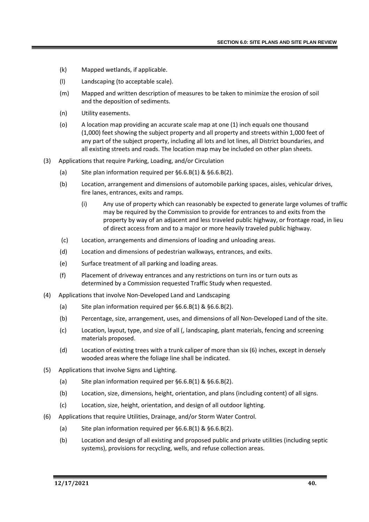- (k) Mapped wetlands, if applicable.
- (l) Landscaping (to acceptable scale).
- (m) Mapped and written description of measures to be taken to minimize the erosion of soil and the deposition of sediments.
- (n) Utility easements.
- (o) A location map providing an accurate scale map at one (1) inch equals one thousand (1,000) feet showing the subject property and all property and streets within 1,000 feet of any part of the subject property, including all lots and lot lines, all District boundaries, and all existing streets and roads. The location map may be included on other plan sheets.
- (3) Applications that require Parking, Loading, and/or Circulation
	- (a) Site plan information required per  $\S6.6.B(1) & \S6.6.B(2)$ .
	- (b) Location, arrangement and dimensions of automobile parking spaces, aisles, vehicular drives, fire lanes, entrances, exits and ramps.
		- (i) Any use of property which can reasonably be expected to generate large volumes of traffic may be required by the Commission to provide for entrances to and exits from the property by way of an adjacent and less traveled public highway, or frontage road, in lieu of direct access from and to a major or more heavily traveled public highway.
	- (c) Location, arrangements and dimensions of loading and unloading areas.
	- (d) Location and dimensions of pedestrian walkways, entrances, and exits.
	- (e) Surface treatment of all parking and loading areas.
	- (f) Placement of driveway entrances and any restrictions on turn ins or turn outs as determined by a Commission requested Traffic Study when requested.
- (4) Applications that involve Non-Developed Land and Landscaping
	- (a) Site plan information required per §6.6.B(1) & §6.6.B(2).
	- (b) Percentage, size, arrangement, uses, and dimensions of all Non-Developed Land of the site.
	- (c) Location, layout, type, and size of all (, landscaping, plant materials, fencing and screening materials proposed.
	- (d) Location of existing trees with a trunk caliper of more than six (6) inches, except in densely wooded areas where the foliage line shall be indicated.
- (5) Applications that involve Signs and Lighting.
	- (a) Site plan information required per §6.6.B(1) & §6.6.B(2).
	- (b) Location, size, dimensions, height, orientation, and plans (including content) of all signs.
	- (c) Location, size, height, orientation, and design of all outdoor lighting.
- (6) Applications that require Utilities, Drainage, and/or Storm Water Control.
	- (a) Site plan information required per §6.6.B(1) & §6.6.B(2).
	- (b) Location and design of all existing and proposed public and private utilities (including septic systems), provisions for recycling, wells, and refuse collection areas.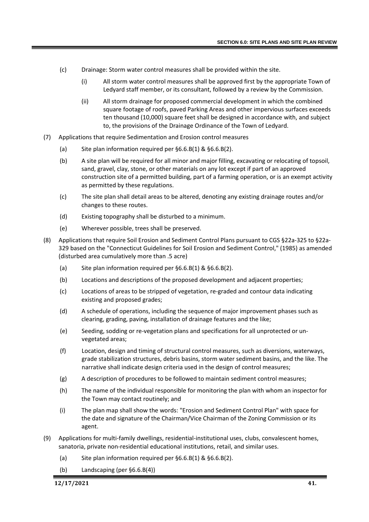- (c) Drainage: Storm water control measures shall be provided within the site.
	- (i) All storm water control measures shall be approved first by the appropriate Town of Ledyard staff member, or its consultant, followed by a review by the Commission.
	- (ii) All storm drainage for proposed commercial development in which the combined square footage of roofs, paved Parking Areas and other impervious surfaces exceeds ten thousand (10,000) square feet shall be designed in accordance with, and subject to, the provisions of the Drainage Ordinance of the Town of Ledyard.
- (7) Applications that require Sedimentation and Erosion control measures
	- (a) Site plan information required per §6.6.B(1) & §6.6.B(2).
	- (b) A site plan will be required for all minor and major filling, excavating or relocating of topsoil, sand, gravel, clay, stone, or other materials on any lot except if part of an approved construction site of a permitted building, part of a farming operation, or is an exempt activity as permitted by these regulations.
	- (c) The site plan shall detail areas to be altered, denoting any existing drainage routes and/or changes to these routes.
	- (d) Existing topography shall be disturbed to a minimum.
	- (e) Wherever possible, trees shall be preserved.
- (8) Applications that require Soil Erosion and Sediment Control Plans pursuant to CGS §22a-325 to §22a-329 based on the "Connecticut Guidelines for Soil Erosion and Sediment Control," (1985) as amended (disturbed area cumulatively more than .5 acre)
	- (a) Site plan information required per §6.6.B(1) & §6.6.B(2).
	- (b) Locations and descriptions of the proposed development and adjacent properties;
	- (c) Locations of areas to be stripped of vegetation, re-graded and contour data indicating existing and proposed grades;
	- (d) A schedule of operations, including the sequence of major improvement phases such as clearing, grading, paving, installation of drainage features and the like;
	- (e) Seeding, sodding or re-vegetation plans and specifications for all unprotected or unvegetated areas;
	- (f) Location, design and timing of structural control measures, such as diversions, waterways, grade stabilization structures, debris basins, storm water sediment basins, and the like. The narrative shall indicate design criteria used in the design of control measures;
	- (g) A description of procedures to be followed to maintain sediment control measures;
	- (h) The name of the individual responsible for monitoring the plan with whom an inspector for the Town may contact routinely; and
	- (i) The plan map shall show the words: "Erosion and Sediment Control Plan" with space for the date and signature of the Chairman/Vice Chairman of the Zoning Commission or its agent.
- (9) Applications for multi-family dwellings, residential-institutional uses, clubs, convalescent homes, sanatoria, private non-residential educational institutions, retail, and similar uses.
	- (a) Site plan information required per §6.6.B(1) & §6.6.B(2).
	- (b) Landscaping (per §6.6.B(4))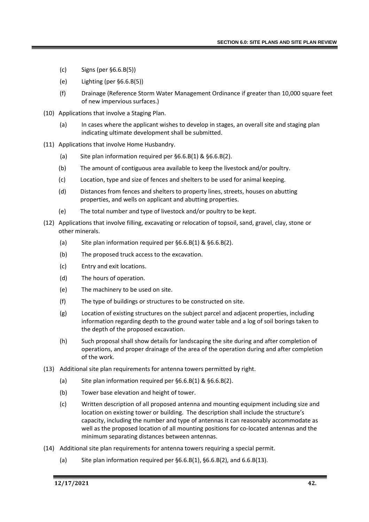- (c) Signs (per §6.6.B(5))
- (e) Lighting (per §6.6.B(5))
- (f) Drainage (Reference Storm Water Management Ordinance if greater than 10,000 square feet of new impervious surfaces.)
- (10) Applications that involve a Staging Plan.
	- (a) In cases where the applicant wishes to develop in stages, an overall site and staging plan indicating ultimate development shall be submitted.
- (11) Applications that involve Home Husbandry.
	- (a) Site plan information required per §6.6.B(1) & §6.6.B(2).
	- (b) The amount of contiguous area available to keep the livestock and/or poultry.
	- (c) Location, type and size of fences and shelters to be used for animal keeping.
	- (d) Distances from fences and shelters to property lines, streets, houses on abutting properties, and wells on applicant and abutting properties.
	- (e) The total number and type of livestock and/or poultry to be kept.
- (12) Applications that involve filling, excavating or relocation of topsoil, sand, gravel, clay, stone or other minerals.
	- (a) Site plan information required per §6.6.B(1) & §6.6.B(2).
	- (b) The proposed truck access to the excavation.
	- (c) Entry and exit locations.
	- (d) The hours of operation.
	- (e) The machinery to be used on site.
	- (f) The type of buildings or structures to be constructed on site.
	- (g) Location of existing structures on the subject parcel and adjacent properties, including information regarding depth to the ground water table and a log of soil borings taken to the depth of the proposed excavation.
	- (h) Such proposal shall show details for landscaping the site during and after completion of operations, and proper drainage of the area of the operation during and after completion of the work.
- (13) Additional site plan requirements for antenna towers permitted by right.
	- (a) Site plan information required per §6.6.B(1) & §6.6.B(2).
	- (b) Tower base elevation and height of tower.
	- (c) Written description of all proposed antenna and mounting equipment including size and location on existing tower or building. The description shall include the structure's capacity, including the number and type of antennas it can reasonably accommodate as well as the proposed location of all mounting positions for co-located antennas and the minimum separating distances between antennas.
- (14) Additional site plan requirements for antenna towers requiring a special permit.
	- (a) Site plan information required per  $\S 6.6.B(1)$ ,  $\S 6.6.B(2)$ , and  $6.6.B(13)$ .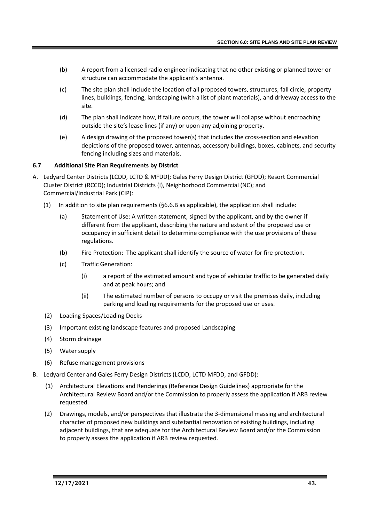- (b) A report from a licensed radio engineer indicating that no other existing or planned tower or structure can accommodate the applicant's antenna.
- (c) The site plan shall include the location of all proposed towers, structures, fall circle, property lines, buildings, fencing, landscaping (with a list of plant materials), and driveway access to the site.
- (d) The plan shall indicate how, if failure occurs, the tower will collapse without encroaching outside the site's lease lines (if any) or upon any adjoining property.
- (e) A design drawing of the proposed tower(s) that includes the cross-section and elevation depictions of the proposed tower, antennas, accessory buildings, boxes, cabinets, and security fencing including sizes and materials.

# **6.7 Additional Site Plan Requirements by District**

- A. Ledyard Center Districts (LCDD, LCTD & MFDD); Gales Ferry Design District (GFDD); Resort Commercial Cluster District (RCCD); Industrial Districts (I), Neighborhood Commercial (NC); and Commercial/Industrial Park (CIP):
	- (1) In addition to site plan requirements (§6.6.B as applicable), the application shall include:
		- (a) Statement of Use: A written statement, signed by the applicant, and by the owner if different from the applicant, describing the nature and extent of the proposed use or occupancy in sufficient detail to determine compliance with the use provisions of these regulations.
		- (b) Fire Protection: The applicant shall identify the source of water for fire protection.
		- (c) Traffic Generation:
			- (i) a report of the estimated amount and type of vehicular traffic to be generated daily and at peak hours; and
			- (ii) The estimated number of persons to occupy or visit the premises daily, including parking and loading requirements for the proposed use or uses.
	- (2) Loading Spaces/Loading Docks
	- (3) Important existing landscape features and proposed Landscaping
	- (4) Storm drainage
	- (5) Water supply
	- (6) Refuse management provisions
- B. Ledyard Center and Gales Ferry Design Districts (LCDD, LCTD MFDD, and GFDD):
	- (1) Architectural Elevations and Renderings (Reference Design Guidelines) appropriate for the Architectural Review Board and/or the Commission to properly assess the application if ARB review requested.
	- (2) Drawings, models, and/or perspectives that illustrate the 3-dimensional massing and architectural character of proposed new buildings and substantial renovation of existing buildings, including adjacent buildings, that are adequate for the Architectural Review Board and/or the Commission to properly assess the application if ARB review requested.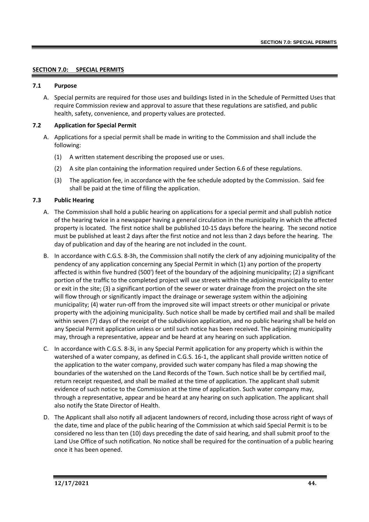# **SECTION 7.0: SPECIAL PERMITS**

#### **7.1 Purpose**

A. Special permits are required for those uses and buildings listed in in the Schedule of Permitted Uses that require Commission review and approval to assure that these regulations are satisfied, and public health, safety, convenience, and property values are protected.

### **7.2 Application for Special Permit**

- A. Applications for a special permit shall be made in writing to the Commission and shall include the following:
	- (1) A written statement describing the proposed use or uses.
	- (2) A site plan containing the information required under Section 6.6 of these regulations.
	- (3) The application fee, in accordance with the fee schedule adopted by the Commission. Said fee shall be paid at the time of filing the application.

# **7.3 Public Hearing**

- A. The Commission shall hold a public hearing on applications for a special permit and shall publish notice of the hearing twice in a newspaper having a general circulation in the municipality in which the affected property is located. The first notice shall be published 10-15 days before the hearing. The second notice must be published at least 2 days after the first notice and not less than 2 days before the hearing. The day of publication and day of the hearing are not included in the count.
- B. In accordance with C.G.S. 8-3h, the Commission shall notify the clerk of any adjoining municipality of the pendency of any application concerning any Special Permit in which (1) any portion of the property affected is within five hundred (500') feet of the boundary of the adjoining municipality; (2) a significant portion of the traffic to the completed project will use streets within the adjoining municipality to enter or exit in the site; (3) a significant portion of the sewer or water drainage from the project on the site will flow through or significantly impact the drainage or sewerage system within the adjoining municipality; (4) water run-off from the improved site will impact streets or other municipal or private property with the adjoining municipality. Such notice shall be made by certified mail and shall be mailed within seven (7) days of the receipt of the subdivision application, and no public hearing shall be held on any Special Permit application unless or until such notice has been received. The adjoining municipality may, through a representative, appear and be heard at any hearing on such application.
- C. In accordance with C.G.S. 8-3i, in any Special Permit application for any property which is within the watershed of a water company, as defined in C.G.S. 16-1, the applicant shall provide written notice of the application to the water company, provided such water company has filed a map showing the boundaries of the watershed on the Land Records of the Town. Such notice shall be by certified mail, return receipt requested, and shall be mailed at the time of application. The applicant shall submit evidence of such notice to the Commission at the time of application. Such water company may, through a representative, appear and be heard at any hearing on such application. The applicant shall also notify the State Director of Health.
- D. The Applicant shall also notify all adjacent landowners of record, including those across right of ways of the date, time and place of the public hearing of the Commission at which said Special Permit is to be considered no less than ten (10) days preceding the date of said hearing, and shall submit proof to the Land Use Office of such notification. No notice shall be required for the continuation of a public hearing once it has been opened.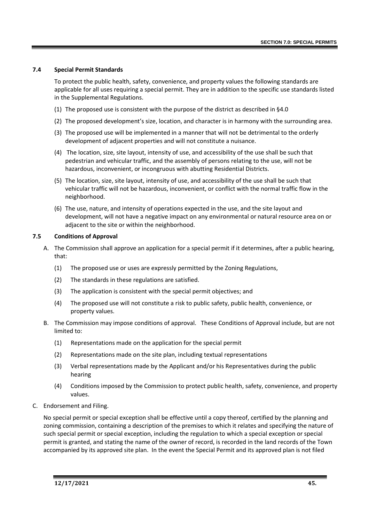# **7.4 Special Permit Standards**

To protect the public health, safety, convenience, and property values the following standards are applicable for all uses requiring a special permit. They are in addition to the specific use standards listed in the Supplemental Regulations.

- (1) The proposed use is consistent with the purpose of the district as described in §4.0
- (2) The proposed development's size, location, and character is in harmony with the surrounding area.
- (3) The proposed use will be implemented in a manner that will not be detrimental to the orderly development of adjacent properties and will not constitute a nuisance.
- (4) The location, size, site layout, intensity of use, and accessibility of the use shall be such that pedestrian and vehicular traffic, and the assembly of persons relating to the use, will not be hazardous, inconvenient, or incongruous with abutting Residential Districts.
- (5) The location, size, site layout, intensity of use, and accessibility of the use shall be such that vehicular traffic will not be hazardous, inconvenient, or conflict with the normal traffic flow in the neighborhood.
- (6) The use, nature, and intensity of operations expected in the use, and the site layout and development, will not have a negative impact on any environmental or natural resource area on or adjacent to the site or within the neighborhood.

# **7.5 Conditions of Approval**

- A. The Commission shall approve an application for a special permit if it determines, after a public hearing, that:
	- (1) The proposed use or uses are expressly permitted by the Zoning Regulations,
	- (2) The standards in these regulations are satisfied.
	- (3) The application is consistent with the special permit objectives; and
	- (4) The proposed use will not constitute a risk to public safety, public health, convenience, or property values.
- B. The Commission may impose conditions of approval. These Conditions of Approval include, but are not limited to:
	- (1) Representations made on the application for the special permit
	- (2) Representations made on the site plan, including textual representations
	- (3) Verbal representations made by the Applicant and/or his Representatives during the public hearing
	- (4) Conditions imposed by the Commission to protect public health, safety, convenience, and property values.
- C. Endorsement and Filing.

No special permit or special exception shall be effective until a copy thereof, certified by the planning and zoning commission, containing a description of the premises to which it relates and specifying the nature of such special permit or special exception, including the regulation to which a special exception or special permit is granted, and stating the name of the owner of record, is recorded in the land records of the Town accompanied by its approved site plan. In the event the Special Permit and its approved plan is not filed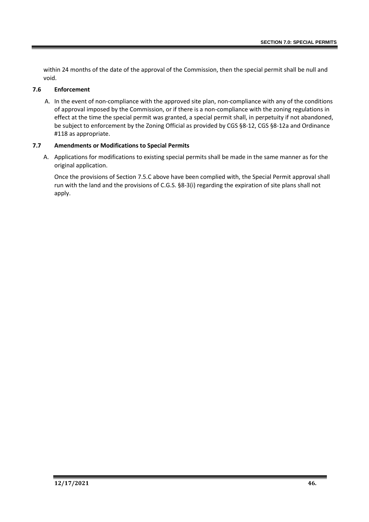within 24 months of the date of the approval of the Commission, then the special permit shall be null and void.

# **7.6 Enforcement**

A. In the event of non-compliance with the approved site plan, non-compliance with any of the conditions of approval imposed by the Commission, or if there is a non-compliance with the zoning regulations in effect at the time the special permit was granted, a special permit shall, in perpetuity if not abandoned, be subject to enforcement by the Zoning Official as provided by CGS §8-12, CGS §8-12a and Ordinance #118 as appropriate.

# **7.7 Amendments or Modifications to Special Permits**

A. Applications for modifications to existing special permits shall be made in the same manner as for the original application.

Once the provisions of Section 7.5.C above have been complied with, the Special Permit approval shall run with the land and the provisions of C.G.S. §8-3(i) regarding the expiration of site plans shall not apply.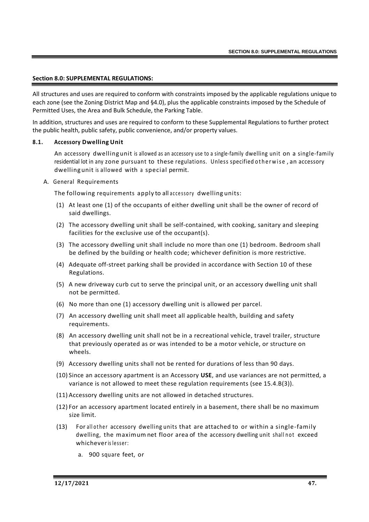### **Section 8.0: SUPPLEMENTAL REGULATIONS:**

All structures and uses are required to conform with constraints imposed by the applicable regulations unique to each zone (see the Zoning District Map and §4.0), plus the applicable constraints imposed by the Schedule of Permitted Uses, the Area and Bulk Schedule, the Parking Table.

In addition, structures and uses are required to conform to these Supplemental Regulations to further protect the public health, public safety, public convenience, and/or property values.

### **8.1. Accessory Dwelling Unit**

An accessory dwelling unit is allowed as an accessory use to a single-family dwelling unit on a single-family residential lot in any zone pursuant to these regulations. Unless specified otherwise, an accessory dwelling unit is allowed with a special permit.

A. General Requirements

The following requirements apply to all accessory dwelling units:

- (1) At least one (1) of the occupants of either dwelling unit shall be the owner of record of said dwellings.
- (2) The accessory dwelling unit shall be self-contained, with cooking, sanitary and sleeping facilities for the exclusive use of the occupant(s).
- (3) The accessory dwelling unit shall include no more than one (1) bedroom. Bedroom shall be defined by the building or health code; whichever definition is more restrictive.
- (4) Adequate off-street parking shall be provided in accordance with Section 10 of these Regulations.
- (5) A new driveway curb cut to serve the principal unit, or an accessory dwelling unit shall not be permitted.
- (6) No more than one (1) accessory dwelling unit is allowed per parcel.
- (7) An accessory dwelling unit shall meet all applicable health, building and safety requirements.
- (8) An accessory dwelling unit shall not be in a recreational vehicle, travel trailer, structure that previously operated as or was intended to be a motor vehicle, or structure on wheels.
- (9) Accessory dwelling units shall not be rented for durations of less than 90 days.
- (10) Since an accessory apartment is an Accessory **USE**, and use variances are not permitted, a variance is not allowed to meet these regulation requirements (see 15.4.B(3)).
- (11) Accessory dwelling units are not allowed in detached structures.
- (12) For an accessory apartment located entirely in a basement, there shall be no maximum size limit.
- (13) For all other accessory dwelling units that are attached to or within a single-family dwelling, the maximum net floor area of the accessory dwelling unit shall not exceed whicheveris lesser:
	- a. 900 square feet, or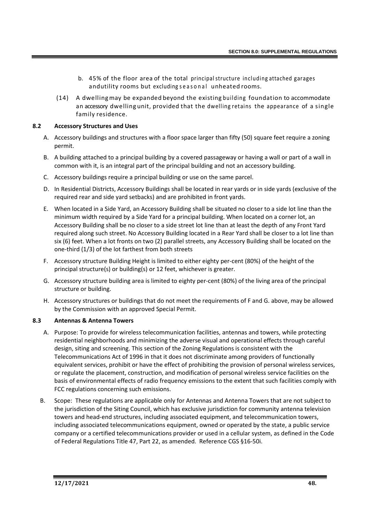- b. 45% of the floor area of the total principal structure including attached garages andutility rooms but excluding seasonal unheated rooms.
- (14) A dwelling may be expanded beyond the existing building foundation to accommodate an accessory dwelling unit, provided that the dwelling retains the appearance of a single family residence.

# **8.2 Accessory Structures and Uses**

- A. Accessory buildings and structures with a floor space larger than fifty (50) square feet require a zoning permit.
- B. A building attached to a principal building by a covered passageway or having a wall or part of a wall in common with it, is an integral part of the principal building and not an accessory building.
- C. Accessory buildings require a principal building or use on the same parcel.
- D. In Residential Districts, Accessory Buildings shall be located in rear yards or in side yards (exclusive of the required rear and side yard setbacks) and are prohibited in front yards.
- E. When located in a Side Yard, an Accessory Building shall be situated no closer to a side lot line than the minimum width required by a Side Yard for a principal building. When located on a corner lot, an Accessory Building shall be no closer to a side street lot line than at least the depth of any Front Yard required along such street. No Accessory Building located in a Rear Yard shall be closer to a lot line than six (6) feet. When a lot fronts on two (2) parallel streets, any Accessory Building shall be located on the one-third (1/3) of the lot farthest from both streets
- F. Accessory structure Building Height is limited to either eighty per-cent (80%) of the height of the principal structure(s) or building(s) or 12 feet, whichever is greater.
- G. Accessory structure building area is limited to eighty per-cent (80%) of the living area of the principal structure or building.
- H. Accessory structures or buildings that do not meet the requirements of F and G. above, may be allowed by the Commission with an approved Special Permit.

# **8.3 Antennas & Antenna Towers**

- A. Purpose: To provide for wireless telecommunication facilities, antennas and towers, while protecting residential neighborhoods and minimizing the adverse visual and operational effects through careful design, siting and screening. This section of the Zoning Regulations is consistent with the Telecommunications Act of 1996 in that it does not discriminate among providers of functionally equivalent services, prohibit or have the effect of prohibiting the provision of personal wireless services, or regulate the placement, construction, and modification of personal wireless service facilities on the basis of environmental effects of radio frequency emissions to the extent that such facilities comply with FCC regulations concerning such emissions.
- B. Scope: These regulations are applicable only for Antennas and Antenna Towers that are not subject to the jurisdiction of the Siting Council, which has exclusive jurisdiction for community antenna television towers and head-end structures, including associated equipment, and telecommunication towers, including associated telecommunications equipment, owned or operated by the state, a public service company or a certified telecommunications provider or used in a cellular system, as defined in the Code of Federal Regulations Title 47, Part 22, as amended. Reference CGS §16-50i.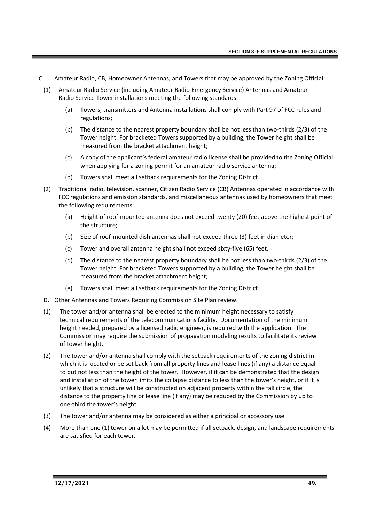- C. Amateur Radio, CB, Homeowner Antennas, and Towers that may be approved by the Zoning Official:
- (1) Amateur Radio Service (including Amateur Radio Emergency Service) Antennas and Amateur Radio Service Tower installations meeting the following standards:
	- (a) Towers, transmitters and Antenna installations shall comply with Part 97 of FCC rules and regulations;
	- (b) The distance to the nearest property boundary shall be not less than two-thirds (2/3) of the Tower height. For bracketed Towers supported by a building, the Tower height shall be measured from the bracket attachment height;
	- (c) A copy of the applicant's federal amateur radio license shall be provided to the Zoning Official when applying for a zoning permit for an amateur radio service antenna;
	- (d) Towers shall meet all setback requirements for the Zoning District.
- (2) Traditional radio, television, scanner, Citizen Radio Service (CB) Antennas operated in accordance with FCC regulations and emission standards, and miscellaneous antennas used by homeowners that meet the following requirements:
	- (a) Height of roof-mounted antenna does not exceed twenty (20) feet above the highest point of the structure;
	- (b) Size of roof-mounted dish antennas shall not exceed three (3) feet in diameter;
	- (c) Tower and overall antenna height shall not exceed sixty-five (65) feet.
	- (d) The distance to the nearest property boundary shall be not less than two-thirds (2/3) of the Tower height. For bracketed Towers supported by a building, the Tower height shall be measured from the bracket attachment height;
	- (e) Towers shall meet all setback requirements for the Zoning District.
- D. Other Antennas and Towers Requiring Commission Site Plan review.
- (1) The tower and/or antenna shall be erected to the minimum height necessary to satisfy technical requirements of the telecommunications facility. Documentation of the minimum height needed, prepared by a licensed radio engineer, is required with the application. The Commission may require the submission of propagation modeling results to facilitate its review of tower height.
- (2) The tower and/or antenna shall comply with the setback requirements of the zoning district in which it is located or be set back from all property lines and lease lines (if any) a distance equal to but not less than the height of the tower. However, if it can be demonstrated that the design and installation of the tower limits the collapse distance to less than the tower's height, or if it is unlikely that a structure will be constructed on adjacent property within the fall circle, the distance to the property line or lease line (if any) may be reduced by the Commission by up to one-third the tower's height.
- (3) The tower and/or antenna may be considered as either a principal or accessory use.
- (4) More than one (1) tower on a lot may be permitted if all setback, design, and landscape requirements are satisfied for each tower.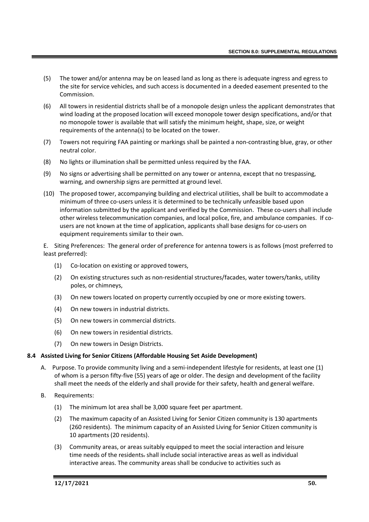- (5) The tower and/or antenna may be on leased land as long as there is adequate ingress and egress to the site for service vehicles, and such access is documented in a deeded easement presented to the Commission.
- (6) All towers in residential districts shall be of a monopole design unless the applicant demonstrates that wind loading at the proposed location will exceed monopole tower design specifications, and/or that no monopole tower is available that will satisfy the minimum height, shape, size, or weight requirements of the antenna(s) to be located on the tower.
- (7) Towers not requiring FAA painting or markings shall be painted a non-contrasting blue, gray, or other neutral color.
- (8) No lights or illumination shall be permitted unless required by the FAA.
- (9) No signs or advertising shall be permitted on any tower or antenna, except that no trespassing, warning, and ownership signs are permitted at ground level.
- (10) The proposed tower, accompanying building and electrical utilities, shall be built to accommodate a minimum of three co-users unless it is determined to be technically unfeasible based upon information submitted by the applicant and verified by the Commission. These co-users shall include other wireless telecommunication companies, and local police, fire, and ambulance companies. If cousers are not known at the time of application, applicants shall base designs for co-users on equipment requirements similar to their own.

E. Siting Preferences: The general order of preference for antenna towers is as follows (most preferred to least preferred):

- (1) Co-location on existing or approved towers,
- (2) On existing structures such as non-residential structures/facades, water towers/tanks, utility poles, or chimneys,
- (3) On new towers located on property currently occupied by one or more existing towers.
- (4) On new towers in industrial districts.
- (5) On new towers in commercial districts.
- (6) On new towers in residential districts.
- (7) On new towers in Design Districts.

### **8.4 Assisted Living for Senior Citizens (Affordable Housing Set Aside Development)**

- A. Purpose. To provide community living and a semi-independent lifestyle for residents, at least one (1) of whom is a person fifty-five (55) years of age or older. The design and development of the facility shall meet the needs of the elderly and shall provide for their safety, health and general welfare.
- B. Requirements:
	- (1) The minimum lot area shall be 3,000 square feet per apartment.
	- (2) The maximum capacity of an Assisted Living for Senior Citizen community is 130 apartments (260 residents). The minimum capacity of an Assisted Living for Senior Citizen community is 10 apartments (20 residents).
	- (3) Community areas, or areas suitably equipped to meet the social interaction and leisure time needs of the residents. shall include social interactive areas as well as individual interactive areas. The community areas shall be conducive to activities such as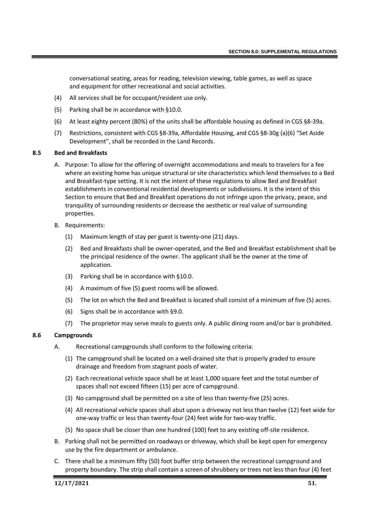conversational seating, areas for reading, television viewing, table games, as well as space and equipment for other recreational and social activities.

- (4) All services shall be for occupant/resident use only.
- (5) Parking shall be in accordance with §10.0.
- (6) At least eighty percent (80%) of the units shall be affordable housing as defined in CGS §8-39a.
- (7) Restrictions, consistent with CGS §8-39a, Affordable Housing, and CGS §8-30g (a)(6) "Set Aside Development", shall be recorded in the Land Records.

### **8.5 Bed and Breakfasts**

- A. Purpose: To allow for the offering of overnight accommodations and meals to travelers for a fee where an existing home has unique structural or site characteristics which lend themselves to a Bed and Breakfast-type setting. It is not the intent of these regulations to allow Bed and Breakfast establishments in conventional residential developments or subdivisions. It is the intent of this Section to ensure that Bed and Breakfast operations do not infringe upon the privacy, peace, and tranquility of surrounding residents or decrease the aesthetic or real value of surrounding properties.
- B. Requirements:
	- (1) Maximum length of stay per guest is twenty-one (21) days.
	- (2) Bed and Breakfasts shall be owner-operated, and the Bed and Breakfast establishment shall be the principal residence of the owner. The applicant shall be the owner at the time of application.
	- (3) Parking shall be in accordance with §10.0.
	- (4) A maximum of five (5) guest rooms will be allowed.
	- (5) The lot on which the Bed and Breakfast is located shall consist of a minimum of five (5) acres.
	- (6) Signs shall be in accordance with §9.0.
	- (7) The proprietor may serve meals to guests only. A public dining room and/or bar is prohibited.

# **8.6 Campgrounds**

- A. Recreational campgrounds shall conform to the following criteria:
	- (1) The campground shall be located on a well-drained site that is properly graded to ensure drainage and freedom from stagnant pools of water.
	- (2) Each recreational vehicle space shall be at least 1,000 square feet and the total number of spaces shall not exceed fifteen (15) per acre of campground.
	- (3) No campground shall be permitted on a site of less than twenty-five (25) acres.
	- (4) All recreational vehicle spaces shall abut upon a driveway not less than twelve (12) feet wide for one-way traffic or less than twenty-four (24) feet wide for two-way traffic.
	- (5) No space shall be closer than one hundred (100) feet to any existing off-site residence.
- B. Parking shall not be permitted on roadways or driveway, which shall be kept open for emergency use by the fire department or ambulance.
- C. There shall be a minimum fifty (50) foot buffer strip between the recreational campground and property boundary. The strip shall contain a screen of shrubbery or trees not less than four (4) feet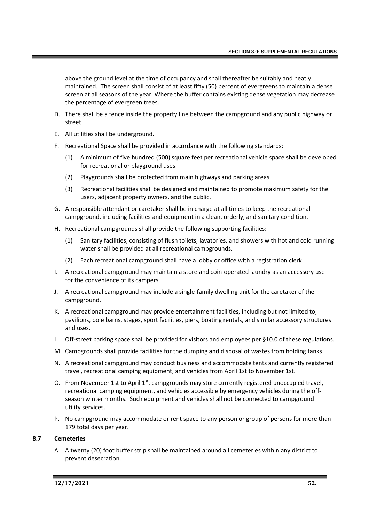above the ground level at the time of occupancy and shall thereafter be suitably and neatly maintained. The screen shall consist of at least fifty (50) percent of evergreens to maintain a dense screen at all seasons of the year. Where the buffer contains existing dense vegetation may decrease the percentage of evergreen trees.

- D. There shall be a fence inside the property line between the campground and any public highway or street.
- E. All utilities shall be underground.
- F. Recreational Space shall be provided in accordance with the following standards:
	- (1) A minimum of five hundred (500) square feet per recreational vehicle space shall be developed for recreational or playground uses.
	- (2) Playgrounds shall be protected from main highways and parking areas.
	- (3) Recreational facilities shall be designed and maintained to promote maximum safety for the users, adjacent property owners, and the public.
- G. A responsible attendant or caretaker shall be in charge at all times to keep the recreational campground, including facilities and equipment in a clean, orderly, and sanitary condition.
- H. Recreational campgrounds shall provide the following supporting facilities:
	- (1) Sanitary facilities, consisting of flush toilets, lavatories, and showers with hot and cold running water shall be provided at all recreational campgrounds.
	- (2) Each recreational campground shall have a lobby or office with a registration clerk.
- I. A recreational campground may maintain a store and coin-operated laundry as an accessory use for the convenience of its campers.
- J. A recreational campground may include a single-family dwelling unit for the caretaker of the campground.
- K. A recreational campground may provide entertainment facilities, including but not limited to, pavilions, pole barns, stages, sport facilities, piers, boating rentals, and similar accessory structures and uses.
- L. Off-street parking space shall be provided for visitors and employees per §10.0 of these regulations.
- M. Campgrounds shall provide facilities for the dumping and disposal of wastes from holding tanks.
- N. A recreational campground may conduct business and accommodate tents and currently registered travel, recreational camping equipment, and vehicles from April 1st to November 1st.
- O. From November 1st to April 1<sup>st</sup>, campgrounds may store currently registered unoccupied travel, recreational camping equipment, and vehicles accessible by emergency vehicles during the offseason winter months. Such equipment and vehicles shall not be connected to campground utility services.
- P. No campground may accommodate or rent space to any person or group of persons for more than 179 total days per year.

### **8.7 Cemeteries**

A. A twenty (20) foot buffer strip shall be maintained around all cemeteries within any district to prevent desecration.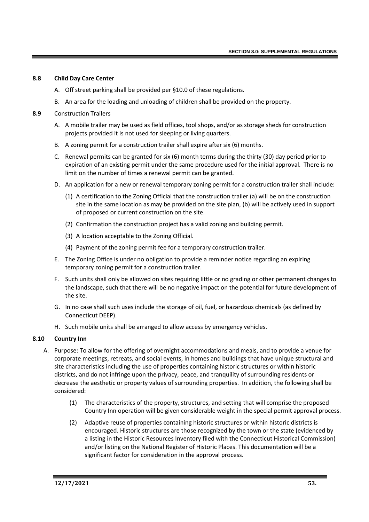### **8.8 Child Day Care Center**

- A. Off street parking shall be provided per §10.0 of these regulations.
- B. An area for the loading and unloading of children shall be provided on the property.

### **8.9** Construction Trailers

- A. A mobile trailer may be used as field offices, tool shops, and/or as storage sheds for construction projects provided it is not used for sleeping or living quarters.
- B. A zoning permit for a construction trailer shall expire after six (6) months.
- C. Renewal permits can be granted for six (6) month terms during the thirty (30) day period prior to expiration of an existing permit under the same procedure used for the initial approval. There is no limit on the number of times a renewal permit can be granted.
- D. An application for a new or renewal temporary zoning permit for a construction trailer shall include:
	- (1) A certification to the Zoning Official that the construction trailer (a) will be on the construction site in the same location as may be provided on the site plan, (b) will be actively used in support of proposed or current construction on the site.
	- (2) Confirmation the construction project has a valid zoning and building permit.
	- (3) A location acceptable to the Zoning Official.
	- (4) Payment of the zoning permit fee for a temporary construction trailer.
- E. The Zoning Office is under no obligation to provide a reminder notice regarding an expiring temporary zoning permit for a construction trailer.
- F. Such units shall only be allowed on sites requiring little or no grading or other permanent changes to the landscape, such that there will be no negative impact on the potential for future development of the site.
- G. In no case shall such uses include the storage of oil, fuel, or hazardous chemicals (as defined by Connecticut DEEP).
- H. Such mobile units shall be arranged to allow access by emergency vehicles.

### **8.10 Country Inn**

- A. Purpose: To allow for the offering of overnight accommodations and meals, and to provide a venue for corporate meetings, retreats, and social events, in homes and buildings that have unique structural and site characteristics including the use of properties containing historic structures or within historic districts, and do not infringe upon the privacy, peace, and tranquility of surrounding residents or decrease the aesthetic or property values of surrounding properties. In addition, the following shall be considered:
	- (1) The characteristics of the property, structures, and setting that will comprise the proposed Country Inn operation will be given considerable weight in the special permit approval process.
	- (2) Adaptive reuse of properties containing historic structures or within historic districts is encouraged. Historic structures are those recognized by the town or the state (evidenced by a listing in the Historic Resources Inventory filed with the Connecticut Historical Commission) and/or listing on the National Register of Historic Places. This documentation will be a significant factor for consideration in the approval process.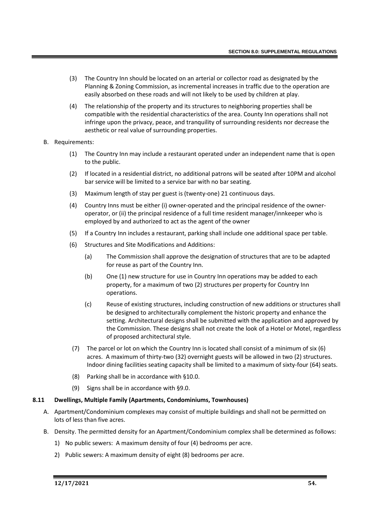- (3) The Country Inn should be located on an arterial or collector road as designated by the Planning & Zoning Commission, as incremental increases in traffic due to the operation are easily absorbed on these roads and will not likely to be used by children at play.
- (4) The relationship of the property and its structures to neighboring properties shall be compatible with the residential characteristics of the area. County Inn operations shall not infringe upon the privacy, peace, and tranquility of surrounding residents nor decrease the aesthetic or real value of surrounding properties.
- B. Requirements:
	- (1) The Country Inn may include a restaurant operated under an independent name that is open to the public.
	- (2) If located in a residential district, no additional patrons will be seated after 10PM and alcohol bar service will be limited to a service bar with no bar seating.
	- (3) Maximum length of stay per guest is (twenty-one) 21 continuous days.
	- (4) Country Inns must be either (i) owner-operated and the principal residence of the owneroperator, or (ii) the principal residence of a full time resident manager/innkeeper who is employed by and authorized to act as the agent of the owner
	- (5) If a Country Inn includes a restaurant, parking shall include one additional space per table.
	- (6) Structures and Site Modifications and Additions:
		- (a) The Commission shall approve the designation of structures that are to be adapted for reuse as part of the Country Inn.
		- (b) One (1) new structure for use in Country Inn operations may be added to each property, for a maximum of two (2) structures per property for Country Inn operations.
		- (c) Reuse of existing structures, including construction of new additions or structures shall be designed to architecturally complement the historic property and enhance the setting. Architectural designs shall be submitted with the application and approved by the Commission. These designs shall not create the look of a Hotel or Motel, regardless of proposed architectural style.
	- (7) The parcel or lot on which the Country Inn is located shall consist of a minimum of six (6) acres. A maximum of thirty-two (32) overnight guests will be allowed in two (2) structures. Indoor dining facilities seating capacity shall be limited to a maximum of sixty-four (64) seats.
	- (8) Parking shall be in accordance with §10.0.
	- (9) Signs shall be in accordance with §9.0.

### **8.11 Dwellings, Multiple Family (Apartments, Condominiums, Townhouses)**

- A. Apartment/Condominium complexes may consist of multiple buildings and shall not be permitted on lots of less than five acres.
- B. Density. The permitted density for an Apartment/Condominium complex shall be determined as follows:
	- 1) No public sewers: A maximum density of four (4) bedrooms per acre.
	- 2) Public sewers: A maximum density of eight (8) bedrooms per acre.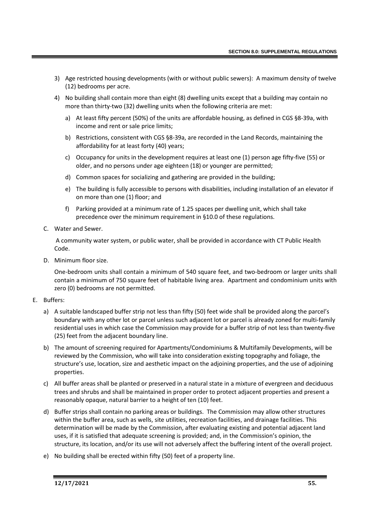- 3) Age restricted housing developments (with or without public sewers): A maximum density of twelve (12) bedrooms per acre.
- 4) No building shall contain more than eight (8) dwelling units except that a building may contain no more than thirty-two (32) dwelling units when the following criteria are met:
	- a) At least fifty percent (50%) of the units are affordable housing, as defined in CGS §8-39a, with income and rent or sale price limits;
	- b) Restrictions, consistent with CGS §8-39a, are recorded in the Land Records, maintaining the affordability for at least forty (40) years;
	- c) Occupancy for units in the development requires at least one (1) person age fifty-five (55) or older, and no persons under age eighteen (18) or younger are permitted;
	- d) Common spaces for socializing and gathering are provided in the building;
	- e) The building is fully accessible to persons with disabilities, including installation of an elevator if on more than one (1) floor; and
	- f) Parking provided at a minimum rate of 1.25 spaces per dwelling unit, which shall take precedence over the minimum requirement in §10.0 of these regulations.
- C. Water and Sewer.

A community water system, or public water, shall be provided in accordance with CT Public Health Code.

D. Minimum floor size.

One-bedroom units shall contain a minimum of 540 square feet, and two-bedroom or larger units shall contain a minimum of 750 square feet of habitable living area. Apartment and condominium units with zero (0) bedrooms are not permitted.

- E. Buffers:
	- a) A suitable landscaped buffer strip not less than fifty (50) feet wide shall be provided along the parcel's boundary with any other lot or parcel unless such adjacent lot or parcel is already zoned for multi-family residential uses in which case the Commission may provide for a buffer strip of not less than twenty-five (25) feet from the adjacent boundary line.
	- b) The amount of screening required for Apartments/Condominiums & Multifamily Developments, will be reviewed by the Commission, who will take into consideration existing topography and foliage, the structure's use, location, size and aesthetic impact on the adjoining properties, and the use of adjoining properties.
	- c) All buffer areas shall be planted or preserved in a natural state in a mixture of evergreen and deciduous trees and shrubs and shall be maintained in proper order to protect adjacent properties and present a reasonably opaque, natural barrier to a height of ten (10) feet.
	- d) Buffer strips shall contain no parking areas or buildings. The Commission may allow other structures within the buffer area, such as wells, site utilities, recreation facilities, and drainage facilities. This determination will be made by the Commission, after evaluating existing and potential adjacent land uses, if it is satisfied that adequate screening is provided; and, in the Commission's opinion, the structure, its location, and/or its use will not adversely affect the buffering intent of the overall project.
	- e) No building shall be erected within fifty (50) feet of a property line.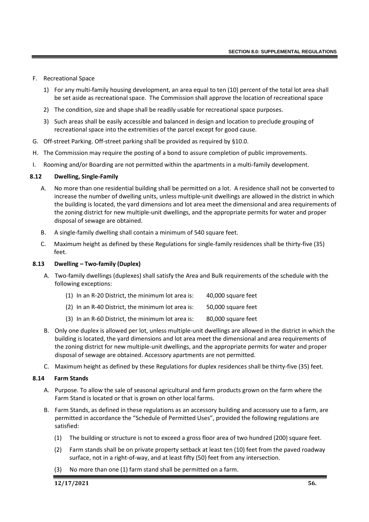- F. Recreational Space
	- 1) For any multi-family housing development, an area equal to ten (10) percent of the total lot area shall be set aside as recreational space. The Commission shall approve the location of recreational space
	- 2) The condition, size and shape shall be readily usable for recreational space purposes.
	- 3) Such areas shall be easily accessible and balanced in design and location to preclude grouping of recreational space into the extremities of the parcel except for good cause.
- G. Off-street Parking. Off-street parking shall be provided as required by §10.0.
- H. The Commission may require the posting of a bond to assure completion of public improvements.
- I. Rooming and/or Boarding are not permitted within the apartments in a multi-family development.

#### **8.12 Dwelling, Single-Family**

- A. No more than one residential building shall be permitted on a lot. A residence shall not be converted to increase the number of dwelling units, unless multiple-unit dwellings are allowed in the district in which the building is located, the yard dimensions and lot area meet the dimensional and area requirements of the zoning district for new multiple-unit dwellings, and the appropriate permits for water and proper disposal of sewage are obtained.
- B. A single-family dwelling shall contain a minimum of 540 square feet.
- C. Maximum height as defined by these Regulations for single-family residences shall be thirty-five (35) feet.

#### **8.13 Dwelling – Two-family (Duplex)**

A. Two-family dwellings (duplexes) shall satisfy the Area and Bulk requirements of the schedule with the following exceptions:

| $(1)$ In an R-20 District, the minimum lot area is: | 40,000 square feet |
|-----------------------------------------------------|--------------------|
| (2) In an R-40 District, the minimum lot area is:   | 50,000 square feet |
| $(3)$ In an R-60 District, the minimum lot area is: | 80,000 square feet |

- B. Only one duplex is allowed per lot, unless multiple-unit dwellings are allowed in the district in which the building is located, the yard dimensions and lot area meet the dimensional and area requirements of the zoning district for new multiple-unit dwellings, and the appropriate permits for water and proper disposal of sewage are obtained. Accessory apartments are not permitted.
- C. Maximum height as defined by these Regulations for duplex residences shall be thirty-five (35) feet.

### **8.14 Farm Stands**

- A. Purpose. To allow the sale of seasonal agricultural and farm products grown on the farm where the Farm Stand is located or that is grown on other local farms.
- B. Farm Stands, as defined in these regulations as an accessory building and accessory use to a farm, are permitted in accordance the "Schedule of Permitted Uses", provided the following regulations are satisfied:
	- (1) The building or structure is not to exceed a gross floor area of two hundred (200) square feet.
	- (2) Farm stands shall be on private property setback at least ten (10) feet from the paved roadway surface, not in a right-of-way, and at least fifty (50) feet from any intersection.
	- (3) No more than one (1) farm stand shall be permitted on a farm.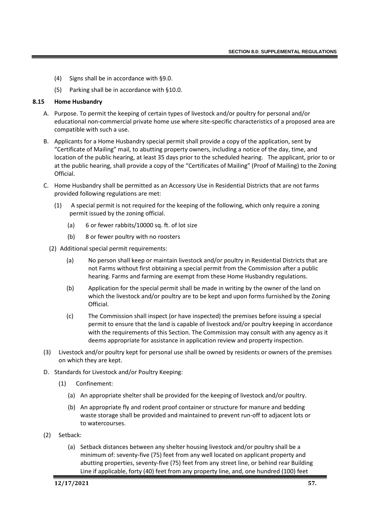- (4) Signs shall be in accordance with §9.0.
- (5) Parking shall be in accordance with §10.0.

### **8.15 Home Husbandry**

- A. Purpose. To permit the keeping of certain types of livestock and/or poultry for personal and/or educational non-commercial private home use where site-specific characteristics of a proposed area are compatible with such a use.
- B. Applicants for a Home Husbandry special permit shall provide a copy of the application, sent by "Certificate of Mailing" mail, to abutting property owners, including a notice of the day, time, and location of the public hearing, at least 35 days prior to the scheduled hearing. The applicant, prior to or at the public hearing, shall provide a copy of the "Certificates of Mailing" (Proof of Mailing) to the Zoning Official.
- C. Home Husbandry shall be permitted as an Accessory Use in Residential Districts that are not farms provided following regulations are met:
	- (1) A special permit is not required for the keeping of the following, which only require a zoning permit issued by the zoning official.
		- (a) 6 or fewer rabbits/10000 sq. ft. of lot size
		- (b) 8 or fewer poultry with no roosters
	- (2) Additional special permit requirements:
		- (a) No person shall keep or maintain livestock and/or poultry in Residential Districts that are not Farms without first obtaining a special permit from the Commission after a public hearing. Farms and farming are exempt from these Home Husbandry regulations.
		- (b) Application for the special permit shall be made in writing by the owner of the land on which the livestock and/or poultry are to be kept and upon forms furnished by the Zoning Official.
		- (c) The Commission shall inspect (or have inspected) the premises before issuing a special permit to ensure that the land is capable of livestock and/or poultry keeping in accordance with the requirements of this Section. The Commission may consult with any agency as it deems appropriate for assistance in application review and property inspection.
- (3) Livestock and/or poultry kept for personal use shall be owned by residents or owners of the premises on which they are kept.
- D. Standards for Livestock and/or Poultry Keeping:
	- (1) Confinement:
		- (a) An appropriate shelter shall be provided for the keeping of livestock and/or poultry.
		- (b) An appropriate fly and rodent proof container or structure for manure and bedding waste storage shall be provided and maintained to prevent run-off to adjacent lots or to watercourses.
- (2) Setback:
	- (a) Setback distances between any shelter housing livestock and/or poultry shall be a minimum of: seventy-five (75) feet from any well located on applicant property and abutting properties, seventy-five (75) feet from any street line, or behind rear Building Line if applicable, forty (40) feet from any property line, and, one hundred (100) feet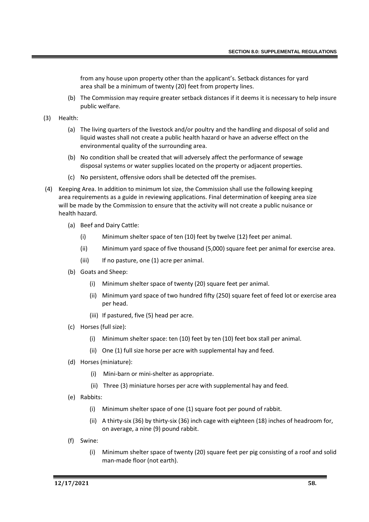from any house upon property other than the applicant's. Setback distances for yard area shall be a minimum of twenty (20) feet from property lines.

- (b) The Commission may require greater setback distances if it deems it is necessary to help insure public welfare.
- (3) Health:
	- (a) The living quarters of the livestock and/or poultry and the handling and disposal of solid and liquid wastes shall not create a public health hazard or have an adverse effect on the environmental quality of the surrounding area.
	- (b) No condition shall be created that will adversely affect the performance of sewage disposal systems or water supplies located on the property or adjacent properties.
	- (c) No persistent, offensive odors shall be detected off the premises.
- (4) Keeping Area. In addition to minimum lot size, the Commission shall use the following keeping area requirements as a guide in reviewing applications. Final determination of keeping area size will be made by the Commission to ensure that the activity will not create a public nuisance or health hazard.
	- (a) Beef and Dairy Cattle:
		- (i) Minimum shelter space of ten (10) feet by twelve (12) feet per animal.
		- (ii) Minimum yard space of five thousand (5,000) square feet per animal for exercise area.
		- (iii) If no pasture, one (1) acre per animal.
	- (b) Goats and Sheep:
		- (i) Minimum shelter space of twenty (20) square feet per animal.
		- (ii) Minimum yard space of two hundred fifty (250) square feet of feed lot or exercise area per head.
		- (iii) If pastured, five (5) head per acre.
	- (c) Horses (full size):
		- (i) Minimum shelter space: ten (10) feet by ten (10) feet box stall per animal.
		- (ii) One (1) full size horse per acre with supplemental hay and feed.
	- (d) Horses (miniature):
		- (i) Mini-barn or mini-shelter as appropriate.
		- (ii) Three (3) miniature horses per acre with supplemental hay and feed.
	- (e) Rabbits:
		- (i) Minimum shelter space of one (1) square foot per pound of rabbit.
		- (ii) A thirty-six (36) by thirty-six (36) inch cage with eighteen (18) inches of headroom for, on average, a nine (9) pound rabbit.
	- (f) Swine:
		- (i) Minimum shelter space of twenty (20) square feet per pig consisting of a roof and solid man-made floor (not earth).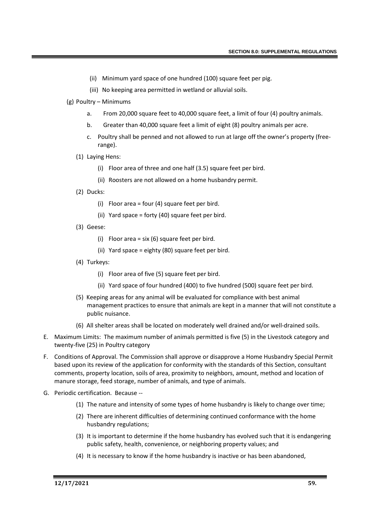- (ii) Minimum yard space of one hundred (100) square feet per pig.
- (iii) No keeping area permitted in wetland or alluvial soils.
- (g) Poultry Minimums
	- a. From 20,000 square feet to 40,000 square feet, a limit of four (4) poultry animals.
	- b. Greater than 40,000 square feet a limit of eight (8) poultry animals per acre.
	- c. Poultry shall be penned and not allowed to run at large off the owner's property (freerange).
	- (1) Laying Hens:
		- (i) Floor area of three and one half (3.5) square feet per bird.
		- (ii) Roosters are not allowed on a home husbandry permit.
	- (2) Ducks:
		- (i) Floor area = four (4) square feet per bird.
		- (ii) Yard space = forty (40) square feet per bird.
	- (3) Geese:
		- (i) Floor area = six (6) square feet per bird.
		- (ii) Yard space = eighty (80) square feet per bird.
	- (4) Turkeys:
		- (i) Floor area of five (5) square feet per bird.
		- (ii) Yard space of four hundred (400) to five hundred (500) square feet per bird.
	- (5) Keeping areas for any animal will be evaluated for compliance with best animal management practices to ensure that animals are kept in a manner that will not constitute a public nuisance.
	- (6) All shelter areas shall be located on moderately well drained and/or well-drained soils.
- E. Maximum Limits: The maximum number of animals permitted is five (5) in the Livestock category and twenty-five (25) in Poultry category
- F. Conditions of Approval. The Commission shall approve or disapprove a Home Husbandry Special Permit based upon its review of the application for conformity with the standards of this Section, consultant comments, property location, soils of area, proximity to neighbors, amount, method and location of manure storage, feed storage, number of animals, and type of animals.
- G. Periodic certification. Because --
	- (1) The nature and intensity of some types of home husbandry is likely to change over time;
	- (2) There are inherent difficulties of determining continued conformance with the home husbandry regulations;
	- (3) It is important to determine if the home husbandry has evolved such that it is endangering public safety, health, convenience, or neighboring property values; and
	- (4) It is necessary to know if the home husbandry is inactive or has been abandoned,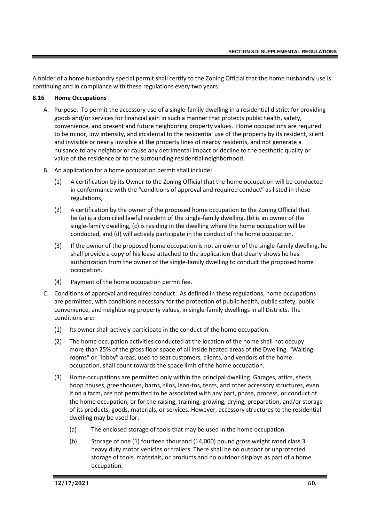A holder of a home husbandry special permit shall certify to the Zoning Official that the home husbandry use is continuing and in compliance with these regulations every two years.

### **8.16 Home Occupations**

- A. Purpose. To permit the accessory use of a single-family dwelling in a residential district for providing goods and/or services for financial gain in such a manner that protects public health, safety, convenience, and present and future neighboring property values. Home occupations are required to be minor, low intensity, and incidental to the residential use of the property by its resident, silent and invisible or nearly invisible at the property lines of nearby residents, and not generate a nuisance to any neighbor or cause any detrimental impact or decline to the aesthetic quality or value of the residence or to the surrounding residential neighborhood.
- B. An application for a home occupation permit shall include:
	- (1) A certification by its Owner to the Zoning Official that the home occupation will be conducted in conformance with the "conditions of approval and required conduct" as listed in these regulations,
	- (2) A certification by the owner of the proposed home occupation to the Zoning Official that he (a) is a domiciled lawful resident of the single-family dwelling, (b) is an owner of the single-family dwelling, (c) is residing in the dwelling where the home occupation will be conducted, and (d) will actively participate in the conduct of the home occupation.
	- (3) If the owner of the proposed home occupation is not an owner of the single-family dwelling, he shall provide a copy of his lease attached to the application that clearly shows he has authorization from the owner of the single-family dwelling to conduct the proposed home occupation.
	- (4) Payment of the home occupation permit fee.
- C. Conditions of approval and required conduct: As defined in these regulations, home occupations are permitted, with conditions necessary for the protection of public health, public safety, public convenience, and neighboring property values, in single-family dwellings in all Districts. The conditions are:
	- (1) Its owner shall actively participate in the conduct of the home occupation.
	- (2) The home occupation activities conducted at the location of the home shall not occupy more than 25% of the gross floor space of all inside heated areas of the Dwelling. "Waiting rooms" or "lobby" areas, used to seat customers, clients, and vendors of the home occupation, shall count towards the space limit of the home occupation.
	- (3) Home occupations are permitted only within the principal dwelling. Garages, attics, sheds, hoop houses, greenhouses, barns, silos, lean-tos, tents, and other accessory structures, even if on a farm, are not permitted to be associated with any part, phase, process, or conduct of the home occupation, or for the raising, training, growing, drying, preparation, and/or storage of its products, goods, materials, or services. However, accessory structures to the residential dwelling may be used for:
		- (a) The enclosed storage of tools that may be used in the home occupation.
		- (b) Storage of one (1) fourteen thousand (14,000) pound gross weight rated class 3 heavy duty motor vehicles or trailers. There shall be no outdoor or unprotected storage of tools, materials, or products and no outdoor displays as part of a home occupation.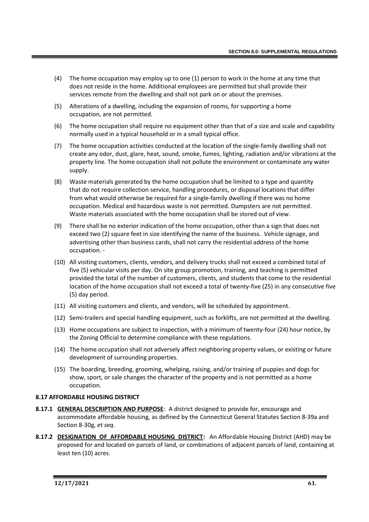- (4) The home occupation may employ up to one (1) person to work in the home at any time that does not reside in the home. Additional employees are permitted but shall provide their services remote from the dwelling and shall not park on or about the premises.
- (5) Alterations of a dwelling, including the expansion of rooms, for supporting a home occupation, are not permitted.
- (6) The home occupation shall require no equipment other than that of a size and scale and capability normally used in a typical household or in a small typical office.
- (7) The home occupation activities conducted at the location of the single-family dwelling shall not create any odor, dust, glare, heat, sound, smoke, fumes, lighting, radiation and/or vibrations at the property line. The home occupation shall not pollute the environment or contaminate any water supply.
- (8) Waste materials generated by the home occupation shall be limited to a type and quantity that do not require collection service, handling procedures, or disposal locations that differ from what would otherwise be required for a single-family dwelling if there was no home occupation. Medical and hazardous waste is not permitted. Dumpsters are not permitted. Waste materials associated with the home occupation shall be stored out of view.
- (9) There shall be no exterior indication of the home occupation, other than a sign that does not exceed two (2) square feet in size identifying the name of the business. Vehicle signage, and advertising other than business cards, shall not carry the residential address of the home occupation. -
- (10) All visiting customers, clients, vendors, and delivery trucks shall not exceed a combined total of five (5) vehicular visits per day. On site group promotion, training, and teaching is permitted provided the total of the number of customers, clients, and students that come to the residential location of the home occupation shall not exceed a total of twenty-five (25) in any consecutive five (5) day period.
- (11) All visiting customers and clients, and vendors, will be scheduled by appointment.
- (12) Semi-trailers and special handling equipment, such as forklifts, are not permitted at the dwelling.
- (13) Home occupations are subject to inspection, with a minimum of twenty-four (24) hour notice, by the Zoning Official to determine compliance with these regulations.
- (14) The home occupation shall not adversely affect neighboring property values, or existing or future development of surrounding properties.
- (15) The boarding, breeding, grooming, whelping, raising, and/or training of puppies and dogs for show, sport, or sale changes the character of the property and is not permitted as a home occupation.

### **8.17 AFFORDABLE HOUSING DISTRICT**

- **8.17.1 GENERAL DESCRIPTION AND PURPOSE**: A district designed to provide for, encourage and accommodate affordable housing, as defined by the Connecticut General Statutes Section 8-39a and Section 8-30g, *et seq*.
- **8.17.2 DESIGNATION OF AFFORDABLE HOUSING DISTRICT:** An Affordable Housing District (AHD) may be proposed for and located on parcels of land, or combinations of adjacent parcels of land, containing at least ten (10) acres.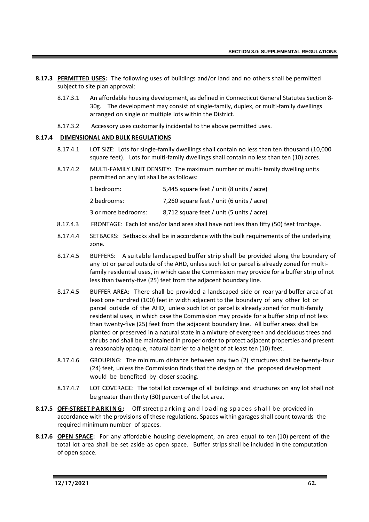- **8.17.3 PERMITTED USES:** The following uses of buildings and/or land and no others shall be permitted subject to site plan approval:
	- 8.17.3.1 An affordable housing development, as defined in Connecticut General Statutes Section 8- 30g. The development may consist of single-family, duplex, or multi-family dwellings arranged on single or multiple lots within the District.
	- 8.17.3.2 Accessory uses customarily incidental to the above permitted uses.

# **8.17.4 DIMENSIONAL AND BULK REGULATIONS**

- 8.17.4.1 LOT SIZE: Lots for single-family dwellings shall contain no less than ten thousand (10,000 square feet). Lots for multi-family dwellings shall contain no less than ten (10) acres.
- 8.17.4.2 MULTI-FAMILY UNIT DENSITY: The maximum number of multi- family dwelling units permitted on any lot shall be as follows:

| 1 bedroom:          | 5,445 square feet / unit (8 units / acre) |
|---------------------|-------------------------------------------|
| 2 bedrooms:         | 7,260 square feet / unit (6 units / acre) |
| 3 or more bedrooms: | 8,712 square feet / unit (5 units / acre) |

- 8.17.4.3 FRONTAGE: Each lot and/or land area shall have not less than fifty (50) feet frontage.
- 8.17.4.4 SETBACKS: Setbacks shall be in accordance with the bulk requirements of the underlying zone.
- 8.17.4.5 BUFFERS: A suitable landscaped buffer strip shall be provided along the boundary of any lot or parcel outside of the AHD, unless such lot or parcel is already zoned for multifamily residential uses, in which case the Commission may provide for a buffer strip of not less than twenty-five (25) feet from the adjacent boundary line.
- 8.17.4.5 BUFFER AREA: There shall be provided a landscaped side or rear yard buffer area of at least one hundred (100) feet in width adjacent to the boundary of any other lot or parcel outside of the AHD, unless such lot or parcel is already zoned for multi-family residential uses, in which case the Commission may provide for a buffer strip of not less than twenty-five (25) feet from the adjacent boundary line. All buffer areas shall be planted or preserved in a natural state in a mixture of evergreen and deciduous trees and shrubs and shall be maintained in proper order to protect adjacent properties and present a reasonably opaque, natural barrier to a height of at least ten (10) feet.
- 8.17.4.6 GROUPING: The minimum distance between any two (2) structures shall be twenty-four (24) feet, unless the Commission finds that the design of the proposed development would be benefited by closer spacing.
- 8.17.4.7 LOT COVERAGE: The total lot coverage of all buildings and structures on any lot shall not be greater than thirty (30) percent of the lot area.
- **8.17.5 OFF-STREET PARKING:** Off-street parking and loading spaces shall be provided in accordance with the provisions of these regulations. Spaces within garages shall count towards the required minimum number of spaces.
- **8.17.6 OPEN SPACE:** For any affordable housing development, an area equal to ten (10) percent of the total lot area shall be set aside as open space. Buffer strips shall be included in the computation of open space.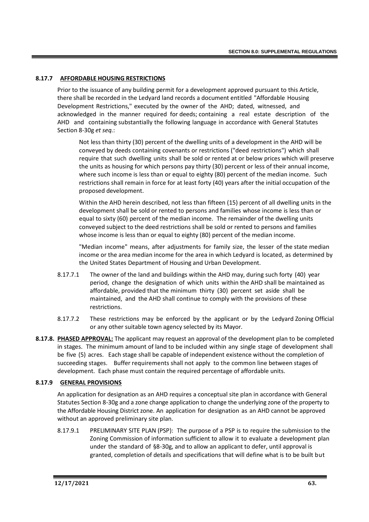# **8.17.7 AFFORDABLE HOUSING RESTRICTIONS**

Prior to the issuance of any building permit for a development approved pursuant to this Article, there shall be recorded in the Ledyard land records a document entitled "Affordable Housing Development Restrictions," executed by the owner of the AHD; dated, witnessed, and acknowledged in the manner required for deeds; containing a real estate description of the AHD and containing substantially the following language in accordance with General Statutes Section 8-30g *et seq.*:

Not less than thirty (30) percent of the dwelling units of a development in the AHD will be conveyed by deeds containing covenants or restrictions ("deed restrictions") which shall require that such dwelling units shall be sold or rented at or below prices which will preserve the units as housing for which persons pay thirty (30) percent or less of their annual income, where such income is less than or equal to eighty (80) percent of the median income. Such restrictions shall remain in force for at least forty (40) years after the initial occupation of the proposed development.

Within the AHD herein described, not less than fifteen (15) percent of all dwelling units in the development shall be sold or rented to persons and families whose income is less than or equal to sixty (60) percent of the median income. The remainder of the dwelling units conveyed subject to the deed restrictions shall be sold or rented to persons and families whose income is less than or equal to eighty (80) percent of the median income.

"Median income" means, after adjustments for family size, the lesser of the state median income or the area median income for the area in which Ledyard is located, as determined by the United States Department of Housing and Urban Development.

- 8.17.7.1 The owner of the land and buildings within the AHD may, during such forty (40) year period, change the designation of which units within the AHD shall be maintained as affordable, provided that the minimum thirty (30) percent set aside shall be maintained, and the AHD shall continue to comply with the provisions of these restrictions.
- 8.17.7.2 These restrictions may be enforced by the applicant or by the Ledyard Zoning Official or any other suitable town agency selected by its Mayor.
- **8.17.8. PHASED APPROVAL:** The applicant may request an approval of the development plan to be completed in stages. The minimum amount of land to be included within any single stage of development shall be five (5) acres. Each stage shall be capable of independent existence without the completion of succeeding stages. Buffer requirements shall not apply to the common line between stages of development. Each phase must contain the required percentage of affordable units.

### **8.17.9 GENERAL PROVISIONS**

An application for designation as an AHD requires a conceptual site plan in accordance with General Statutes Section 8-30g and a zone change application to change the underlying zone of the property to the Affordable Housing District zone. An application for designation as an AHD cannot be approved without an approved preliminary site plan.

8.17.9.1 PRELIMINARY SITE PLAN (PSP): The purpose of a PSP is to require the submission to the Zoning Commission of information sufficient to allow it to evaluate a development plan under the standard of §8-30g, and to allow an applicant to defer, until approval is granted, completion of details and specifications that will define what is to be built but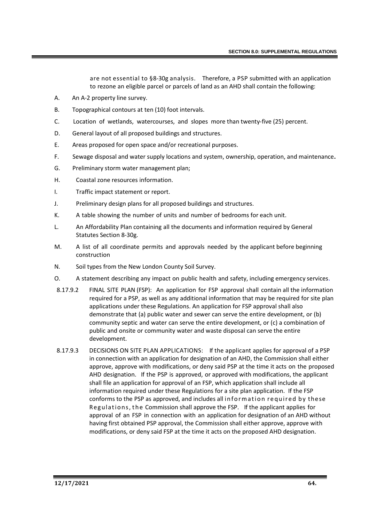are not essential to §8-30g analysis. Therefore, a PSP submitted with an application to rezone an eligible parcel or parcels of land as an AHD shall contain the following:

- A. An A-2 property line survey.
- B. Topographical contours at ten (10) foot intervals.
- C. Location of wetlands, watercourses, and slopes more than twenty-five (25) percent.
- D. General layout of all proposed buildings and structures.
- E. Areas proposed for open space and/or recreational purposes.
- F. Sewage disposal and water supply locations and system, ownership, operation, and maintenance**.**
- G. Preliminary storm water management plan;
- H. Coastal zone resources information.
- I. Traffic impact statement or report.
- J. Preliminary design plans for all proposed buildings and structures.
- K. A table showing the number of units and number of bedrooms for each unit.
- L. An Affordability Plan containing all the documents and information required by General Statutes Section 8-30g.
- M. A list of all coordinate permits and approvals needed by the applicant before beginning construction
- N. Soil types from the New London County Soil Survey.
- O. A statement describing any impact on public health and safety, including emergency services.
- 8.17.9.2 FINAL SITE PLAN (FSP): An application for FSP approval shall contain all the information required for a PSP, as well as any additional information that may be required for site plan applications under these Regulations. An application for FSP approval shall also demonstrate that (a) public water and sewer can serve the entire development, or (b) community septic and water can serve the entire development, or (c) a combination of public and onsite or community water and waste disposal can serve the entire development.
- 8.17.9.3 DECISIONS ON SITE PLAN APPLICATIONS: If the applicant applies for approval of a PSP in connection with an application for designation of an AHD, the Commission shall either approve, approve with modifications, or deny said PSP at the time it acts on the proposed AHD designation. If the PSP is approved, or approved with modifications, the applicant shall file an application for approval of an FSP, which application shall include all information required under these Regulations for a site plan application. If the FSP conforms to the PSP as approved, and includes all information required by these Regulations, the Commission shall approve the FSP. If the applicant applies for approval of an FSP in connection with an application for designation of an AHD without having first obtained PSP approval, the Commission shall either approve, approve with modifications, or deny said FSP at the time it acts on the proposed AHD designation.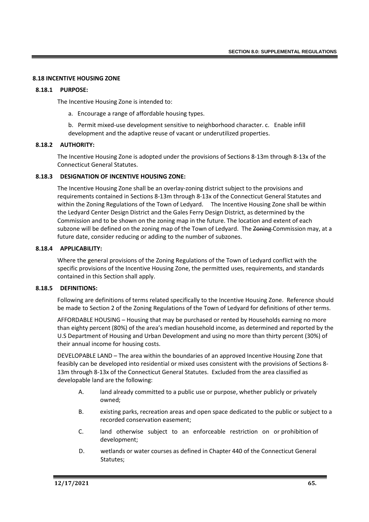### **8.18 INCENTIVE HOUSING ZONE**

#### **8.18.1 PURPOSE:**

The Incentive Housing Zone is intended to:

- a. Encourage a range of affordable housing types.
- b. Permit mixed-use development sensitive to neighborhood character. c. Enable infill development and the adaptive reuse of vacant or underutilized properties.

### **8.18.2 AUTHORITY:**

The Incentive Housing Zone is adopted under the provisions of Sections 8-13m through 8-13x of the Connecticut General Statutes.

#### **8.18.3 DESIGNATION OF INCENTIVE HOUSING ZONE:**

The Incentive Housing Zone shall be an overlay-zoning district subject to the provisions and requirements contained in Sections 8-13m through 8-13x of the Connecticut General Statutes and within the Zoning Regulations of the Town of Ledyard. The Incentive Housing Zone shall be within the Ledyard Center Design District and the Gales Ferry Design District, as determined by the Commission and to be shown on the zoning map in the future. The location and extent of each subzone will be defined on the zoning map of the Town of Ledyard. The Zoning Commission may, at a future date, consider reducing or adding to the number of subzones.

### **8.18.4 APPLICABILITY:**

Where the general provisions of the Zoning Regulations of the Town of Ledyard conflict with the specific provisions of the Incentive Housing Zone, the permitted uses, requirements, and standards contained in this Section shall apply.

### **8.18.5 DEFINITIONS:**

Following are definitions of terms related specifically to the Incentive Housing Zone. Reference should be made to Section 2 of the Zoning Regulations of the Town of Ledyard for definitions of other terms.

AFFORDABLE HOUSING – Housing that may be purchased or rented by Households earning no more than eighty percent (80%) of the area's median household income, as determined and reported by the U.S Department of Housing and Urban Development and using no more than thirty percent (30%) of their annual income for housing costs.

DEVELOPABLE LAND – The area within the boundaries of an approved Incentive Housing Zone that feasibly can be developed into residential or mixed uses consistent with the provisions of Sections 8- 13m through 8-13x of the Connecticut General Statutes. Excluded from the area classified as developable land are the following:

- A. land already committed to a public use or purpose, whether publicly or privately owned;
- B. existing parks, recreation areas and open space dedicated to the public or subject to a recorded conservation easement;
- C. land otherwise subject to an enforceable restriction on or prohibition of development;
- D. wetlands or water courses as defined in Chapter 440 of the Connecticut General Statutes;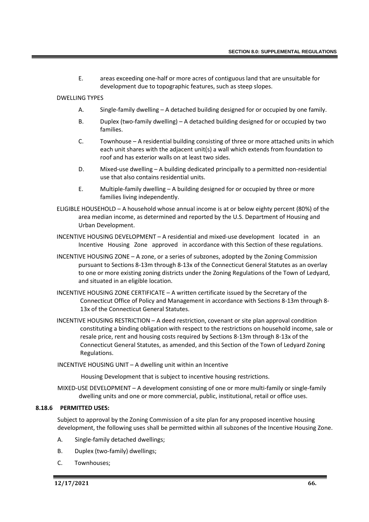E. areas exceeding one-half or more acres of contiguous land that are unsuitable for development due to topographic features, such as steep slopes.

### DWELLING TYPES

- A. Single-family dwelling A detached building designed for or occupied by one family.
- B. Duplex (two-family dwelling) A detached building designed for or occupied by two families.
- C. Townhouse A residential building consisting of three or more attached units in which each unit shares with the adjacent unit(s) a wall which extends from foundation to roof and has exterior walls on at least two sides.
- D. Mixed-use dwelling A building dedicated principally to a permitted non-residential use that also contains residential units.
- E. Multiple-family dwelling A building designed for or occupied by three or more families living independently.
- ELIGIBLE HOUSEHOLD A household whose annual income is at or below eighty percent (80%) of the area median income, as determined and reported by the U.S. Department of Housing and Urban Development.
- INCENTIVE HOUSING DEVELOPMENT A residential and mixed-use development located in an Incentive Housing Zone approved in accordance with this Section of these regulations.
- INCENTIVE HOUSING ZONE A zone, or a series of subzones, adopted by the Zoning Commission pursuant to Sections 8-13m through 8-13x of the Connecticut General Statutes as an overlay to one or more existing zoning districts under the Zoning Regulations of the Town of Ledyard, and situated in an eligible location.
- INCENTIVE HOUSING ZONE CERTIFICATE A written certificate issued by the Secretary of the Connecticut Office of Policy and Management in accordance with Sections 8-13m through 8- 13x of the Connecticut General Statutes.
- INCENTIVE HOUSING RESTRICTION A deed restriction, covenant or site plan approval condition constituting a binding obligation with respect to the restrictions on household income, sale or resale price, rent and housing costs required by Sections 8-13m through 8-13x of the Connecticut General Statutes, as amended, and this Section of the Town of Ledyard Zoning Regulations.
- INCENTIVE HOUSING UNIT A dwelling unit within an Incentive

Housing Development that is subject to incentive housing restrictions.

MIXED-USE DEVELOPMENT – A development consisting of one or more multi-family or single-family dwelling units and one or more commercial, public, institutional, retail or office uses.

#### **8.18.6 PERMITTED USES:**

Subject to approval by the Zoning Commission of a site plan for any proposed incentive housing development, the following uses shall be permitted within all subzones of the Incentive Housing Zone.

- A. Single-family detached dwellings;
- B. Duplex (two-family) dwellings;
- C. Townhouses;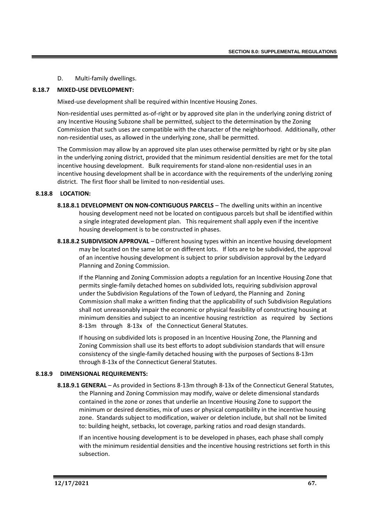D. Multi-family dwellings.

# **8.18.7 MIXED-USE DEVELOPMENT:**

Mixed-use development shall be required within Incentive Housing Zones.

Non-residential uses permitted as-of-right or by approved site plan in the underlying zoning district of any Incentive Housing Subzone shall be permitted, subject to the determination by the Zoning Commission that such uses are compatible with the character of the neighborhood. Additionally, other non-residential uses, as allowed in the underlying zone, shall be permitted.

The Commission may allow by an approved site plan uses otherwise permitted by right or by site plan in the underlying zoning district, provided that the minimum residential densities are met for the total incentive housing development. Bulk requirements for stand-alone non-residential uses in an incentive housing development shall be in accordance with the requirements of the underlying zoning district. The first floor shall be limited to non-residential uses.

# **8.18.8 LOCATION:**

- **8.18.8.1 DEVELOPMENT ON NON-CONTIGUOUS PARCELS** The dwelling units within an incentive housing development need not be located on contiguous parcels but shall be identified within a single integrated development plan. This requirement shall apply even if the incentive housing development is to be constructed in phases.
- **8.18.8.2 SUBDIVISION APPROVAL** Different housing types within an incentive housing development may be located on the same lot or on different lots. If lots are to be subdivided, the approval of an incentive housing development is subject to prior subdivision approval by the Ledyard Planning and Zoning Commission.

If the Planning and Zoning Commission adopts a regulation for an Incentive Housing Zone that permits single-family detached homes on subdivided lots, requiring subdivision approval under the Subdivision Regulations of the Town of Ledyard, the Planning and Zoning Commission shall make a written finding that the applicability of such Subdivision Regulations shall not unreasonably impair the economic or physical feasibility of constructing housing at minimum densities and subject to an incentive housing restriction as required by Sections 8-13m through 8-13x of the Connecticut General Statutes.

If housing on subdivided lots is proposed in an Incentive Housing Zone, the Planning and Zoning Commission shall use its best efforts to adopt subdivision standards that will ensure consistency of the single-family detached housing with the purposes of Sections 8-13m through 8-13x of the Connecticut General Statutes.

### **8.18.9 DIMENSIONAL REQUIREMENTS:**

**8.18.9.1 GENERAL** – As provided in Sections 8-13m through 8-13x of the Connecticut General Statutes, the Planning and Zoning Commission may modify, waive or delete dimensional standards contained in the zone or zones that underlie an Incentive Housing Zone to support the minimum or desired densities, mix of uses or physical compatibility in the incentive housing zone. Standards subject to modification, waiver or deletion include, but shall not be limited to: building height, setbacks, lot coverage, parking ratios and road design standards.

If an incentive housing development is to be developed in phases, each phase shall comply with the minimum residential densities and the incentive housing restrictions set forth in this subsection.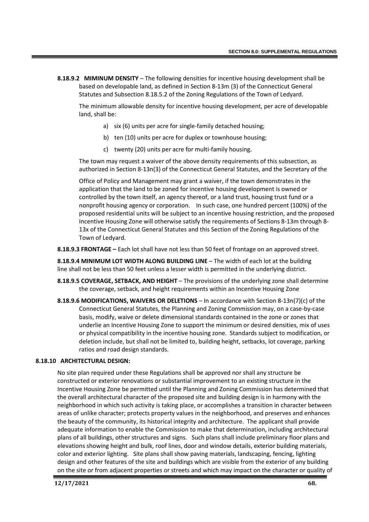**8.18.9.2 MIMINUM DENSITY** – The following densities for incentive housing development shall be based on developable land, as defined in Section 8-13m (3) of the Connecticut General Statutes and Subsection 8.18.5.2 of the Zoning Regulations of the Town of Ledyard.

The minimum allowable density for incentive housing development, per acre of developable land, shall be:

- a) six (6) units per acre for single-family detached housing;
- b) ten (10) units per acre for duplex or townhouse housing;
- c) twenty (20) units per acre for multi-family housing.

The town may request a waiver of the above density requirements of this subsection, as authorized in Section 8-13n(3) of the Connecticut General Statutes, and the Secretary of the

Office of Policy and Management may grant a waiver, if the town demonstrates in the application that the land to be zoned for incentive housing development is owned or controlled by the town itself, an agency thereof, or a land trust, housing trust fund or a nonprofit housing agency or corporation. In such case, one hundred percent (100%) of the proposed residential units will be subject to an incentive housing restriction, and the proposed Incentive Housing Zone will otherwise satisfy the requirements of Sections 8-13m through 8- 13x of the Connecticut General Statutes and this Section of the Zoning Regulations of the Town of Ledyard.

**8.18.9.3 FRONTAGE –** Each lot shall have not less than 50 feet of frontage on an approved street.

**8.18.9.4 MINIMUM LOT WIDTH ALONG BUILDING LINE** – The width of each lot at the building line shall not be less than 50 feet unless a lesser width is permitted in the underlying district.

- **8.18.9.5 COVERAGE, SETBACK, AND HEIGHT** The provisions of the underlying zone shall determine the coverage, setback, and height requirements within an Incentive Housing Zone
- **8.18.9.6 MODIFICATIONS, WAIVERS OR DELETIONS** In accordance with Section 8-13n(7)(c) of the Connecticut General Statutes, the Planning and Zoning Commission may, on a case-by-case basis, modify, waive or delete dimensional standards contained in the zone or zones that underlie an Incentive Housing Zone to support the minimum or desired densities, mix of uses or physical compatibility in the incentive housing zone. Standards subject to modification, or deletion include, but shall not be limited to, building height, setbacks, lot coverage, parking ratios and road design standards.

### **8.18.10 ARCHITECTURAL DESIGN:**

No site plan required under these Regulations shall be approved nor shall any structure be constructed or exterior renovations or substantial improvement to an existing structure in the Incentive Housing Zone be permitted until the Planning and Zoning Commission has determined that the overall architectural character of the proposed site and building design is in harmony with the neighborhood in which such activity is taking place, or accomplishes a transition in character between areas of unlike character; protects property values in the neighborhood, and preserves and enhances the beauty of the community, its historical integrity and architecture. The applicant shall provide adequate information to enable the Commission to make that determination, including architectural plans of all buildings, other structures and signs. Such plans shall include preliminary floor plans and elevations showing height and bulk, roof lines, door and window details, exterior building materials, color and exterior lighting. Site plans shall show paving materials, landscaping, fencing, lighting design and other features of the site and buildings which are visible from the exterior of any building on the site or from adjacent properties or streets and which may impact on the character or quality of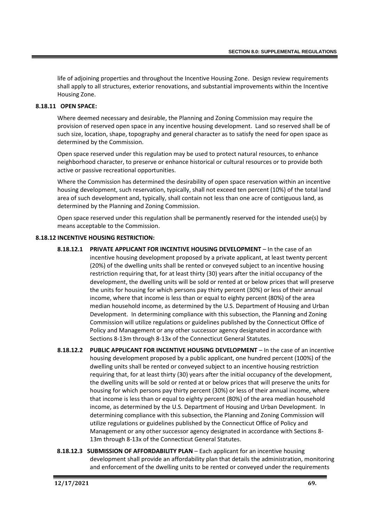life of adjoining properties and throughout the Incentive Housing Zone. Design review requirements shall apply to all structures, exterior renovations, and substantial improvements within the Incentive Housing Zone.

## **8.18.11 OPEN SPACE:**

Where deemed necessary and desirable, the Planning and Zoning Commission may require the provision of reserved open space in any incentive housing development. Land so reserved shall be of such size, location, shape, topography and general character as to satisfy the need for open space as determined by the Commission.

Open space reserved under this regulation may be used to protect natural resources, to enhance neighborhood character, to preserve or enhance historical or cultural resources or to provide both active or passive recreational opportunities.

Where the Commission has determined the desirability of open space reservation within an incentive housing development, such reservation, typically, shall not exceed ten percent (10%) of the total land area of such development and, typically, shall contain not less than one acre of contiguous land, as determined by the Planning and Zoning Commission.

Open space reserved under this regulation shall be permanently reserved for the intended use(s) by means acceptable to the Commission.

# **8.18.12 INCENTIVE HOUSING RESTRICTION:**

- **8.18.12.1 PRIVATE APPLICANT FOR INCENTIVE HOUSING DEVELOPMENT** In the case of an incentive housing development proposed by a private applicant, at least twenty percent (20%) of the dwelling units shall be rented or conveyed subject to an incentive housing restriction requiring that, for at least thirty (30) years after the initial occupancy of the development, the dwelling units will be sold or rented at or below prices that will preserve the units for housing for which persons pay thirty percent (30%) or less of their annual income, where that income is less than or equal to eighty percent (80%) of the area median household income, as determined by the U.S. Department of Housing and Urban Development. In determining compliance with this subsection, the Planning and Zoning Commission will utilize regulations or guidelines published by the Connecticut Office of Policy and Management or any other successor agency designated in accordance with Sections 8-13m through 8-13x of the Connecticut General Statutes.
- **8.18.12.2 PUBLIC APPLICANT FOR INCENTIVE HOUSING DEVELOPMENT** In the case of an incentive housing development proposed by a public applicant, one hundred percent (100%) of the dwelling units shall be rented or conveyed subject to an incentive housing restriction requiring that, for at least thirty (30) years after the initial occupancy of the development, the dwelling units will be sold or rented at or below prices that will preserve the units for housing for which persons pay thirty percent (30%) or less of their annual income, where that income is less than or equal to eighty percent (80%) of the area median household income, as determined by the U.S. Department of Housing and Urban Development. In determining compliance with this subsection, the Planning and Zoning Commission will utilize regulations or guidelines published by the Connecticut Office of Policy and Management or any other successor agency designated in accordance with Sections 8- 13m through 8-13x of the Connecticut General Statutes.
- **8.18.12.3 SUBMISSION OF AFFORDABILITY PLAN** Each applicant for an incentive housing development shall provide an affordability plan that details the administration, monitoring and enforcement of the dwelling units to be rented or conveyed under the requirements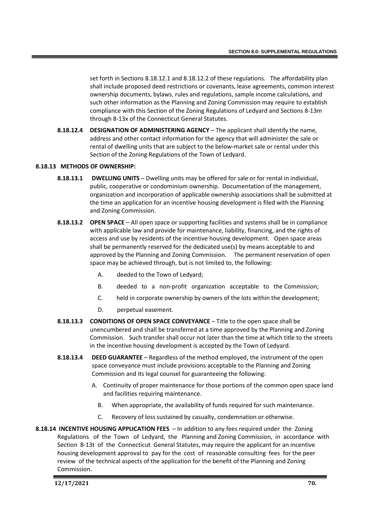set forth in Sections 8.18.12.1 and 8.18.12.2 of these regulations. The affordability plan shall include proposed deed restrictions or covenants, lease agreements, common interest ownership documents, bylaws, rules and regulations, sample income calculations, and such other information as the Planning and Zoning Commission may require to establish compliance with this Section of the Zoning Regulations of Ledyard and Sections 8-13m through 8-13x of the Connecticut General Statutes.

**8.18.12.4 DESIGNATION OF ADMINISTERING AGENCY** – The applicant shall identify the name, address and other contact information for the agency that will administer the sale or rental of dwelling units that are subject to the below-market sale or rental under this Section of the Zoning Regulations of the Town of Ledyard.

# **8.18.13 METHODS OF OWNERSHIP:**

- **8.18.13.1 DWELLING UNITS** Dwelling units may be offered for sale or for rental in individual, public, cooperative or condominium ownership. Documentation of the management, organization and incorporation of applicable ownership associations shall be submitted at the time an application for an incentive housing development is filed with the Planning and Zoning Commission.
- **8.18.13.2 OPEN SPACE** All open space or supporting facilities and systems shall be in compliance with applicable law and provide for maintenance, liability, financing, and the rights of access and use by residents of the incentive housing development. Open space areas shall be permanently reserved for the dedicated use(s) by means acceptable to and approved by the Planning and Zoning Commission. The permanent reservation of open space may be achieved through, but is not limited to, the following:
	- A. deeded to the Town of Ledyard;
	- B. deeded to a non-profit organization acceptable to the Commission;
	- C. held in corporate ownership by owners of the lots within the development;
	- D. perpetual easement.
- **8.18.13.3 CONDITIONS OF OPEN SPACE CONVEYANCE** Title to the open space shall be unencumbered and shall be transferred at a time approved by the Planning and Zoning Commission. Such transfer shall occur not later than the time at which title to the streets in the incentive housing development is accepted by the Town of Ledyard.
- **8.18.13.4 DEED GUARANTEE** Regardless of the method employed, the instrument of the open space conveyance must include provisions acceptable to the Planning and Zoning Commission and its legal counsel for guaranteeing the following:
	- A. Continuity of proper maintenance for those portions of the common open space land and facilities requiring maintenance.
		- B. When appropriate, the availability of funds required for such maintenance.
		- C. Recovery of loss sustained by casualty, condemnation or otherwise.
- **8.18.14 INCENTIVE HOUSING APPLICATION FEES** In addition to any fees required under the Zoning Regulations of the Town of Ledyard, the Planning and Zoning Commission, in accordance with Section 8-13t of the Connecticut General Statutes, may require the applicant for an incentive housing development approval to pay for the cost of reasonable consulting fees for the peer review of the technical aspects of the application for the benefit of the Planning and Zoning Commission.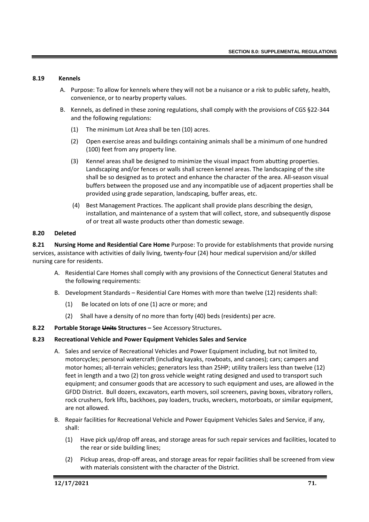## **8.19 Kennels**

- A. Purpose: To allow for kennels where they will not be a nuisance or a risk to public safety, health, convenience, or to nearby property values.
- B. Kennels, as defined in these zoning regulations, shall comply with the provisions of CGS §22-344 and the following regulations:
	- (1) The minimum Lot Area shall be ten (10) acres.
	- (2) Open exercise areas and buildings containing animals shall be a minimum of one hundred (100) feet from any property line.
	- (3) Kennel areas shall be designed to minimize the visual impact from abutting properties. Landscaping and/or fences or walls shall screen kennel areas. The landscaping of the site shall be so designed as to protect and enhance the character of the area. All-season visual buffers between the proposed use and any incompatible use of adjacent properties shall be provided using grade separation, landscaping, buffer areas, etc.
	- (4) Best Management Practices. The applicant shall provide plans describing the design, installation, and maintenance of a system that will collect, store, and subsequently dispose of or treat all waste products other than domestic sewage.

## **8.20 Deleted**

**8.21 Nursing Home and Residential Care Home** Purpose: To provide for establishments that provide nursing services, assistance with activities of daily living, twenty-four (24) hour medical supervision and/or skilled nursing care for residents.

- A. Residential Care Homes shall comply with any provisions of the Connecticut General Statutes and the following requirements:
- B. Development Standards Residential Care Homes with more than twelve (12) residents shall:
	- (1) Be located on lots of one (1) acre or more; and
	- (2) Shall have a density of no more than forty (40) beds (residents) per acre.
- **8.22 Portable Storage Units Structures –** See Accessory Structures**.**

## **8.23 Recreational Vehicle and Power Equipment Vehicles Sales and Service**

- A. Sales and service of Recreational Vehicles and Power Equipment including, but not limited to, motorcycles; personal watercraft (including kayaks, rowboats, and canoes); cars; campers and motor homes; all-terrain vehicles; generators less than 25HP; utility trailers less than twelve (12) feet in length and a two (2) ton gross vehicle weight rating designed and used to transport such equipment; and consumer goods that are accessory to such equipment and uses, are allowed in the GFDD District. Bull dozers, excavators, earth movers, soil screeners, paving boxes, vibratory rollers, rock crushers, fork lifts, backhoes, pay loaders, trucks, wreckers, motorboats, or similar equipment, are not allowed.
- B. Repair facilities for Recreational Vehicle and Power Equipment Vehicles Sales and Service, if any, shall:
	- (1) Have pick up/drop off areas, and storage areas for such repair services and facilities, located to the rear or side building lines;
	- (2) Pickup areas, drop-off areas, and storage areas for repair facilities shall be screened from view with materials consistent with the character of the District.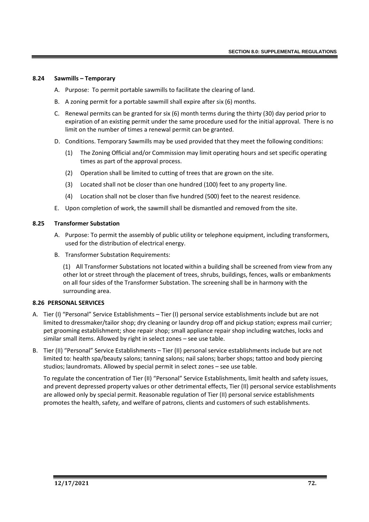### **8.24 Sawmills – Temporary**

- A. Purpose: To permit portable sawmills to facilitate the clearing of land.
- B. A zoning permit for a portable sawmill shall expire after six (6) months.
- C. Renewal permits can be granted for six (6) month terms during the thirty (30) day period prior to expiration of an existing permit under the same procedure used for the initial approval. There is no limit on the number of times a renewal permit can be granted.
- D. Conditions. Temporary Sawmills may be used provided that they meet the following conditions:
	- (1) The Zoning Official and/or Commission may limit operating hours and set specific operating times as part of the approval process.
	- (2) Operation shall be limited to cutting of trees that are grown on the site.
	- (3) Located shall not be closer than one hundred (100) feet to any property line.
	- (4) Location shall not be closer than five hundred (500) feet to the nearest residence.
- E. Upon completion of work, the sawmill shall be dismantled and removed from the site.

# **8.25 Transformer Substation**

- A. Purpose: To permit the assembly of public utility or telephone equipment, including transformers, used for the distribution of electrical energy.
- B. Transformer Substation Requirements:

(1) All Transformer Substations not located within a building shall be screened from view from any other lot or street through the placement of trees, shrubs, buildings, fences, walls or embankments on all four sides of the Transformer Substation. The screening shall be in harmony with the surrounding area.

## **8.26 PERSONAL SERVICES**

- A. Tier (I) "Personal" Service Establishments Tier (I) personal service establishments include but are not limited to dressmaker/tailor shop; dry cleaning or laundry drop off and pickup station; express mail currier; pet grooming establishment; shoe repair shop; small appliance repair shop including watches, locks and similar small items. Allowed by right in select zones – see use table.
- B. Tier (II) "Personal" Service Establishments Tier (II) personal service establishments include but are not limited to: health spa/beauty salons; tanning salons; nail salons; barber shops; tattoo and body piercing studios; laundromats. Allowed by special permit in select zones – see use table.

To regulate the concentration of Tier (II) "Personal" Service Establishments, limit health and safety issues, and prevent depressed property values or other detrimental effects, Tier (II) personal service establishments are allowed only by special permit. Reasonable regulation of Tier (II) personal service establishments promotes the health, safety, and welfare of patrons, clients and customers of such establishments.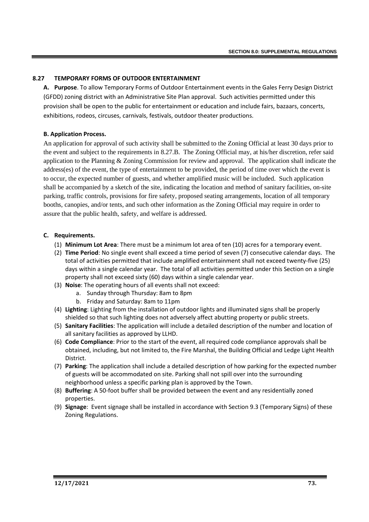# **8.27 TEMPORARY FORMS OF OUTDOOR ENTERTAINMENT**

**A. Purpose**. To allow Temporary Forms of Outdoor Entertainment events in the Gales Ferry Design District (GFDD) zoning district with an Administrative Site Plan approval. Such activities permitted under this provision shall be open to the public for entertainment or education and include fairs, bazaars, concerts, exhibitions, rodeos, circuses, carnivals, festivals, outdoor theater productions.

# **B. Application Process.**

An application for approval of such activity shall be submitted to the Zoning Official at least 30 days prior to the event and subject to the requirements in 8.27.B. The Zoning Official may, at his/her discretion, refer said application to the Planning & Zoning Commission for review and approval. The application shall indicate the address(es) of the event, the type of entertainment to be provided, the period of time over which the event is to occur, the expected number of guests, and whether amplified music will be included. Such application shall be accompanied by a sketch of the site, indicating the location and method of sanitary facilities, on-site parking, traffic controls, provisions for fire safety, proposed seating arrangements, location of all temporary booths, canopies, and/or tents, and such other information as the Zoning Official may require in order to assure that the public health, safety, and welfare is addressed.

# **C. Requirements.**

- (1) **Minimum Lot Area**: There must be a minimum lot area of ten (10) acres for a temporary event.
- (2) **Time Period**: No single event shall exceed a time period of seven (7) consecutive calendar days. The total of activities permitted that include amplified entertainment shall not exceed twenty-five (25) days within a single calendar year. The total of all activities permitted under this Section on a single property shall not exceed sixty (60) days within a single calendar year.
- (3) **Noise**: The operating hours of all events shall not exceed:
	- a. Sunday through Thursday: 8am to 8pm
	- b. Friday and Saturday: 8am to 11pm
- (4) **Lighting**: Lighting from the installation of outdoor lights and illuminated signs shall be properly shielded so that such lighting does not adversely affect abutting property or public streets.
- (5) **Sanitary Facilities**: The application will include a detailed description of the number and location of all sanitary facilities as approved by LLHD.
- (6) **Code Compliance**: Prior to the start of the event, all required code compliance approvals shall be obtained, including, but not limited to, the Fire Marshal, the Building Official and Ledge Light Health District.
- (7) **Parking**: The application shall include a detailed description of how parking for the expected number of guests will be accommodated on site. Parking shall not spill over into the surrounding neighborhood unless a specific parking plan is approved by the Town.
- (8) **Buffering**: A 50-foot buffer shall be provided between the event and any residentially zoned properties.
- (9) **Signage**: Event signage shall be installed in accordance with Section 9.3 (Temporary Signs) of these Zoning Regulations.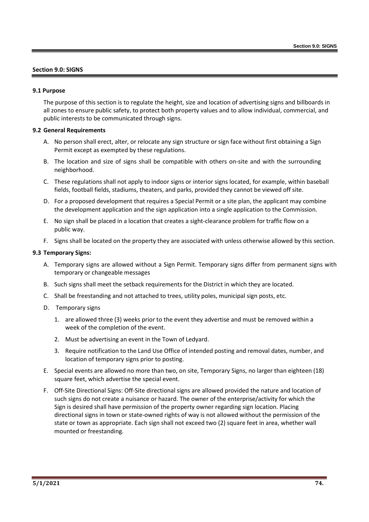## **Section 9.0: SIGNS**

### **9.1 Purpose**

The purpose of this section is to regulate the height, size and location of advertising signs and billboards in all zones to ensure public safety, to protect both property values and to allow individual, commercial, and public interests to be communicated through signs.

## **9.2 General Requirements**

- A. No person shall erect, alter, or relocate any sign structure or sign face without first obtaining a Sign Permit except as exempted by these regulations.
- B. The location and size of signs shall be compatible with others on-site and with the surrounding neighborhood.
- C. These regulations shall not apply to indoor signs or interior signs located, for example, within baseball fields, football fields, stadiums, theaters, and parks, provided they cannot be viewed off site.
- D. For a proposed development that requires a Special Permit or a site plan, the applicant may combine the development application and the sign application into a single application to the Commission.
- E. No sign shall be placed in a location that creates a sight-clearance problem for traffic flow on a public way.
- F. Signs shall be located on the property they are associated with unless otherwise allowed by this section.

### **9.3 Temporary Signs:**

- A. Temporary signs are allowed without a Sign Permit. Temporary signs differ from permanent signs with temporary or changeable messages
- B. Such signs shall meet the setback requirements for the District in which they are located.
- C. Shall be freestanding and not attached to trees, utility poles, municipal sign posts, etc.
- D. Temporary signs
	- 1. are allowed three (3) weeks prior to the event they advertise and must be removed within a week of the completion of the event.
	- 2. Must be advertising an event in the Town of Ledyard.
	- 3. Require notification to the Land Use Office of intended posting and removal dates, number, and location of temporary signs prior to posting.
- E. Special events are allowed no more than two, on site, Temporary Signs, no larger than eighteen (18) square feet, which advertise the special event.
- F. Off-Site Directional Signs: Off-Site directional signs are allowed provided the nature and location of such signs do not create a nuisance or hazard. The owner of the enterprise/activity for which the Sign is desired shall have permission of the property owner regarding sign location. Placing directional signs in town or state-owned rights of way is not allowed without the permission of the state or town as appropriate. Each sign shall not exceed two (2) square feet in area, whether wall mounted or freestanding.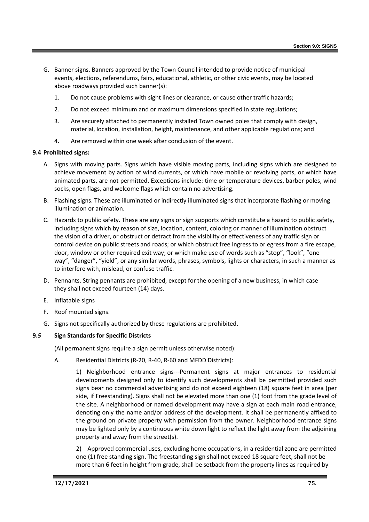- G. Banner signs. Banners approved by the Town Council intended to provide notice of municipal events, elections, referendums, fairs, educational, athletic, or other civic events, may be located above roadways provided such banner(s):
	- 1. Do not cause problems with sight lines or clearance, or cause other traffic hazards;
	- 2. Do not exceed minimum and or maximum dimensions specified in state regulations;
	- 3. Are securely attached to permanently installed Town owned poles that comply with design, material, location, installation, height, maintenance, and other applicable regulations; and
	- 4. Are removed within one week after conclusion of the event.

# **9.4 Prohibited signs:**

- A. Signs with moving parts. Signs which have visible moving parts, including signs which are designed to achieve movement by action of wind currents, or which have mobile or revolving parts, or which have animated parts, are not permitted. Exceptions include: time or temperature devices, barber poles, wind socks, open flags, and welcome flags which contain no advertising.
- B. Flashing signs. These are illuminated or indirectly illuminated signs that incorporate flashing or moving illumination or animation.
- C. Hazards to public safety. These are any signs or sign supports which constitute a hazard to public safety, including signs which by reason of size, location, content, coloring or manner of illumination obstruct the vision of a driver, or obstruct or detract from the visibility or effectiveness of any traffic sign or control device on public streets and roads; or which obstruct free ingress to or egress from a fire escape, door, window or other required exit way; or which make use of words such as "stop", "look", "one way", "danger", "yield", or any similar words, phrases, symbols, lights or characters, in such a manner as to interfere with, mislead, or confuse traffic.
- D. Pennants. String pennants are prohibited, except for the opening of a new business, in which case they shall not exceed fourteen (14) days.
- E. Inflatable signs
- F. Roof mounted signs.
- G. Signs not specifically authorized by these regulations are prohibited.

# **9.***5* **Sign Standards for Specific Districts**

(All permanent signs require a sign permit unless otherwise noted):

A. Residential Districts (R-20, R-40, R-60 and MFDD Districts):

1) Neighborhood entrance signs---Permanent signs at major entrances to residential developments designed only to identify such developments shall be permitted provided such signs bear no commercial advertising and do not exceed eighteen (18) square feet in area (per side, if Freestanding). Signs shall not be elevated more than one (1) foot from the grade level of the site. A neighborhood or named development may have a sign at each main road entrance, denoting only the name and/or address of the development. It shall be permanently affixed to the ground on private property with permission from the owner. Neighborhood entrance signs may be lighted only by a continuous white down light to reflect the light away from the adjoining property and away from the street(s).

2) Approved commercial uses, excluding home occupations, in a residential zone are permitted one (1) free standing sign. The freestanding sign shall not exceed 18 square feet, shall not be more than 6 feet in height from grade, shall be setback from the property lines as required by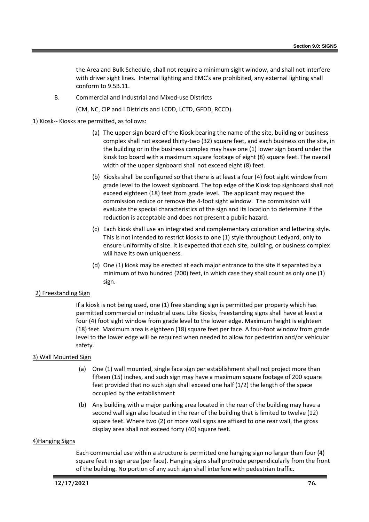the Area and Bulk Schedule, shall not require a minimum sight window, and shall not interfere with driver sight lines. Internal lighting and EMC's are prohibited, any external lighting shall conform to 9.5B.11.

B. Commercial and Industrial and Mixed-use Districts

(CM, NC, CIP and I Districts and LCDD, LCTD, GFDD, RCCD).

## 1) Kiosk-- Kiosks are permitted, as follows:

- (a) The upper sign board of the Kiosk bearing the name of the site, building or business complex shall not exceed thirty-two (32) square feet, and each business on the site, in the building or in the business complex may have one (1) lower sign board under the kiosk top board with a maximum square footage of eight (8) square feet. The overall width of the upper signboard shall not exceed eight (8) feet.
- (b) Kiosks shall be configured so that there is at least a four (4) foot sight window from grade level to the lowest signboard. The top edge of the Kiosk top signboard shall not exceed eighteen (18) feet from grade level. The applicant may request the commission reduce or remove the 4-foot sight window. The commission will evaluate the special characteristics of the sign and its location to determine if the reduction is acceptable and does not present a public hazard.
- (c) Each kiosk shall use an integrated and complementary coloration and lettering style. This is not intended to restrict kiosks to one (1) style throughout Ledyard, only to ensure uniformity of size. It is expected that each site, building, or business complex will have its own uniqueness.
- (d) One (1) kiosk may be erected at each major entrance to the site if separated by a minimum of two hundred (200) feet, in which case they shall count as only one (1) sign.

## 2) Freestanding Sign

If a kiosk is not being used, one (1) free standing sign is permitted per property which has permitted commercial or industrial uses. Like Kiosks, freestanding signs shall have at least a four (4) foot sight window from grade level to the lower edge. Maximum height is eighteen (18) feet. Maximum area is eighteen (18) square feet per face. A four-foot window from grade level to the lower edge will be required when needed to allow for pedestrian and/or vehicular safety.

## 3) Wall Mounted Sign

- (a) One (1) wall mounted, single face sign per establishment shall not project more than fifteen (15) inches, and such sign may have a maximum square footage of 200 square feet provided that no such sign shall exceed one half (1/2) the length of the space occupied by the establishment
- (b) Any building with a major parking area located in the rear of the building may have a second wall sign also located in the rear of the building that is limited to twelve (12) square feet. Where two (2) or more wall signs are affixed to one rear wall, the gross display area shall not exceed forty (40) square feet.

## 4)Hanging Signs

Each commercial use within a structure is permitted one hanging sign no larger than four (4) square feet in sign area (per face). Hanging signs shall protrude perpendicularly from the front of the building. No portion of any such sign shall interfere with pedestrian traffic.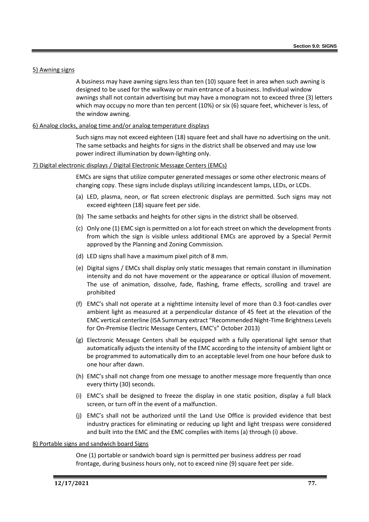## 5) Awning signs

A business may have awning signs less than ten (10) square feet in area when such awning is designed to be used for the walkway or main entrance of a business. Individual window awnings shall not contain advertising but may have a monogram not to exceed three (3) letters which may occupy no more than ten percent (10%) or six (6) square feet, whichever is less, of the window awning.

## 6) Analog clocks, analog time and/or analog temperature displays

Such signs may not exceed eighteen (18) square feet and shall have no advertising on the unit. The same setbacks and heights for signs in the district shall be observed and may use low power indirect illumination by down-lighting only.

# 7) Digital electronic displays / Digital Electronic Message Centers (EMCs)

EMCs are signs that utilize computer generated messages or some other electronic means of changing copy. These signs include displays utilizing incandescent lamps, LEDs, or LCDs.

- (a) LED, plasma, neon, or flat screen electronic displays are permitted. Such signs may not exceed eighteen (18) square feet per side.
- (b) The same setbacks and heights for other signs in the district shall be observed.
- (c) Only one (1) EMC sign is permitted on a lot for each street on which the development fronts from which the sign is visible unless additional EMCs are approved by a Special Permit approved by the Planning and Zoning Commission.
- (d) LED signs shall have a maximum pixel pitch of 8 mm.
- (e) Digital signs / EMCs shall display only static messages that remain constant in illumination intensity and do not have movement or the appearance or optical illusion of movement. The use of animation, dissolve, fade, flashing, frame effects, scrolling and travel are prohibited
- (f) EMC's shall not operate at a nighttime intensity level of more than 0.3 foot-candles over ambient light as measured at a perpendicular distance of 45 feet at the elevation of the EMC vertical centerline (ISA Summary extract "Recommended Night-Time Brightness Levels for On-Premise Electric Message Centers, EMC's" October 2013)
- (g) Electronic Message Centers shall be equipped with a fully operational light sensor that automatically adjusts the intensity of the EMC according to the intensity of ambient light or be programmed to automatically dim to an acceptable level from one hour before dusk to one hour after dawn.
- (h) EMC's shall not change from one message to another message more frequently than once every thirty (30) seconds.
- (i) EMC's shall be designed to freeze the display in one static position, display a full black screen, or turn off in the event of a malfunction.
- (j) EMC's shall not be authorized until the Land Use Office is provided evidence that best industry practices for eliminating or reducing up light and light trespass were considered and built into the EMC and the EMC complies with items (a) through (i) above.

## 8) Portable signs and sandwich board Signs

One (1) portable or sandwich board sign is permitted per business address per road frontage, during business hours only, not to exceed nine (9) square feet per side.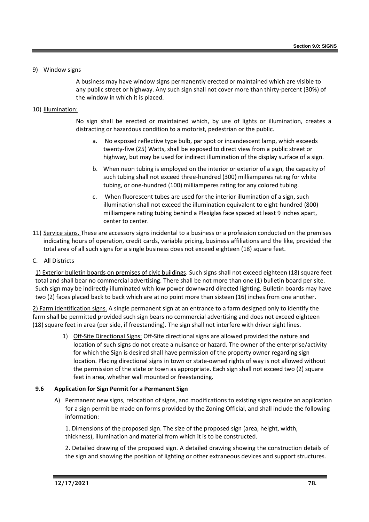## 9) Window signs

A business may have window signs permanently erected or maintained which are visible to any public street or highway. Any such sign shall not cover more than thirty-percent (30%) of the window in which it is placed.

## 10) Illumination:

No sign shall be erected or maintained which, by use of lights or illumination, creates a distracting or hazardous condition to a motorist, pedestrian or the public.

- a. No exposed reflective type bulb, par spot or incandescent lamp, which exceeds twenty-five (25) Watts, shall be exposed to direct view from a public street or highway, but may be used for indirect illumination of the display surface of a sign.
- b. When neon tubing is employed on the interior or exterior of a sign, the capacity of such tubing shall not exceed three-hundred (300) milliamperes rating for white tubing, or one-hundred (100) milliamperes rating for any colored tubing.
- c. When fluorescent tubes are used for the interior illumination of a sign, such illumination shall not exceed the illumination equivalent to eight-hundred (800) milliampere rating tubing behind a Plexiglas face spaced at least 9 inches apart, center to center.
- 11) Service signs. These are accessory signs incidental to a business or a profession conducted on the premises indicating hours of operation, credit cards, variable pricing, business affiliations and the like, provided the total area of all such signs for a single business does not exceed eighteen (18) square feet.
- C. All Districts

1) Exterior bulletin boards on premises of civic buildings. Such signs shall not exceed eighteen (18) square feet total and shall bear no commercial advertising. There shall be not more than one (1) bulletin board per site. Such sign may be indirectly illuminated with low power downward directed lighting. Bulletin boards may have two (2) faces placed back to back which are at no point more than sixteen (16) inches from one another.

2) Farm identification signs. A single permanent sign at an entrance to a farm designed only to identify the farm shall be permitted provided such sign bears no commercial advertising and does not exceed eighteen (18) square feet in area (per side, if freestanding). The sign shall not interfere with driver sight lines.

> 1) Off-Site Directional Signs: Off-Site directional signs are allowed provided the nature and location of such signs do not create a nuisance or hazard. The owner of the enterprise/activity for which the Sign is desired shall have permission of the property owner regarding sign location. Placing directional signs in town or state-owned rights of way is not allowed without the permission of the state or town as appropriate. Each sign shall not exceed two (2) square feet in area, whether wall mounted or freestanding.

## **9.6 Application for Sign Permit for a Permanent Sign**

A) Permanent new signs, relocation of signs, and modifications to existing signs require an application for a sign permit be made on forms provided by the Zoning Official, and shall include the following information:

1. Dimensions of the proposed sign. The size of the proposed sign (area, height, width, thickness), illumination and material from which it is to be constructed.

2. Detailed drawing of the proposed sign. A detailed drawing showing the construction details of the sign and showing the position of lighting or other extraneous devices and support structures.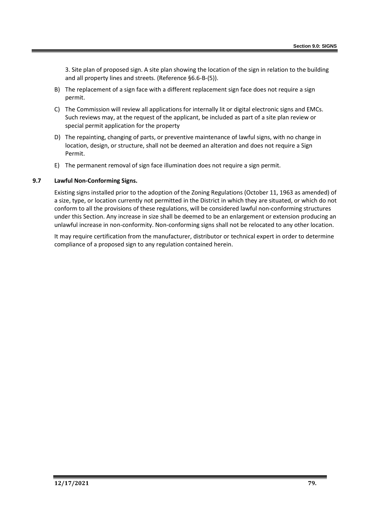3. Site plan of proposed sign. A site plan showing the location of the sign in relation to the building and all property lines and streets. (Reference §6.6-B-(5)).

- B) The replacement of a sign face with a different replacement sign face does not require a sign permit.
- C) The Commission will review all applications for internally lit or digital electronic signs and EMCs. Such reviews may, at the request of the applicant, be included as part of a site plan review or special permit application for the property
- D) The repainting, changing of parts, or preventive maintenance of lawful signs, with no change in location, design, or structure, shall not be deemed an alteration and does not require a Sign Permit.
- E) The permanent removal of sign face illumination does not require a sign permit.

## **9.7 Lawful Non-Conforming Signs.**

Existing signs installed prior to the adoption of the Zoning Regulations (October 11, 1963 as amended) of a size, type, or location currently not permitted in the District in which they are situated, or which do not conform to all the provisions of these regulations, will be considered lawful non-conforming structures under this Section. Any increase in size shall be deemed to be an enlargement or extension producing an unlawful increase in non-conformity. Non-conforming signs shall not be relocated to any other location.

It may require certification from the manufacturer, distributor or technical expert in order to determine compliance of a proposed sign to any regulation contained herein.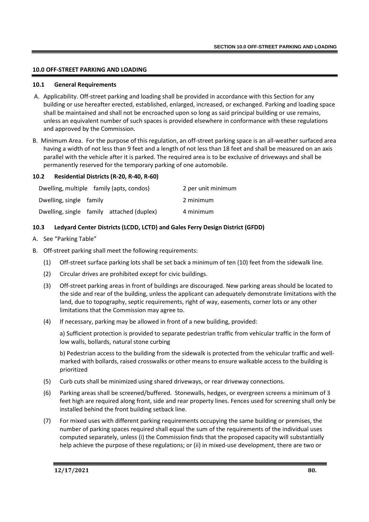# **10.0 OFF-STREET PARKING AND LOADING**

## **10.1 General Requirements**

- A. Applicability. Off-street parking and loading shall be provided in accordance with this Section for any building or use hereafter erected, established, enlarged, increased, or exchanged. Parking and loading space shall be maintained and shall not be encroached upon so long as said principal building or use remains, unless an equivalent number of such spaces is provided elsewhere in conformance with these regulations and approved by the Commission.
- B. Minimum Area. For the purpose of this regulation, an off-street parking space is an all-weather surfaced area having a width of not less than 9 feet and a length of not less than 18 feet and shall be measured on an axis parallel with the vehicle after it is parked. The required area is to be exclusive of driveways and shall be permanently reserved for the temporary parking of one automobile.

## **10.2 Residential Districts (R-20, R-40, R-60)**

| Dwelling, multiple family (apts, condos) |                                           | 2 per unit minimum |
|------------------------------------------|-------------------------------------------|--------------------|
| Dwelling, single family                  |                                           | 2 minimum          |
|                                          | Dwelling, single family attached (duplex) | 4 minimum          |

# **10.3 Ledyard Center Districts (LCDD, LCTD) and Gales Ferry Design District (GFDD)**

- A. See "Parking Table"
- B. Off-street parking shall meet the following requirements:
	- (1) Off-street surface parking lots shall be set back a minimum of ten (10) feet from the sidewalk line.
	- (2) Circular drives are prohibited except for civic buildings.
	- (3) Off-street parking areas in front of buildings are discouraged. New parking areas should be located to the side and rear of the building, unless the applicant can adequately demonstrate limitations with the land, due to topography, septic requirements, right of way, easements, corner lots or any other limitations that the Commission may agree to.
	- (4) If necessary, parking may be allowed in front of a new building, provided:

a) Sufficient protection is provided to separate pedestrian traffic from vehicular traffic in the form of low walls, bollards, natural stone curbing

b) Pedestrian access to the building from the sidewalk is protected from the vehicular traffic and wellmarked with bollards, raised crosswalks or other means to ensure walkable access to the building is prioritized

- (5) Curb cuts shall be minimized using shared driveways, or rear driveway connections.
- (6) Parking areas shall be screened/buffered. Stonewalls, hedges, or evergreen screens a minimum of 3 feet high are required along front, side and rear property lines. Fences used for screening shall only be installed behind the front building setback line.
- (7) For mixed uses with different parking requirements occupying the same building or premises, the number of parking spaces required shall equal the sum of the requirements of the individual uses computed separately, unless (i) the Commission finds that the proposed capacity will substantially help achieve the purpose of these regulations; or (ii) in mixed-use development, there are two or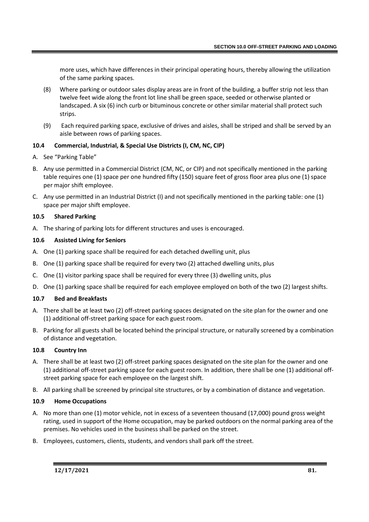more uses, which have differences in their principal operating hours, thereby allowing the utilization of the same parking spaces.

- (8) Where parking or outdoor sales display areas are in front of the building, a buffer strip not less than twelve feet wide along the front lot line shall be green space, seeded or otherwise planted or landscaped. A six (6) inch curb or bituminous concrete or other similar material shall protect such strips.
- (9) Each required parking space, exclusive of drives and aisles, shall be striped and shall be served by an aisle between rows of parking spaces.

# **10.4 Commercial, Industrial, & Special Use Districts (I, CM, NC, CIP)**

- A. See "Parking Table"
- B. Any use permitted in a Commercial District (CM, NC, or CIP) and not specifically mentioned in the parking table requires one (1) space per one hundred fifty (150) square feet of gross floor area plus one (1) space per major shift employee.
- C. Any use permitted in an Industrial District (I) and not specifically mentioned in the parking table: one (1) space per major shift employee.

# **10.5 Shared Parking**

A. The sharing of parking lots for different structures and uses is encouraged.

# **10.6 Assisted Living for Seniors**

- A. One (1) parking space shall be required for each detached dwelling unit, plus
- B. One (1) parking space shall be required for every two (2) attached dwelling units, plus
- C. One (1) visitor parking space shall be required for every three (3) dwelling units, plus
- D. One (1) parking space shall be required for each employee employed on both of the two (2) largest shifts.

# **10.7 Bed and Breakfasts**

- A. There shall be at least two (2) off-street parking spaces designated on the site plan for the owner and one (1) additional off-street parking space for each guest room.
- B. Parking for all guests shall be located behind the principal structure, or naturally screened by a combination of distance and vegetation.

## **10.8 Country Inn**

- A. There shall be at least two (2) off-street parking spaces designated on the site plan for the owner and one (1) additional off-street parking space for each guest room. In addition, there shall be one (1) additional offstreet parking space for each employee on the largest shift.
- B. All parking shall be screened by principal site structures, or by a combination of distance and vegetation.

## **10.9 Home Occupations**

- A. No more than one (1) motor vehicle, not in excess of a seventeen thousand (17,000) pound gross weight rating, used in support of the Home occupation, may be parked outdoors on the normal parking area of the premises. No vehicles used in the business shall be parked on the street.
- B. Employees, customers, clients, students, and vendors shall park off the street.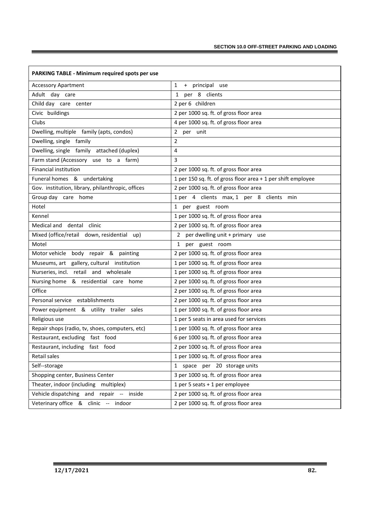| PARKING TABLE - Minimum required spots per use    |                                                              |  |  |  |
|---------------------------------------------------|--------------------------------------------------------------|--|--|--|
| <b>Accessory Apartment</b>                        | $\mathbf{1}$<br>+ principal<br>use                           |  |  |  |
| Adult day care                                    | per 8 clients<br>1                                           |  |  |  |
| Child day care center                             | 2 per 6 children                                             |  |  |  |
| Civic buildings                                   | 2 per 1000 sq. ft. of gross floor area                       |  |  |  |
| Clubs                                             | 4 per 1000 sq. ft. of gross floor area                       |  |  |  |
| Dwelling, multiple family (apts, condos)          | $\overline{2}$<br>per unit                                   |  |  |  |
| Dwelling, single family                           | $\overline{2}$                                               |  |  |  |
| Dwelling, single family attached (duplex)         | 4                                                            |  |  |  |
| Farm stand (Accessory use to a farm)              | 3                                                            |  |  |  |
| <b>Financial institution</b>                      | 2 per 1000 sq. ft. of gross floor area                       |  |  |  |
| Funeral homes & undertaking                       | 1 per 150 sq. ft. of gross floor area + 1 per shift employee |  |  |  |
| Gov. institution, library, philanthropic, offices | 2 per 1000 sq. ft. of gross floor area                       |  |  |  |
| Group day care home                               | 1 per 4 clients max, 1 per 8 clients min                     |  |  |  |
| Hotel                                             | per guest room<br>$\mathbf{1}$                               |  |  |  |
| Kennel                                            | 1 per 1000 sq. ft. of gross floor area                       |  |  |  |
| Medical and dental<br>clinic                      | 2 per 1000 sq. ft. of gross floor area                       |  |  |  |
| Mixed (office/retail down, residential up)        | 2 per dwelling unit + primary use                            |  |  |  |
| Motel                                             | 1 per guest room                                             |  |  |  |
| Motor vehicle body repair & painting              | 2 per 1000 sq. ft. of gross floor area                       |  |  |  |
| Museums, art gallery, cultural institution        | 1 per 1000 sq. ft. of gross floor area                       |  |  |  |
| Nurseries, incl. retail and wholesale             | 1 per 1000 sq. ft. of gross floor area                       |  |  |  |
| Nursing home & residential care home              | 2 per 1000 sq. ft. of gross floor area                       |  |  |  |
| Office                                            | 2 per 1000 sq. ft. of gross floor area                       |  |  |  |
| Personal service establishments                   | 2 per 1000 sq. ft. of gross floor area                       |  |  |  |
| Power equipment & utility trailer sales           | 1 per 1000 sq. ft. of gross floor area                       |  |  |  |
| Religious use                                     | 1 per 5 seats in area used for services                      |  |  |  |
| Repair shops (radio, tv, shoes, computers, etc)   | 1 per 1000 sq. ft. of gross floor area                       |  |  |  |
| Restaurant, excluding fast food                   | 6 per 1000 sq. ft. of gross floor area                       |  |  |  |
| Restaurant, including fast food                   | 2 per 1000 sq. ft. of gross floor area                       |  |  |  |
| Retail sales                                      | 1 per 1000 sq. ft. of gross floor area                       |  |  |  |
| Self--storage                                     | 1 space per 20 storage units                                 |  |  |  |
| Shopping center, Business Center                  | 3 per 1000 sq. ft. of gross floor area                       |  |  |  |
| Theater, indoor (including multiplex)             | 1 per 5 seats + 1 per employee                               |  |  |  |
| Vehicle dispatching and repair -- inside          | 2 per 1000 sq. ft. of gross floor area                       |  |  |  |
| Veterinary office & clinic -- indoor              | 2 per 1000 sq. ft. of gross floor area                       |  |  |  |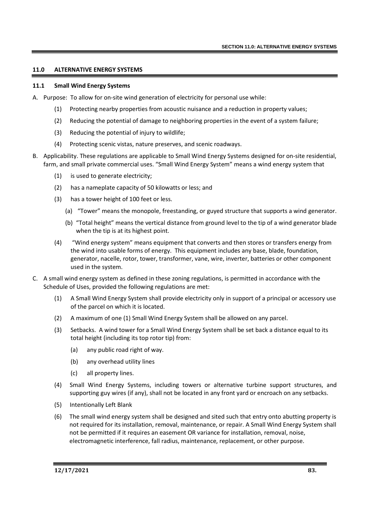## **11.0 ALTERNATIVE ENERGY SYSTEMS**

#### **11.1 Small Wind Energy Systems**

- A. Purpose: To allow for on-site wind generation of electricity for personal use while:
	- (1) Protecting nearby properties from acoustic nuisance and a reduction in property values;
	- (2) Reducing the potential of damage to neighboring properties in the event of a system failure;
	- (3) Reducing the potential of injury to wildlife;
	- (4) Protecting scenic vistas, nature preserves, and scenic roadways.
- B. Applicability. These regulations are applicable to Small Wind Energy Systems designed for on-site residential, farm, and small private commercial uses. "Small Wind Energy System" means a wind energy system that
	- (1) is used to generate electricity;
	- (2) has a nameplate capacity of 50 kilowatts or less; and
	- (3) has a tower height of 100 feet or less.
		- (a) "Tower" means the monopole, freestanding, or guyed structure that supports a wind generator.
		- (b) "Total height" means the vertical distance from ground level to the tip of a wind generator blade when the tip is at its highest point.
	- (4) "Wind energy system" means equipment that converts and then stores or transfers energy from the wind into usable forms of energy. This equipment includes any base, blade, foundation, generator, nacelle, rotor, tower, transformer, vane, wire, inverter, batteries or other component used in the system.
- C. A small wind energy system as defined in these zoning regulations, is permitted in accordance with the Schedule of Uses, provided the following regulations are met:
	- (1) A Small Wind Energy System shall provide electricity only in support of a principal or accessory use of the parcel on which it is located.
	- (2) A maximum of one (1) Small Wind Energy System shall be allowed on any parcel.
	- (3) Setbacks. A wind tower for a Small Wind Energy System shall be set back a distance equal to its total height (including its top rotor tip) from:
		- (a) any public road right of way.
		- (b) any overhead utility lines
		- (c) all property lines.
	- (4) Small Wind Energy Systems, including towers or alternative turbine support structures, and supporting guy wires (if any), shall not be located in any front yard or encroach on any setbacks.
	- (5) Intentionally Left Blank
	- (6) The small wind energy system shall be designed and sited such that entry onto abutting property is not required for its installation, removal, maintenance, or repair. A Small Wind Energy System shall not be permitted if it requires an easement OR variance for installation, removal, noise, electromagnetic interference, fall radius, maintenance, replacement, or other purpose.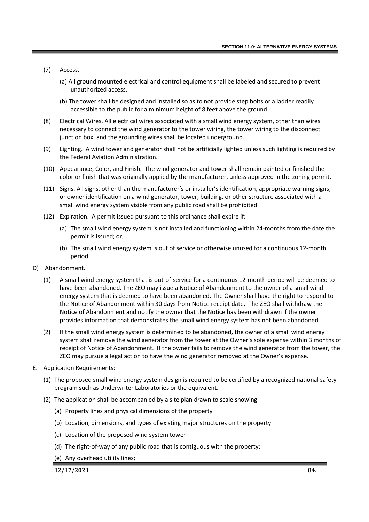- (7) Access.
	- (a) All ground mounted electrical and control equipment shall be labeled and secured to prevent unauthorized access.
	- (b) The tower shall be designed and installed so as to not provide step bolts or a ladder readily accessible to the public for a minimum height of 8 feet above the ground.
- (8) Electrical Wires. All electrical wires associated with a small wind energy system, other than wires necessary to connect the wind generator to the tower wiring, the tower wiring to the disconnect junction box, and the grounding wires shall be located underground.
- (9) Lighting. A wind tower and generator shall not be artificially lighted unless such lighting is required by the Federal Aviation Administration.
- (10) Appearance, Color, and Finish. The wind generator and tower shall remain painted or finished the color or finish that was originally applied by the manufacturer, unless approved in the zoning permit.
- (11) Signs. All signs, other than the manufacturer's or installer's identification, appropriate warning signs, or owner identification on a wind generator, tower, building, or other structure associated with a small wind energy system visible from any public road shall be prohibited.
- (12) Expiration. A permit issued pursuant to this ordinance shall expire if:
	- (a) The small wind energy system is not installed and functioning within 24-months from the date the permit is issued; or,
	- (b) The small wind energy system is out of service or otherwise unused for a continuous 12-month period.
- D) Abandonment.
	- (1) A small wind energy system that is out-of-service for a continuous 12-month period will be deemed to have been abandoned. The ZEO may issue a Notice of Abandonment to the owner of a small wind energy system that is deemed to have been abandoned. The Owner shall have the right to respond to the Notice of Abandonment within 30 days from Notice receipt date. The ZEO shall withdraw the Notice of Abandonment and notify the owner that the Notice has been withdrawn if the owner provides information that demonstrates the small wind energy system has not been abandoned.
	- (2) If the small wind energy system is determined to be abandoned, the owner of a small wind energy system shall remove the wind generator from the tower at the Owner's sole expense within 3 months of receipt of Notice of Abandonment. If the owner fails to remove the wind generator from the tower, the ZEO may pursue a legal action to have the wind generator removed at the Owner's expense.
- E. Application Requirements:
	- (1) The proposed small wind energy system design is required to be certified by a recognized national safety program such as Underwriter Laboratories or the equivalent.
	- (2) The application shall be accompanied by a site plan drawn to scale showing
		- (a) Property lines and physical dimensions of the property
		- (b) Location, dimensions, and types of existing major structures on the property
		- (c) Location of the proposed wind system tower
		- (d) The right-of-way of any public road that is contiguous with the property;
		- (e) Any overhead utility lines;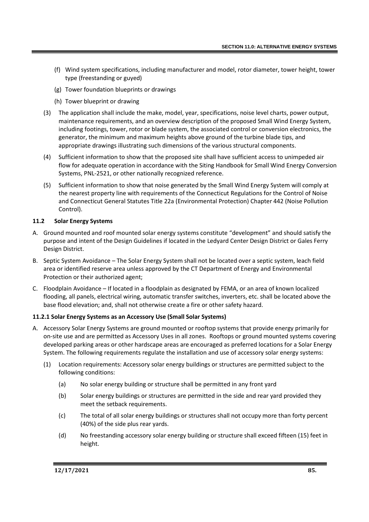- (f) Wind system specifications, including manufacturer and model, rotor diameter, tower height, tower type (freestanding or guyed)
- (g) Tower foundation blueprints or drawings
- (h) Tower blueprint or drawing
- (3) The application shall include the make, model, year, specifications, noise level charts, power output, maintenance requirements, and an overview description of the proposed Small Wind Energy System, including footings, tower, rotor or blade system, the associated control or conversion electronics, the generator, the minimum and maximum heights above ground of the turbine blade tips, and appropriate drawings illustrating such dimensions of the various structural components.
- (4) Sufficient information to show that the proposed site shall have sufficient access to unimpeded air flow for adequate operation in accordance with the Siting Handbook for Small Wind Energy Conversion Systems, PNL-2521, or other nationally recognized reference.
- (5) Sufficient information to show that noise generated by the Small Wind Energy System will comply at the nearest property line with requirements of the Connecticut Regulations for the Control of Noise and Connecticut General Statutes Title 22a (Environmental Protection) Chapter 442 (Noise Pollution Control).

# **11.2 Solar Energy Systems**

- A. Ground mounted and roof mounted solar energy systems constitute "development" and should satisfy the purpose and intent of the Design Guidelines if located in the Ledyard Center Design District or Gales Ferry Design District.
- B. Septic System Avoidance The Solar Energy System shall not be located over a septic system, leach field area or identified reserve area unless approved by the CT Department of Energy and Environmental Protection or their authorized agent;
- C. Floodplain Avoidance If located in a floodplain as designated by FEMA, or an area of known localized flooding, all panels, electrical wiring, automatic transfer switches, inverters, etc. shall be located above the base flood elevation; and, shall not otherwise create a fire or other safety hazard.

# **11.2.1 Solar Energy Systems as an Accessory Use (Small Solar Systems)**

- A. Accessory Solar Energy Systems are ground mounted or rooftop systems that provide energy primarily for on-site use and are permitted as Accessory Uses in all zones. Rooftops or ground mounted systems covering developed parking areas or other hardscape areas are encouraged as preferred locations for a Solar Energy System. The following requirements regulate the installation and use of accessory solar energy systems:
	- (1) Location requirements: Accessory solar energy buildings or structures are permitted subject to the following conditions:
		- (a) No solar energy building or structure shall be permitted in any front yard
		- (b) Solar energy buildings or structures are permitted in the side and rear yard provided they meet the setback requirements.
		- (c) The total of all solar energy buildings or structures shall not occupy more than forty percent (40%) of the side plus rear yards.
		- (d) No freestanding accessory solar energy building or structure shall exceed fifteen (15) feet in height.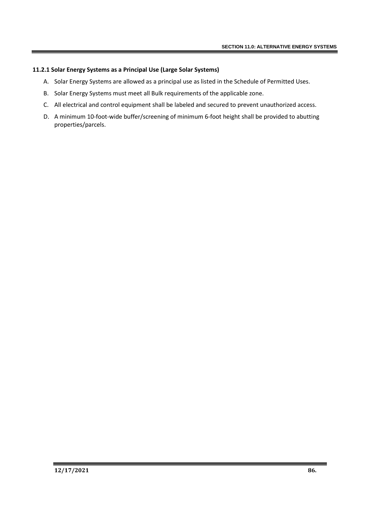## **11.2.1 Solar Energy Systems as a Principal Use (Large Solar Systems)**

- A. Solar Energy Systems are allowed as a principal use as listed in the Schedule of Permitted Uses.
- B. Solar Energy Systems must meet all Bulk requirements of the applicable zone.
- C. All electrical and control equipment shall be labeled and secured to prevent unauthorized access.
- D. A minimum 10-foot-wide buffer/screening of minimum 6-foot height shall be provided to abutting properties/parcels.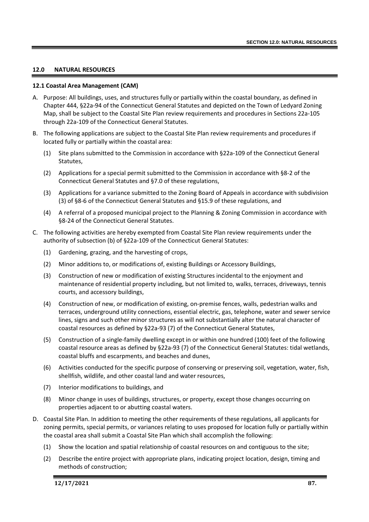## **12.0 NATURAL RESOURCES**

### **12.1 Coastal Area Management (CAM)**

- A. Purpose: All buildings, uses, and structures fully or partially within the coastal boundary, as defined in Chapter 444, §22a-94 of the Connecticut General Statutes and depicted on the Town of Ledyard Zoning Map, shall be subject to the Coastal Site Plan review requirements and procedures in Sections 22a-105 through 22a-109 of the Connecticut General Statutes.
- B. The following applications are subject to the Coastal Site Plan review requirements and procedures if located fully or partially within the coastal area:
	- (1) Site plans submitted to the Commission in accordance with §22a-109 of the Connecticut General Statutes,
	- (2) Applications for a special permit submitted to the Commission in accordance with §8-2 of the Connecticut General Statutes and §7.0 of these regulations,
	- (3) Applications for a variance submitted to the Zoning Board of Appeals in accordance with subdivision (3) of §8-6 of the Connecticut General Statutes and §15.9 of these regulations, and
	- (4) A referral of a proposed municipal project to the Planning & Zoning Commission in accordance with §8-24 of the Connecticut General Statutes.
- C. The following activities are hereby exempted from Coastal Site Plan review requirements under the authority of subsection (b) of §22a-109 of the Connecticut General Statutes:
	- (1) Gardening, grazing, and the harvesting of crops,
	- (2) Minor additions to, or modifications of, existing Buildings or Accessory Buildings,
	- (3) Construction of new or modification of existing Structures incidental to the enjoyment and maintenance of residential property including, but not limited to, walks, terraces, driveways, tennis courts, and accessory buildings,
	- (4) Construction of new, or modification of existing, on-premise fences, walls, pedestrian walks and terraces, underground utility connections, essential electric, gas, telephone, water and sewer service lines, signs and such other minor structures as will not substantially alter the natural character of coastal resources as defined by §22a-93 (7) of the Connecticut General Statutes,
	- (5) Construction of a single-family dwelling except in or within one hundred (100) feet of the following coastal resource areas as defined by §22a-93 (7) of the Connecticut General Statutes: tidal wetlands, coastal bluffs and escarpments, and beaches and dunes,
	- (6) Activities conducted for the specific purpose of conserving or preserving soil, vegetation, water, fish, shellfish, wildlife, and other coastal land and water resources,
	- (7) Interior modifications to buildings, and
	- (8) Minor change in uses of buildings, structures, or property, except those changes occurring on properties adjacent to or abutting coastal waters.
- D. Coastal Site Plan. In addition to meeting the other requirements of these regulations, all applicants for zoning permits, special permits, or variances relating to uses proposed for location fully or partially within the coastal area shall submit a Coastal Site Plan which shall accomplish the following:
	- (1) Show the location and spatial relationship of coastal resources on and contiguous to the site;
	- (2) Describe the entire project with appropriate plans, indicating project location, design, timing and methods of construction;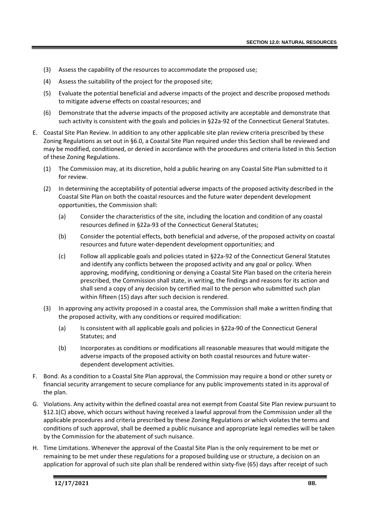- (3) Assess the capability of the resources to accommodate the proposed use;
- (4) Assess the suitability of the project for the proposed site;
- (5) Evaluate the potential beneficial and adverse impacts of the project and describe proposed methods to mitigate adverse effects on coastal resources; and
- (6) Demonstrate that the adverse impacts of the proposed activity are acceptable and demonstrate that such activity is consistent with the goals and policies in §22a-92 of the Connecticut General Statutes.
- E. Coastal Site Plan Review. In addition to any other applicable site plan review criteria prescribed by these Zoning Regulations as set out in §6.0, a Coastal Site Plan required under this Section shall be reviewed and may be modified, conditioned, or denied in accordance with the procedures and criteria listed in this Section of these Zoning Regulations.
	- (1) The Commission may, at its discretion, hold a public hearing on any Coastal Site Plan submitted to it for review.
	- (2) In determining the acceptability of potential adverse impacts of the proposed activity described in the Coastal Site Plan on both the coastal resources and the future water dependent development opportunities, the Commission shall:
		- (a) Consider the characteristics of the site, including the location and condition of any coastal resources defined in §22a-93 of the Connecticut General Statutes;
		- (b) Consider the potential effects, both beneficial and adverse, of the proposed activity on coastal resources and future water-dependent development opportunities; and
		- (c) Follow all applicable goals and policies stated in §22a-92 of the Connecticut General Statutes and identify any conflicts between the proposed activity and any goal or policy. When approving, modifying, conditioning or denying a Coastal Site Plan based on the criteria herein prescribed, the Commission shall state, in writing, the findings and reasons for its action and shall send a copy of any decision by certified mail to the person who submitted such plan within fifteen (15) days after such decision is rendered.
	- (3) In approving any activity proposed in a coastal area, the Commission shall make a written finding that the proposed activity, with any conditions or required modification:
		- (a) Is consistent with all applicable goals and policies in §22a-90 of the Connecticut General Statutes; and
		- (b) Incorporates as conditions or modifications all reasonable measures that would mitigate the adverse impacts of the proposed activity on both coastal resources and future waterdependent development activities.
- F. Bond. As a condition to a Coastal Site Plan approval, the Commission may require a bond or other surety or financial security arrangement to secure compliance for any public improvements stated in its approval of the plan.
- G. Violations. Any activity within the defined coastal area not exempt from Coastal Site Plan review pursuant to §12.1(C) above, which occurs without having received a lawful approval from the Commission under all the applicable procedures and criteria prescribed by these Zoning Regulations or which violates the terms and conditions of such approval, shall be deemed a public nuisance and appropriate legal remedies will be taken by the Commission for the abatement of such nuisance.
- H. Time Limitations. Whenever the approval of the Coastal Site Plan is the only requirement to be met or remaining to be met under these regulations for a proposed building use or structure, a decision on an application for approval of such site plan shall be rendered within sixty-five (65) days after receipt of such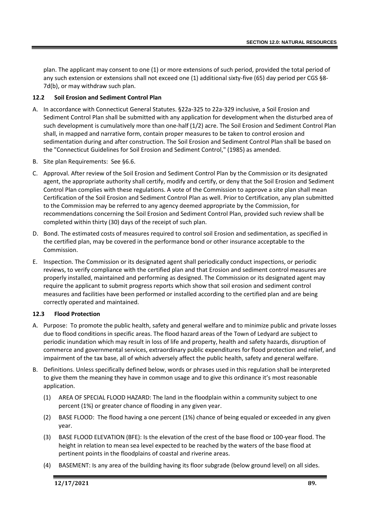plan. The applicant may consent to one (1) or more extensions of such period, provided the total period of any such extension or extensions shall not exceed one (1) additional sixty-five (65) day period per CGS §8- 7d(b), or may withdraw such plan.

## **12.2 Soil Erosion and Sediment Control Plan**

- A. In accordance with Connecticut General Statutes. §22a-325 to 22a-329 inclusive, a Soil Erosion and Sediment Control Plan shall be submitted with any application for development when the disturbed area of such development is cumulatively more than one-half (1/2) acre. The Soil Erosion and Sediment Control Plan shall, in mapped and narrative form, contain proper measures to be taken to control erosion and sedimentation during and after construction. The Soil Erosion and Sediment Control Plan shall be based on the "Connecticut Guidelines for Soil Erosion and Sediment Control," (1985) as amended.
- B. Site plan Requirements: See §6.6.
- C. Approval. After review of the Soil Erosion and Sediment Control Plan by the Commission or its designated agent, the appropriate authority shall certify, modify and certify, or deny that the Soil Erosion and Sediment Control Plan complies with these regulations. A vote of the Commission to approve a site plan shall mean Certification of the Soil Erosion and Sediment Control Plan as well. Prior to Certification, any plan submitted to the Commission may be referred to any agency deemed appropriate by the Commission, for recommendations concerning the Soil Erosion and Sediment Control Plan, provided such review shall be completed within thirty (30) days of the receipt of such plan.
- D. Bond. The estimated costs of measures required to control soil Erosion and sedimentation, as specified in the certified plan, may be covered in the performance bond or other insurance acceptable to the Commission.
- E. Inspection. The Commission or its designated agent shall periodically conduct inspections, or periodic reviews, to verify compliance with the certified plan and that Erosion and sediment control measures are properly installed, maintained and performing as designed. The Commission or its designated agent may require the applicant to submit progress reports which show that soil erosion and sediment control measures and facilities have been performed or installed according to the certified plan and are being correctly operated and maintained.

# **12.3 Flood Protection**

- A. Purpose: To promote the public health, safety and general welfare and to minimize public and private losses due to flood conditions in specific areas. The flood hazard areas of the Town of Ledyard are subject to periodic inundation which may result in loss of life and property, health and safety hazards, disruption of commerce and governmental services, extraordinary public expenditures for flood protection and relief, and impairment of the tax base, all of which adversely affect the public health, safety and general welfare.
- B. Definitions. Unless specifically defined below, words or phrases used in this regulation shall be interpreted to give them the meaning they have in common usage and to give this ordinance it's most reasonable application.
	- (1) AREA OF SPECIAL FLOOD HAZARD: The land in the floodplain within a community subject to one percent (1%) or greater chance of flooding in any given year.
	- (2) BASE FLOOD: The flood having a one percent (1%) chance of being equaled or exceeded in any given year.
	- (3) BASE FLOOD ELEVATION (BFE): Is the elevation of the crest of the base flood or 100-year flood. The height in relation to mean sea level expected to be reached by the waters of the base flood at pertinent points in the floodplains of coastal and riverine areas.
	- (4) BASEMENT: Is any area of the building having its floor subgrade (below ground level) on all sides.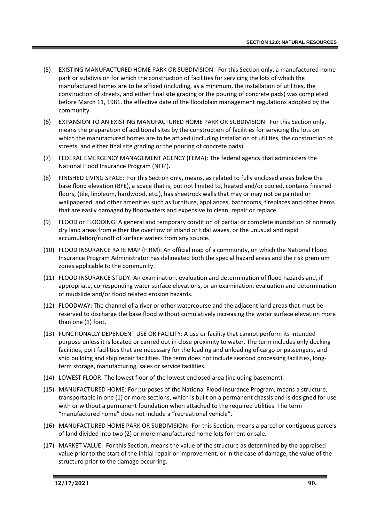- (5) EXISTING MANUFACTURED HOME PARK OR SUBDIVISION: For this Section only, a manufactured home park or subdivision for which the construction of facilities for servicing the lots of which the manufactured homes are to be affixed (including, as a minimum, the installation of utilities, the construction of streets, and either final site grading or the pouring of concrete pads) was completed before March 11, 1981, the effective date of the floodplain management regulations adopted by the community.
- (6) EXPANSION TO AN EXISTING MANUFACTURED HOME PARK OR SUBDIVISION: For this Section only, means the preparation of additional sites by the construction of facilities for servicing the lots on which the manufactured homes are to be affixed (including installation of utilities, the construction of streets, and either final site grading or the pouring of concrete pads).
- (7) FEDERAL EMERGENCY MANAGEMENT AGENCY (FEMA): The federal agency that administers the National Flood Insurance Program (NFIP).
- (8) FINISHED LIVING SPACE: For this Section only, means, as related to fully enclosed areas below the base flood elevation (BFE), a space that is, but not limited to, heated and/or cooled, contains finished floors, (tile, linoleum, hardwood, etc.), has sheetrock walls that may or may not be painted or wallpapered, and other amenities such as furniture, appliances, bathrooms, fireplaces and other items that are easily damaged by floodwaters and expensive to clean, repair or replace.
- (9) FLOOD or FLOODING: A general and temporary condition of partial or complete inundation of normally dry land areas from either the overflow of inland or tidal waves, or the unusual and rapid accumulation/runoff of surface waters from any source.
- (10) FLOOD INSURANCE RATE MAP (FIRM): An official map of a community, on which the National Flood Insurance Program Administrator has delineated both the special hazard areas and the risk premium zones applicable to the community.
- (11) FLOOD INSURANCE STUDY: An examination, evaluation and determination of flood hazards and, if appropriate, corresponding water surface elevations, or an examination, evaluation and determination of mudslide and/or flood related erosion hazards.
- (12) FLOODWAY: The channel of a river or other watercourse and the adjacent land areas that must be reserved to discharge the base flood without cumulatively increasing the water surface elevation more than one (1) foot.
- (13) FUNCTIONALLY DEPENDENT USE OR FACILITY: A use or facility that cannot perform its intended purpose unless it is located or carried out in close proximity to water. The term includes only docking facilities, port facilities that are necessary for the loading and unloading of cargo or passengers, and ship building and ship repair facilities. The term does not include seafood processing facilities, longterm storage, manufacturing, sales or service facilities.
- (14) LOWEST FLOOR: The lowest floor of the lowest enclosed area (including basement).
- (15) MANUFACTURED HOME: For purposes of the National Flood Insurance Program, means a structure, transportable in one (1) or more sections, which is built on a permanent chassis and is designed for use with or without a permanent foundation when attached to the required utilities. The term "manufactured home" does not include a "recreational vehicle".
- (16) MANUFACTURED HOME PARK OR SUBDIVISION: For this Section, means a parcel or contiguous parcels of land divided into two (2) or more manufactured home lots for rent or sale.
- (17) MARKET VALUE: For this Section, means the value of the structure as determined by the appraised value prior to the start of the initial repair or improvement, or in the case of damage, the value of the structure prior to the damage occurring.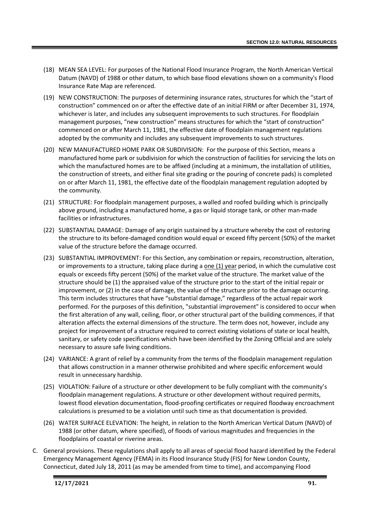- (18) MEAN SEA LEVEL: For purposes of the National Flood Insurance Program, the North American Vertical Datum (NAVD) of 1988 or other datum, to which base flood elevations shown on a community's Flood Insurance Rate Map are referenced.
- (19) NEW CONSTRUCTION: The purposes of determining insurance rates, structures for which the "start of construction" commenced on or after the effective date of an initial FIRM or after December 31, 1974, whichever is later, and includes any subsequent improvements to such structures. For floodplain management purposes, "new construction" means structures for which the "start of construction" commenced on or after March 11, 1981, the effective date of floodplain management regulations adopted by the community and includes any subsequent improvements to such structures.
- (20) NEW MANUFACTURED HOME PARK OR SUBDIVISION: For the purpose of this Section, means a manufactured home park or subdivision for which the construction of facilities for servicing the lots on which the manufactured homes are to be affixed (including at a minimum, the installation of utilities, the construction of streets, and either final site grading or the pouring of concrete pads) is completed on or after March 11, 1981, the effective date of the floodplain management regulation adopted by the community.
- (21) STRUCTURE: For floodplain management purposes, a walled and roofed building which is principally above ground, including a manufactured home, a gas or liquid storage tank, or other man-made facilities or infrastructures.
- (22) SUBSTANTIAL DAMAGE: Damage of any origin sustained by a structure whereby the cost of restoring the structure to its before-damaged condition would equal or exceed fifty percent (50%) of the market value of the structure before the damage occurred.
- (23) SUBSTANTIAL IMPROVEMENT: For this Section, any combination or repairs, reconstruction, alteration, or improvements to a structure, taking place during a one (1) year period, in which the cumulative cost equals or exceeds fifty percent (50%) of the market value of the structure. The market value of the structure should be (1) the appraised value of the structure prior to the start of the initial repair or improvement, or (2) in the case of damage, the value of the structure prior to the damage occurring. This term includes structures that have "substantial damage," regardless of the actual repair work performed. For the purposes of this definition, "substantial improvement" is considered to occur when the first alteration of any wall, ceiling, floor, or other structural part of the building commences, if that alteration affects the external dimensions of the structure. The term does not, however, include any project for improvement of a structure required to correct existing violations of state or local health, sanitary, or safety code specifications which have been identified by the Zoning Official and are solely necessary to assure safe living conditions.
- (24) VARIANCE: A grant of relief by a community from the terms of the floodplain management regulation that allows construction in a manner otherwise prohibited and where specific enforcement would result in unnecessary hardship.
- (25) VIOLATION: Failure of a structure or other development to be fully compliant with the community's floodplain management regulations. A structure or other development without required permits, lowest flood elevation documentation, flood-proofing certificates or required floodway encroachment calculations is presumed to be a violation until such time as that documentation is provided.
- (26) WATER SURFACE ELEVATION: The height, in relation to the North American Vertical Datum (NAVD) of 1988 (or other datum, where specified), of floods of various magnitudes and frequencies in the floodplains of coastal or riverine areas.
- C. General provisions. These regulations shall apply to all areas of special flood hazard identified by the Federal Emergency Management Agency (FEMA) in its Flood Insurance Study (FIS) for New London County, Connecticut, dated July 18, 2011 (as may be amended from time to time), and accompanying Flood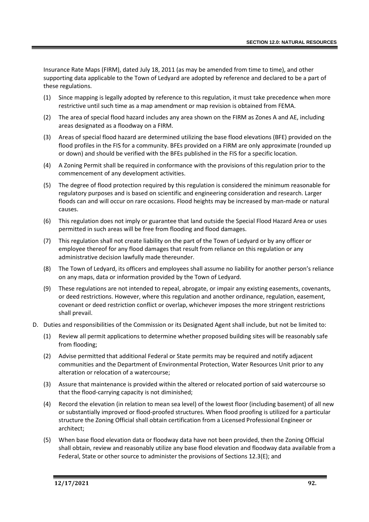Insurance Rate Maps (FIRM), dated July 18, 2011 (as may be amended from time to time), and other supporting data applicable to the Town of Ledyard are adopted by reference and declared to be a part of these regulations.

- (1) Since mapping is legally adopted by reference to this regulation, it must take precedence when more restrictive until such time as a map amendment or map revision is obtained from FEMA.
- (2) The area of special flood hazard includes any area shown on the FIRM as Zones A and AE, including areas designated as a floodway on a FIRM.
- (3) Areas of special flood hazard are determined utilizing the base flood elevations (BFE) provided on the flood profiles in the FIS for a community. BFEs provided on a FIRM are only approximate (rounded up or down) and should be verified with the BFEs published in the FIS for a specific location.
- (4) A Zoning Permit shall be required in conformance with the provisions of this regulation prior to the commencement of any development activities.
- (5) The degree of flood protection required by this regulation is considered the minimum reasonable for regulatory purposes and is based on scientific and engineering consideration and research. Larger floods can and will occur on rare occasions. Flood heights may be increased by man-made or natural causes.
- (6) This regulation does not imply or guarantee that land outside the Special Flood Hazard Area or uses permitted in such areas will be free from flooding and flood damages.
- (7) This regulation shall not create liability on the part of the Town of Ledyard or by any officer or employee thereof for any flood damages that result from reliance on this regulation or any administrative decision lawfully made thereunder.
- (8) The Town of Ledyard, its officers and employees shall assume no liability for another person's reliance on any maps, data or information provided by the Town of Ledyard.
- (9) These regulations are not intended to repeal, abrogate, or impair any existing easements, covenants, or deed restrictions. However, where this regulation and another ordinance, regulation, easement, covenant or deed restriction conflict or overlap, whichever imposes the more stringent restrictions shall prevail.
- D. Duties and responsibilities of the Commission or its Designated Agent shall include, but not be limited to:
	- (1) Review all permit applications to determine whether proposed building sites will be reasonably safe from flooding;
	- (2) Advise permitted that additional Federal or State permits may be required and notify adjacent communities and the Department of Environmental Protection, Water Resources Unit prior to any alteration or relocation of a watercourse;
	- (3) Assure that maintenance is provided within the altered or relocated portion of said watercourse so that the flood-carrying capacity is not diminished;
	- (4) Record the elevation (in relation to mean sea level) of the lowest floor (including basement) of all new or substantially improved or flood-proofed structures. When flood proofing is utilized for a particular structure the Zoning Official shall obtain certification from a Licensed Professional Engineer or architect;
	- (5) When base flood elevation data or floodway data have not been provided, then the Zoning Official shall obtain, review and reasonably utilize any base flood elevation and floodway data available from a Federal, State or other source to administer the provisions of Sections 12.3(E); and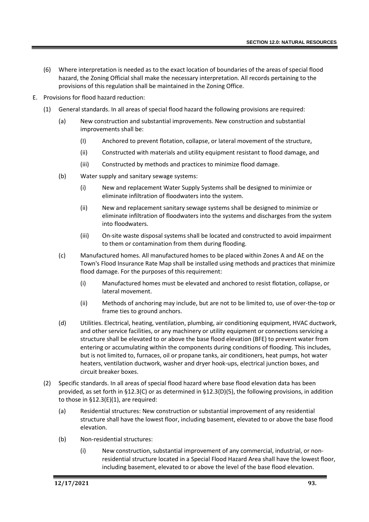- (6) Where interpretation is needed as to the exact location of boundaries of the areas of special flood hazard, the Zoning Official shall make the necessary interpretation. All records pertaining to the provisions of this regulation shall be maintained in the Zoning Office.
- E. Provisions for flood hazard reduction:
	- (1) General standards. In all areas of special flood hazard the following provisions are required:
		- (a) New construction and substantial improvements. New construction and substantial improvements shall be:
			- (I) Anchored to prevent flotation, collapse, or lateral movement of the structure,
			- (ii) Constructed with materials and utility equipment resistant to flood damage, and
			- (iii) Constructed by methods and practices to minimize flood damage.
		- (b) Water supply and sanitary sewage systems:
			- (i) New and replacement Water Supply Systems shall be designed to minimize or eliminate infiltration of floodwaters into the system.
			- (ii) New and replacement sanitary sewage systems shall be designed to minimize or eliminate infiltration of floodwaters into the systems and discharges from the system into floodwaters.
			- (iii) On-site waste disposal systems shall be located and constructed to avoid impairment to them or contamination from them during flooding.
		- (c) Manufactured homes. All manufactured homes to be placed within Zones A and AE on the Town's Flood Insurance Rate Map shall be installed using methods and practices that minimize flood damage. For the purposes of this requirement:
			- (i) Manufactured homes must be elevated and anchored to resist flotation, collapse, or lateral movement.
			- (ii) Methods of anchoring may include, but are not to be limited to, use of over-the-top or frame ties to ground anchors.
		- (d) Utilities. Electrical, heating, ventilation, plumbing, air conditioning equipment, HVAC ductwork, and other service facilities, or any machinery or utility equipment or connections servicing a structure shall be elevated to or above the base flood elevation (BFE) to prevent water from entering or accumulating within the components during conditions of flooding. This includes, but is not limited to, furnaces, oil or propane tanks, air conditioners, heat pumps, hot water heaters, ventilation ductwork, washer and dryer hook-ups, electrical junction boxes, and circuit breaker boxes.
	- (2) Specific standards. In all areas of special flood hazard where base flood elevation data has been provided, as set forth in §12.3(C) or as determined in §12.3(D)(5), the following provisions, in addition to those in §12.3(E)(1), are required:
		- (a) Residential structures: New construction or substantial improvement of any residential structure shall have the lowest floor, including basement, elevated to or above the base flood elevation.
		- (b) Non-residential structures:
			- (i) New construction, substantial improvement of any commercial, industrial, or nonresidential structure located in a Special Flood Hazard Area shall have the lowest floor, including basement, elevated to or above the level of the base flood elevation.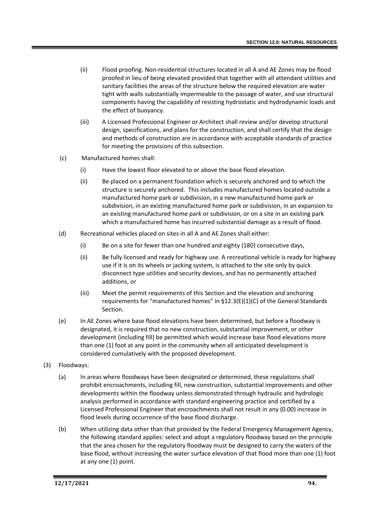- (ii) Flood proofing. Non-residential structures located in all A and AE Zones may be flood proofed in lieu of being elevated provided that together with all attendant utilities and sanitary facilities the areas of the structure below the required elevation are water tight with walls substantially impermeable to the passage of water, and use structural components having the capability of resisting hydrostatic and hydrodynamic loads and the effect of buoyancy.
- (iii) A Licensed Professional Engineer or Architect shall review and/or develop structural design, specifications, and plans for the construction, and shall certify that the design and methods of construction are in accordance with acceptable standards of practice for meeting the provisions of this subsection.
- (c) Manufactured homes shall:
	- (i) Have the lowest floor elevated to or above the base flood elevation.
	- (ii) Be placed on a permanent foundation which is securely anchored and to which the structure is securely anchored. This includes manufactured homes located outside a manufactured home park or subdivision, in a new manufactured home park or subdivision, in an existing manufactured home park or subdivision, in an expansion to an existing manufactured home park or subdivision, or on a site in an existing park which a manufactured home has incurred substantial damage as a result of flood.
- (d) Recreational vehicles placed on sites in all A and AE Zones shall either:
	- (i) Be on a site for fewer than one hundred and eighty (180) consecutive days,
	- (ii) Be fully licensed and ready for highway use. A recreational vehicle is ready for highway use if it is on its wheels or jacking system, is attached to the site only by quick disconnect type utilities and security devices, and has no permanently attached additions, or
	- (iii) Meet the permit requirements of this Section and the elevation and anchoring requirements for "manufactured homes" in §12.3(E)(1)(C) of the General Standards Section.
- (e) In AE Zones where base flood elevations have been determined, but before a floodway is designated, it is required that no new construction, substantial improvement, or other development (including fill) be permitted which would increase base flood elevations more than one (1) foot at any point in the community when all anticipated development is considered cumulatively with the proposed development.
- (3) Floodways:
	- (a) In areas where floodways have been designated or determined, these regulations shall prohibit encroachments, including fill, new construction, substantial improvements and other developments within the floodway unless demonstrated through hydraulic and hydrologic analysis performed in accordance with standard engineering practice and certified by a Licensed Professional Engineer that encroachments shall not result in any (0.00) increase in flood levels during occurrence of the base flood discharge.
	- (b) When utilizing data other than that provided by the Federal Emergency Management Agency, the following standard applies: select and adopt a regulatory floodway based on the principle that the area chosen for the regulatory floodway must be designed to carry the waters of the base flood, without increasing the water surface elevation of that flood more than one (1) foot at any one (1) point.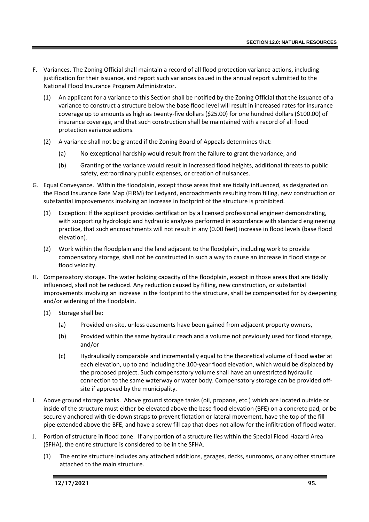- F. Variances. The Zoning Official shall maintain a record of all flood protection variance actions, including justification for their issuance, and report such variances issued in the annual report submitted to the National Flood Insurance Program Administrator.
	- (1) An applicant for a variance to this Section shall be notified by the Zoning Official that the issuance of a variance to construct a structure below the base flood level will result in increased rates for insurance coverage up to amounts as high as twenty-five dollars (\$25.00) for one hundred dollars (\$100.00) of insurance coverage, and that such construction shall be maintained with a record of all flood protection variance actions.
	- (2) A variance shall not be granted if the Zoning Board of Appeals determines that:
		- (a) No exceptional hardship would result from the failure to grant the variance, and
		- (b) Granting of the variance would result in increased flood heights, additional threats to public safety, extraordinary public expenses, or creation of nuisances.
- G. Equal Conveyance. Within the floodplain, except those areas that are tidally influenced, as designated on the Flood Insurance Rate Map (FIRM) for Ledyard, encroachments resulting from filling, new construction or substantial improvements involving an increase in footprint of the structure is prohibited.
	- (1) Exception: If the applicant provides certification by a licensed professional engineer demonstrating, with supporting hydrologic and hydraulic analyses performed in accordance with standard engineering practice, that such encroachments will not result in any (0.00 feet) increase in flood levels (base flood elevation).
	- (2) Work within the floodplain and the land adjacent to the floodplain, including work to provide compensatory storage, shall not be constructed in such a way to cause an increase in flood stage or flood velocity.
- H. Compensatory storage. The water holding capacity of the floodplain, except in those areas that are tidally influenced, shall not be reduced. Any reduction caused by filling, new construction, or substantial improvements involving an increase in the footprint to the structure, shall be compensated for by deepening and/or widening of the floodplain.
	- (1) Storage shall be:
		- (a) Provided on-site, unless easements have been gained from adjacent property owners,
		- (b) Provided within the same hydraulic reach and a volume not previously used for flood storage, and/or
		- (c) Hydraulically comparable and incrementally equal to the theoretical volume of flood water at each elevation, up to and including the 100-year flood elevation, which would be displaced by the proposed project. Such compensatory volume shall have an unrestricted hydraulic connection to the same waterway or water body. Compensatory storage can be provided offsite if approved by the municipality.
- I. Above ground storage tanks. Above ground storage tanks (oil, propane, etc.) which are located outside or inside of the structure must either be elevated above the base flood elevation (BFE) on a concrete pad, or be securely anchored with tie-down straps to prevent flotation or lateral movement, have the top of the fill pipe extended above the BFE, and have a screw fill cap that does not allow for the infiltration of flood water.
- J. Portion of structure in flood zone. If any portion of a structure lies within the Special Flood Hazard Area (SFHA), the entire structure is considered to be in the SFHA.
	- (1) The entire structure includes any attached additions, garages, decks, sunrooms, or any other structure attached to the main structure.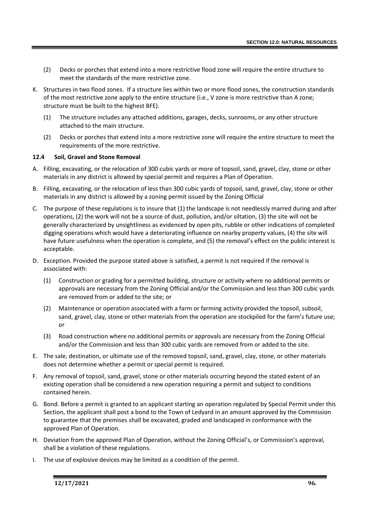- (2) Decks or porches that extend into a more restrictive flood zone will require the entire structure to meet the standards of the more restrictive zone.
- K. Structures in two flood zones. If a structure lies within two or more flood zones, the construction standards of the most restrictive zone apply to the entire structure (i.e., V zone is more restrictive than A zone; structure must be built to the highest BFE).
	- (1) The structure includes any attached additions, garages, decks, sunrooms, or any other structure attached to the main structure.
	- (2) Decks or porches that extend into a more restrictive zone will require the entire structure to meet the requirements of the more restrictive.

# **12.4 Soil, Gravel and Stone Removal**

- A. Filling, excavating, or the relocation of 300 cubic yards or more of topsoil, sand, gravel, clay, stone or other materials in any district is allowed by special permit and requires a Plan of Operation.
- B. Filling, excavating, or the relocation of less than 300 cubic yards of topsoil, sand, gravel, clay, stone or other materials in any district is allowed by a zoning permit issued by the Zoning Official
- C. The purpose of these regulations is to insure that (1) the landscape is not needlessly marred during and after operations, (2) the work will not be a source of dust, pollution, and/or siltation, (3) the site will not be generally characterized by unsightliness as evidenced by open pits, rubble or other indications of completed digging operations which would have a deteriorating influence on nearby property values, (4) the site will have future usefulness when the operation is complete, and (5) the removal's effect on the public interest is acceptable.
- D. Exception. Provided the purpose stated above is satisfied, a permit is not required if the removal is associated with:
	- (1) Construction or grading for a permitted building, structure or activity where no additional permits or approvals are necessary from the Zoning Official and/or the Commission and less than 300 cubic yards are removed from or added to the site; or
	- (2) Maintenance or operation associated with a farm or farming activity provided the topsoil, subsoil, sand, gravel, clay, stone or other materials from the operation are stockpiled for the farm's future use; or
	- (3) Road construction where no additional permits or approvals are necessary from the Zoning Official and/or the Commission and less than 300 cubic yards are removed from or added to the site.
- E. The sale, destination, or ultimate use of the removed topsoil, sand, gravel, clay, stone, or other materials does not determine whether a permit or special permit is required.
- F. Any removal of topsoil, sand, gravel, stone or other materials occurring beyond the stated extent of an existing operation shall be considered a new operation requiring a permit and subject to conditions contained herein.
- G. Bond. Before a permit is granted to an applicant starting an operation regulated by Special Permit under this Section, the applicant shall post a bond to the Town of Ledyard in an amount approved by the Commission to guarantee that the premises shall be excavated, graded and landscaped in conformance with the approved Plan of Operation.
- H. Deviation from the approved Plan of Operation, without the Zoning Official's, or Commission's approval, shall be a violation of these regulations.
- I. The use of explosive devices may be limited as a condition of the permit.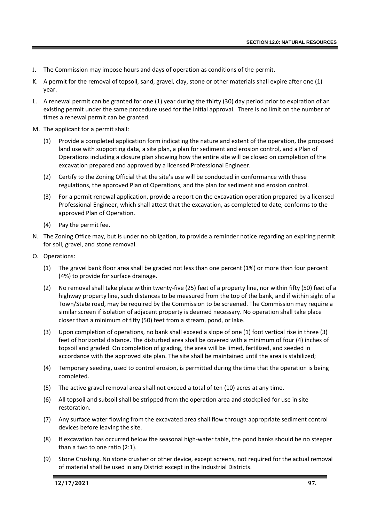- J. The Commission may impose hours and days of operation as conditions of the permit.
- K. A permit for the removal of topsoil, sand, gravel, clay, stone or other materials shall expire after one (1) year.
- L. A renewal permit can be granted for one (1) year during the thirty (30) day period prior to expiration of an existing permit under the same procedure used for the initial approval. There is no limit on the number of times a renewal permit can be granted.
- M. The applicant for a permit shall:
	- (1) Provide a completed application form indicating the nature and extent of the operation, the proposed land use with supporting data, a site plan, a plan for sediment and erosion control, and a Plan of Operations including a closure plan showing how the entire site will be closed on completion of the excavation prepared and approved by a licensed Professional Engineer.
	- (2) Certify to the Zoning Official that the site's use will be conducted in conformance with these regulations, the approved Plan of Operations, and the plan for sediment and erosion control.
	- (3) For a permit renewal application, provide a report on the excavation operation prepared by a licensed Professional Engineer, which shall attest that the excavation, as completed to date, conforms to the approved Plan of Operation.
	- (4) Pay the permit fee.
- N. The Zoning Office may, but is under no obligation, to provide a reminder notice regarding an expiring permit for soil, gravel, and stone removal.
- O. Operations:
	- (1) The gravel bank floor area shall be graded not less than one percent (1%) or more than four percent (4%) to provide for surface drainage.
	- (2) No removal shall take place within twenty-five (25) feet of a property line, nor within fifty (50) feet of a highway property line, such distances to be measured from the top of the bank, and if within sight of a Town/State road, may be required by the Commission to be screened. The Commission may require a similar screen if isolation of adjacent property is deemed necessary. No operation shall take place closer than a minimum of fifty (50) feet from a stream, pond, or lake.
	- (3) Upon completion of operations, no bank shall exceed a slope of one (1) foot vertical rise in three (3) feet of horizontal distance. The disturbed area shall be covered with a minimum of four (4) inches of topsoil and graded. On completion of grading, the area will be limed, fertilized, and seeded in accordance with the approved site plan. The site shall be maintained until the area is stabilized;
	- (4) Temporary seeding, used to control erosion, is permitted during the time that the operation is being completed.
	- (5) The active gravel removal area shall not exceed a total of ten (10) acres at any time.
	- (6) All topsoil and subsoil shall be stripped from the operation area and stockpiled for use in site restoration.
	- (7) Any surface water flowing from the excavated area shall flow through appropriate sediment control devices before leaving the site.
	- (8) If excavation has occurred below the seasonal high-water table, the pond banks should be no steeper than a two to one ratio (2:1).
	- (9) Stone Crushing. No stone crusher or other device, except screens, not required for the actual removal of material shall be used in any District except in the Industrial Districts.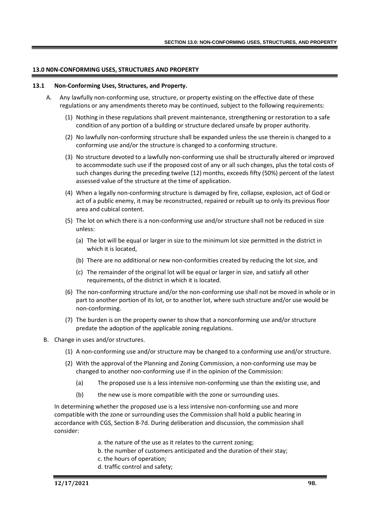## **13.0 N0N-CONFORMING USES, STRUCTURES AND PROPERTY**

#### **13.1 Non-Conforming Uses, Structures, and Property.**

- A. Any lawfully non-conforming use, structure, or property existing on the effective date of these regulations or any amendments thereto may be continued, subject to the following requirements:
	- (1) Nothing in these regulations shall prevent maintenance, strengthening or restoration to a safe condition of any portion of a building or structure declared unsafe by proper authority.
	- (2) No lawfully non-conforming structure shall be expanded unless the use therein is changed to a conforming use and/or the structure is changed to a conforming structure.
	- (3) No structure devoted to a lawfully non-conforming use shall be structurally altered or improved to accommodate such use if the proposed cost of any or all such changes, plus the total costs of such changes during the preceding twelve (12) months, exceeds fifty (50%) percent of the latest assessed value of the structure at the time of application.
	- (4) When a legally non-conforming structure is damaged by fire, collapse, explosion, act of God or act of a public enemy, it may be reconstructed, repaired or rebuilt up to only its previous floor area and cubical content.
	- (5) The lot on which there is a non-conforming use and/or structure shall not be reduced in size unless:
		- (a) The lot will be equal or larger in size to the minimum lot size permitted in the district in which it is located,
		- (b) There are no additional or new non-conformities created by reducing the lot size, and
		- (c) The remainder of the original lot will be equal or larger in size, and satisfy all other requirements, of the district in which it is located.
	- (6) The non-conforming structure and/or the non-conforming use shall not be moved in whole or in part to another portion of its lot, or to another lot, where such structure and/or use would be non-conforming.
	- (7) The burden is on the property owner to show that a nonconforming use and/or structure predate the adoption of the applicable zoning regulations.
- B. Change in uses and/or structures.
	- (1) A non-conforming use and/or structure may be changed to a conforming use and/or structure.
	- (2) With the approval of the Planning and Zoning Commission, a non-conforming use may be changed to another non-conforming use if in the opinion of the Commission:
		- (a) The proposed use is a less intensive non-conforming use than the existing use, and
		- (b) the new use is more compatible with the zone or surrounding uses.

In determining whether the proposed use is a less intensive non-conforming use and more compatible with the zone or surrounding uses the Commission shall hold a public hearing in accordance with CGS, Section 8-7d. During deliberation and discussion, the commission shall consider:

- a. the nature of the use as it relates to the current zoning;
- b. the number of customers anticipated and the duration of their stay;
- c. the hours of operation;
- d. traffic control and safety;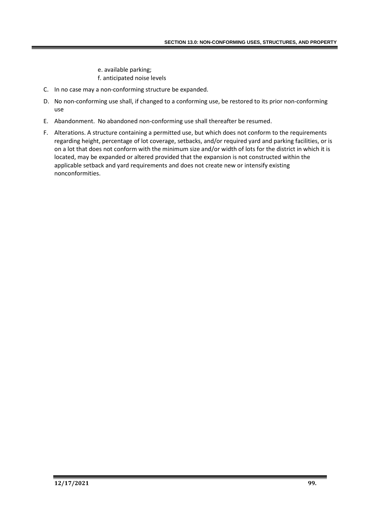e. available parking; f. anticipated noise levels

- C. In no case may a non-conforming structure be expanded.
- D. No non-conforming use shall, if changed to a conforming use, be restored to its prior non-conforming use
- E. Abandonment. No abandoned non-conforming use shall thereafter be resumed.
- F. Alterations. A structure containing a permitted use, but which does not conform to the requirements regarding height, percentage of lot coverage, setbacks, and/or required yard and parking facilities, or is on a lot that does not conform with the minimum size and/or width of lots for the district in which it is located, may be expanded or altered provided that the expansion is not constructed within the applicable setback and yard requirements and does not create new or intensify existing nonconformities.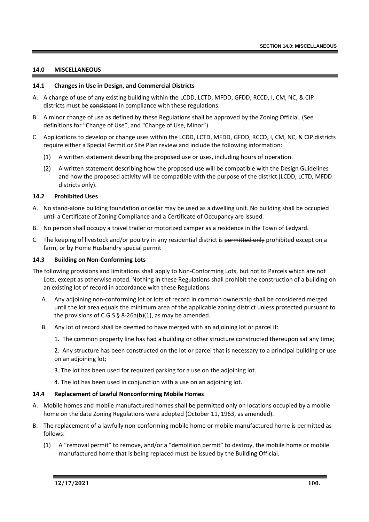## **14.0 MISCELLANEOUS**

## **14.1 Changes in Use in Design, and Commercial Districts**

- A. A change of use of any existing building within the LCDD, LCTD, MFDD, GFDD, RCCD, I, CM, NC, & CIP districts must be consistent in compliance with these regulations.
- B. A minor change of use as defined by these Regulations shall be approved by the Zoning Official. (See definitions for "Change of Use", and "Change of Use, Minor")
- C. Applications to develop or change uses within the LCDD, LCTD, MFDD, GFDD, RCCD, I, CM, NC, & CIP districts require either a Special Permit or Site Plan review and include the following information:
	- (1) A written statement describing the proposed use or uses, including hours of operation.
	- (2) A written statement describing how the proposed use will be compatible with the Design Guidelines and how the proposed activity will be compatible with the purpose of the district (LCDD, LCTD, MFDD districts only).

#### **14.2 Prohibited Uses**

- A. No stand-alone building foundation or cellar may be used as a dwelling unit. No building shall be occupied until a Certificate of Zoning Compliance and a Certificate of Occupancy are issued.
- B. No person shall occupy a travel trailer or motorized camper as a residence in the Town of Ledyard.
- C The keeping of livestock and/or poultry in any residential district is permitted only prohibited except on a farm, or by Home Husbandry special permit

#### **14.3 Building on Non-Conforming Lots**

- The following provisions and limitations shall apply to Non-Conforming Lots, but not to Parcels which are not Lots, except as otherwise noted. Nothing in these Regulations shall prohibit the construction of a building on an existing lot of record in accordance with these Regulations.
	- A. Any adjoining non-conforming lot or lots of record in common ownership shall be considered merged until the lot area equals the minimum area of the applicable zoning district unless protected pursuant to the provisions of C.G.S  $\S$  8-26a(b)(1), as may be amended.
	- B. Any lot of record shall be deemed to have merged with an adjoining lot or parcel if:
		- 1. The common property line has had a building or other structure constructed thereupon sat any time;

2. Any structure has been constructed on the lot or parcel that is necessary to a principal building or use on an adjoining lot;

- 3. The lot has been used for required parking for a use on the adjoining lot.
- 4. The lot has been used in conjunction with a use on an adjoining lot.

#### **14.4 Replacement of Lawful Nonconforming Mobile Homes**

- A. Mobile homes and mobile manufactured homes shall be permitted only on locations occupied by a mobile home on the date Zoning Regulations were adopted (October 11, 1963, as amended).
- B. The replacement of a lawfully non-conforming mobile home or mobile manufactured home is permitted as follows:
	- (1) A "removal permit" to remove, and/or a "demolition permit" to destroy, the mobile home or mobile manufactured home that is being replaced must be issued by the Building Official.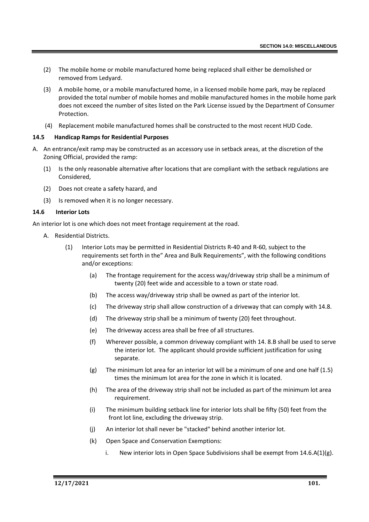- (2) The mobile home or mobile manufactured home being replaced shall either be demolished or removed from Ledyard.
- (3) A mobile home, or a mobile manufactured home, in a licensed mobile home park, may be replaced provided the total number of mobile homes and mobile manufactured homes in the mobile home park does not exceed the number of sites listed on the Park License issued by the Department of Consumer Protection.
- (4) Replacement mobile manufactured homes shall be constructed to the most recent HUD Code.

# **14.5 Handicap Ramps for Residential Purposes**

- A. An entrance/exit ramp may be constructed as an accessory use in setback areas, at the discretion of the Zoning Official, provided the ramp:
	- (1) Is the only reasonable alternative after locations that are compliant with the setback regulations are Considered,
	- (2) Does not create a safety hazard, and
	- (3) Is removed when it is no longer necessary.

# **14.6 Interior Lots**

An interior lot is one which does not meet frontage requirement at the road.

- A. Residential Districts.
	- (1) Interior Lots may be permitted in Residential Districts R-40 and R-60, subject to the requirements set forth in the" Area and Bulk Requirements", with the following conditions and/or exceptions:
		- (a) The frontage requirement for the access way/driveway strip shall be a minimum of twenty (20) feet wide and accessible to a town or state road.
		- (b) The access way/driveway strip shall be owned as part of the interior lot.
		- (c) The driveway strip shall allow construction of a driveway that can comply with 14.8.
		- (d) The driveway strip shall be a minimum of twenty (20) feet throughout.
		- (e) The driveway access area shall be free of all structures.
		- (f) Wherever possible, a common driveway compliant with 14. 8.B shall be used to serve the interior lot. The applicant should provide sufficient justification for using separate.
		- $(g)$  The minimum lot area for an interior lot will be a minimum of one and one half  $(1.5)$ times the minimum lot area for the zone in which it is located.
		- (h) The area of the driveway strip shall not be included as part of the minimum lot area requirement.
		- (i) The minimum building setback line for interior lots shall be fifty (50) feet from the front lot line, excluding the driveway strip.
		- (j) An interior lot shall never be "stacked" behind another interior lot.
		- (k) Open Space and Conservation Exemptions:
			- i. New interior lots in Open Space Subdivisions shall be exempt from  $14.6.A(1)(g)$ .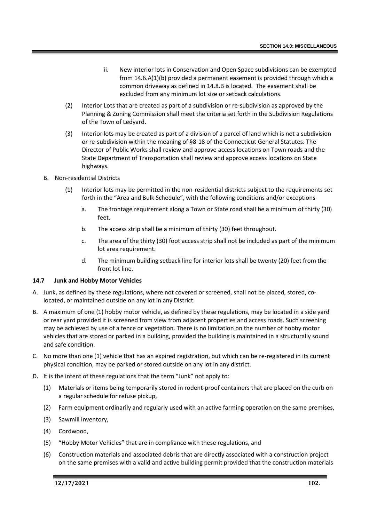- ii. New interior lots in Conservation and Open Space subdivisions can be exempted from 14.6.A(1)(b) provided a permanent easement is provided through which a common driveway as defined in 14.8.B is located. The easement shall be excluded from any minimum lot size or setback calculations.
- (2) Interior Lots that are created as part of a subdivision or re-subdivision as approved by the Planning & Zoning Commission shall meet the criteria set forth in the Subdivision Regulations of the Town of Ledyard.
- (3) Interior lots may be created as part of a division of a parcel of land which is not a subdivision or re-subdivision within the meaning of §8-18 of the Connecticut General Statutes. The Director of Public Works shall review and approve access locations on Town roads and the State Department of Transportation shall review and approve access locations on State highways.
- B. Non-residential Districts
	- (1) Interior lots may be permitted in the non-residential districts subject to the requirements set forth in the "Area and Bulk Schedule", with the following conditions and/or exceptions
		- a. The frontage requirement along a Town or State road shall be a minimum of thirty (30) feet.
		- b. The access strip shall be a minimum of thirty (30) feet throughout.
		- c. The area of the thirty (30) foot access strip shall not be included as part of the minimum lot area requirement.
		- d. The minimum building setback line for interior lots shall be twenty (20) feet from the front lot line.

## **14.7 Junk and Hobby Motor Vehicles**

- A. Junk, as defined by these regulations, where not covered or screened, shall not be placed, stored, colocated, or maintained outside on any lot in any District.
- B. A maximum of one (1) hobby motor vehicle, as defined by these regulations, may be located in a side yard or rear yard provided it is screened from view from adjacent properties and access roads. Such screening may be achieved by use of a fence or vegetation. There is no limitation on the number of hobby motor vehicles that are stored or parked in a building, provided the building is maintained in a structurally sound and safe condition.
- C. No more than one (1) vehicle that has an expired registration, but which can be re-registered in its current physical condition, may be parked or stored outside on any lot in any district.
- D**.** It is the intent of these regulations that the term "Junk" not apply to:
	- (1) Materials or items being temporarily stored in rodent-proof containers that are placed on the curb on a regular schedule for refuse pickup,
	- (2) Farm equipment ordinarily and regularly used with an active farming operation on the same premises,
	- (3) Sawmill inventory,
	- (4) Cordwood,
	- (5) "Hobby Motor Vehicles" that are in compliance with these regulations, and
	- (6) Construction materials and associated debris that are directly associated with a construction project on the same premises with a valid and active building permit provided that the construction materials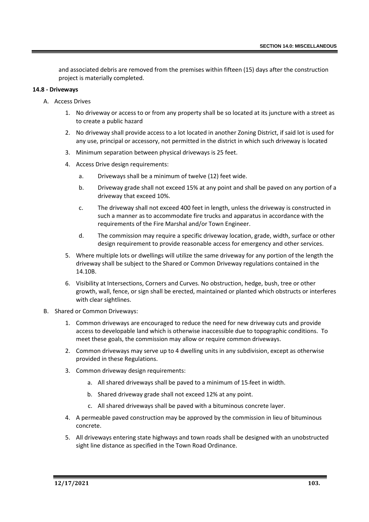and associated debris are removed from the premises within fifteen (15) days after the construction project is materially completed.

## **14.8 - Driveways**

- A. Access Drives
	- 1. No driveway or access to or from any property shall be so located at its juncture with a street as to create a public hazard
	- 2. No driveway shall provide access to a lot located in another Zoning District, if said lot is used for any use, principal or accessory, not permitted in the district in which such driveway is located
	- 3. Minimum separation between physical driveways is 25 feet.
	- 4. Access Drive design requirements:
		- a. Driveways shall be a minimum of twelve (12) feet wide.
		- b. Driveway grade shall not exceed 15% at any point and shall be paved on any portion of a driveway that exceed 10%.
		- c. The driveway shall not exceed 400 feet in length, unless the driveway is constructed in such a manner as to accommodate fire trucks and apparatus in accordance with the requirements of the Fire Marshal and/or Town Engineer.
		- d. The commission may require a specific driveway location, grade, width, surface or other design requirement to provide reasonable access for emergency and other services.
	- 5. Where multiple lots or dwellings will utilize the same driveway for any portion of the length the driveway shall be subject to the Shared or Common Driveway regulations contained in the 14.10B.
	- 6. Visibility at Intersections, Corners and Curves. No obstruction, hedge, bush, tree or other growth, wall, fence, or sign shall be erected, maintained or planted which obstructs or interferes with clear sightlines.
- B. Shared or Common Driveways:
	- 1. Common driveways are encouraged to reduce the need for new driveway cuts and provide access to developable land which is otherwise inaccessible due to topographic conditions. To meet these goals, the commission may allow or require common driveways.
	- 2. Common driveways may serve up to 4 dwelling units in any subdivision, except as otherwise provided in these Regulations.
	- 3. Common driveway design requirements:
		- a. All shared driveways shall be paved to a minimum of 15 feet in width.
		- b. Shared driveway grade shall not exceed 12% at any point.
		- c. All shared driveways shall be paved with a bituminous concrete layer.
	- 4. A permeable paved construction may be approved by the commission in lieu of bituminous concrete.
	- 5. All driveways entering state highways and town roads shall be designed with an unobstructed sight line distance as specified in the Town Road Ordinance.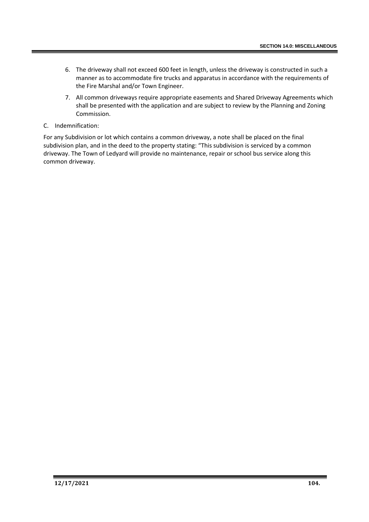- 6. The driveway shall not exceed 600 feet in length, unless the driveway is constructed in such a manner as to accommodate fire trucks and apparatus in accordance with the requirements of the Fire Marshal and/or Town Engineer.
- 7. All common driveways require appropriate easements and Shared Driveway Agreements which shall be presented with the application and are subject to review by the Planning and Zoning Commission.

# C. Indemnification:

For any Subdivision or lot which contains a common driveway, a note shall be placed on the final subdivision plan, and in the deed to the property stating: "This subdivision is serviced by a common driveway. The Town of Ledyard will provide no maintenance, repair or school bus service along this common driveway.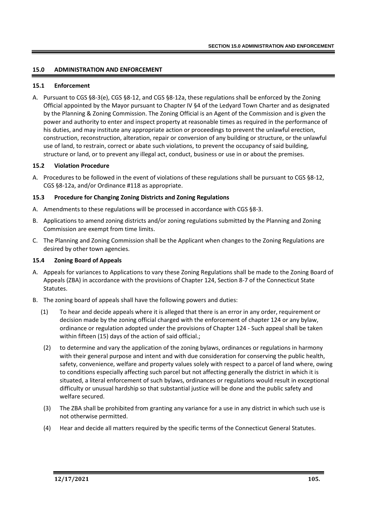## **15.0 ADMINISTRATION AND ENFORCEMENT**

#### **15.1 Enforcement**

A. Pursuant to CGS §8-3(e), CGS §8-12, and CGS §8-12a, these regulations shall be enforced by the Zoning Official appointed by the Mayor pursuant to Chapter IV §4 of the Ledyard Town Charter and as designated by the Planning & Zoning Commission. The Zoning Official is an Agent of the Commission and is given the power and authority to enter and inspect property at reasonable times as required in the performance of his duties, and may institute any appropriate action or proceedings to prevent the unlawful erection, construction, reconstruction, alteration, repair or conversion of any building or structure, or the unlawful use of land, to restrain, correct or abate such violations, to prevent the occupancy of said building, structure or land, or to prevent any illegal act, conduct, business or use in or about the premises.

## **15.2 Violation Procedure**

A. Procedures to be followed in the event of violations of these regulations shall be pursuant to CGS §8-12, CGS §8-12a, and/or Ordinance #118 as appropriate.

## **15.3 Procedure for Changing Zoning Districts and Zoning Regulations**

- A. Amendments to these regulations will be processed in accordance with CGS §8-3.
- B. Applications to amend zoning districts and/or zoning regulations submitted by the Planning and Zoning Commission are exempt from time limits.
- C. The Planning and Zoning Commission shall be the Applicant when changes to the Zoning Regulations are desired by other town agencies.

### **15.4 Zoning Board of Appeals**

- A. Appeals for variances to Applications to vary these Zoning Regulations shall be made to the Zoning Board of Appeals (ZBA) in accordance with the provisions of Chapter 124, Section 8-7 of the Connecticut State Statutes.
- B. The zoning board of appeals shall have the following powers and duties:
	- (1) To hear and decide appeals where it is alleged that there is an error in any order, requirement or decision made by the zoning official charged with the enforcement of chapter 124 or any bylaw, ordinance or regulation adopted under the provisions of Chapter 124 - Such appeal shall be taken within fifteen (15) days of the action of said official.;
	- (2) to determine and vary the application of the zoning bylaws, ordinances or regulations in harmony with their general purpose and intent and with due consideration for conserving the public health, safety, convenience, welfare and property values solely with respect to a parcel of land where, owing to conditions especially affecting such parcel but not affecting generally the district in which it is situated, a literal enforcement of such bylaws, ordinances or regulations would result in exceptional difficulty or unusual hardship so that substantial justice will be done and the public safety and welfare secured.
	- (3) The ZBA shall be prohibited from granting any variance for a use in any district in which such use is not otherwise permitted.
	- (4) Hear and decide all matters required by the specific terms of the Connecticut General Statutes.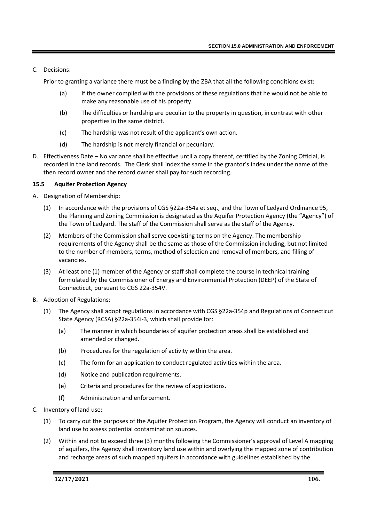# C. Decisions:

Prior to granting a variance there must be a finding by the ZBA that all the following conditions exist:

- (a) If the owner complied with the provisions of these regulations that he would not be able to make any reasonable use of his property.
- (b) The difficulties or hardship are peculiar to the property in question, in contrast with other properties in the same district.
- (c) The hardship was not result of the applicant's own action.
- (d) The hardship is not merely financial or pecuniary.
- D. Effectiveness Date No variance shall be effective until a copy thereof, certified by the Zoning Official, is recorded in the land records. The Clerk shall index the same in the grantor's index under the name of the then record owner and the record owner shall pay for such recording.

## **15.5 Aquifer Protection Agency**

- A. Designation of Membership:
	- (1) In accordance with the provisions of CGS §22a-354a et seq., and the Town of Ledyard Ordinance 95, the Planning and Zoning Commission is designated as the Aquifer Protection Agency (the "Agency") of the Town of Ledyard. The staff of the Commission shall serve as the staff of the Agency.
	- (2) Members of the Commission shall serve coexisting terms on the Agency. The membership requirements of the Agency shall be the same as those of the Commission including, but not limited to the number of members, terms, method of selection and removal of members, and filling of vacancies.
	- (3) At least one (1) member of the Agency or staff shall complete the course in technical training formulated by the Commissioner of Energy and Environmental Protection (DEEP) of the State of Connecticut, pursuant to CGS 22a-354V.
- B. Adoption of Regulations:
	- (1) The Agency shall adopt regulations in accordance with CGS §22a-354p and Regulations of Connecticut State Agency (RCSA) §22a-354i-3, which shall provide for:
		- (a) The manner in which boundaries of aquifer protection areas shall be established and amended or changed.
		- (b) Procedures for the regulation of activity within the area.
		- (c) The form for an application to conduct regulated activities within the area.
		- (d) Notice and publication requirements.
		- (e) Criteria and procedures for the review of applications.
		- (f) Administration and enforcement.
- C. Inventory of land use:
	- (1) To carry out the purposes of the Aquifer Protection Program, the Agency will conduct an inventory of land use to assess potential contamination sources.
	- (2) Within and not to exceed three (3) months following the Commissioner's approval of Level A mapping of aquifers, the Agency shall inventory land use within and overlying the mapped zone of contribution and recharge areas of such mapped aquifers in accordance with guidelines established by the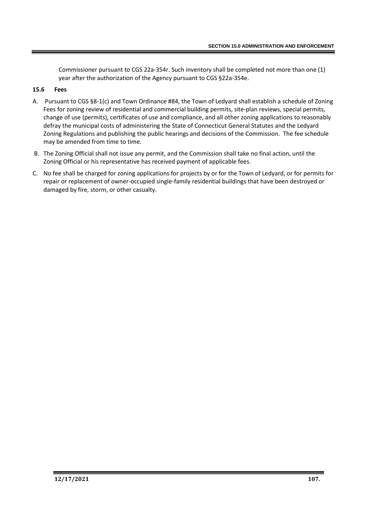Commissioner pursuant to CGS 22a-354r. Such inventory shall be completed not more than one (1) year after the authorization of the Agency pursuant to CGS §22a-354e.

### **15.6 Fees**

- A. Pursuant to CGS §8-1(c) and Town Ordinance #84, the Town of Ledyard shall establish a schedule of Zoning Fees for zoning review of residential and commercial building permits, site-plan reviews, special permits, change of use (permits), certificates of use and compliance, and all other zoning applications to reasonably defray the municipal costs of administering the State of Connecticut General Statutes and the Ledyard Zoning Regulations and publishing the public hearings and decisions of the Commission. The fee schedule may be amended from time to time.
- B. The Zoning Official shall not issue any permit, and the Commission shall take no final action, until the Zoning Official or his representative has received payment of applicable fees.
- C. No fee shall be charged for zoning applications for projects by or for the Town of Ledyard, or for permits for repair or replacement of owner-occupied single-family residential buildings that have been destroyed or damaged by fire, storm, or other casualty.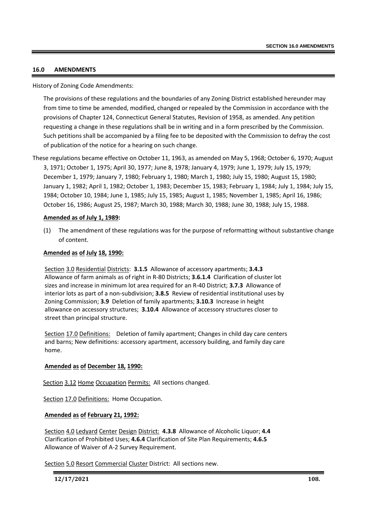### **16.0 AMENDMENTS**

History of Zoning Code Amendments:

The provisions of these regulations and the boundaries of any Zoning District established hereunder may from time to time be amended, modified, changed or repealed by the Commission in accordance with the provisions of Chapter 124, Connecticut General Statutes, Revision of 1958, as amended. Any petition requesting a change in these regulations shall be in writing and in a form prescribed by the Commission. Such petitions shall be accompanied by a filing fee to be deposited with the Commission to defray the cost of publication of the notice for a hearing on such change.

These regulations became effective on October 11, 1963, as amended on May 5, 1968; October 6, 1970; August 3, 1971; October 1, 1975; April 30, 1977; June 8, 1978; January 4, 1979; June 1, 1979; July 15, 1979; December 1, 1979; January 7, 1980; February 1, 1980; March 1, 1980; July 15, 1980; August 15, 1980; January 1, 1982; April 1, 1982; October 1, 1983; December 15, 1983; February 1, 1984; July 1, 1984; July 15, 1984; October 10, 1984; June 1, 1985; July 15, 1985; August 1, 1985; November 1, 1985; April 16, 1986; October 16, 1986; August 25, 1987; March 30, 1988; March 30, 1988; June 30, 1988; July 15, 1988.

## **Amended as of July 1, 1989:**

(1) The amendment of these regulations was for the purpose of reformatting without substantive change of content.

## **Amended as of July 18, 1990:**

Section 3.0 Residential Districts: **3.1.5** Allowance of accessory apartments; **3.4.3** Allowance of farm animals as of right in R-80 Districts; **3.6.1.4** Clarification of cluster lot sizes and increase in minimum lot area required for an R-40 District; **3.7.3** Allowance of interior lots as part of a non-subdivision; **3.8.5** Review of residential institutional uses by Zoning Commission; **3.9** Deletion of family apartments; **3.10.3** Increase in height allowance on accessory structures; **3.10.4** Allowance of accessory structures closer to street than principal structure.

Section 17.0 Definitions: Deletion of family apartment; Changes in child day care centers and barns; New definitions: accessory apartment, accessory building, and family day care home.

#### **Amended as of December 18, 1990:**

Section 3.12 Home Occupation Permits: All sections changed.

Section 17.0 Definitions: Home Occupation.

# **Amended as of February 21, 1992:**

Section 4.0 Ledyard Center Design District: **4.3.8** Allowance of Alcoholic Liquor; **4.4** Clarification of Prohibited Uses; **4.6.4** Clarification of Site Plan Requirements; **4.6.5** Allowance of Waiver of A-2 Survey Requirement.

Section 5.0 Resort Commercial Cluster District: All sections new.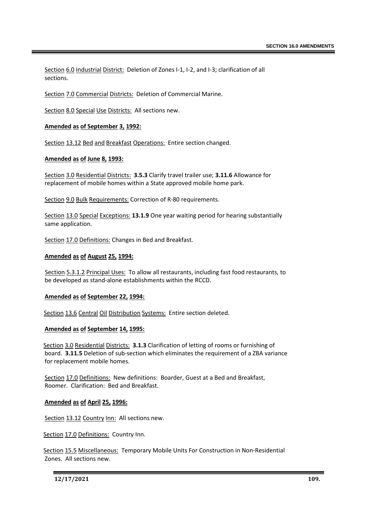Section 6.0 Industrial District: Deletion of Zones I-1, I-2, and I-3; clarification of all sections.

Section 7.0 Commercial Districts: Deletion of Commercial Marine.

Section 8.0 Special Use Districts: All sections new.

## **Amended as of September 3, 1992:**

Section 13.12 Bed and Breakfast Operations: Entire section changed.

#### **Amended as of June 8, 1993:**

Section 3.0 Residential Districts: **3.5.3** Clarify travel trailer use; **3.11.6** Allowance for replacement of mobile homes within a State approved mobile home park.

Section 9.0 Bulk Requirements: Correction of R-80 requirements.

Section 13.0 Special Exceptions: **13.1.9** One year waiting period for hearing substantially same application.

Section 17.0 Definitions: Changes in Bed and Breakfast.

#### **Amended as of August 25, 1994:**

Section 5.3.1.2 Principal Uses: To allow all restaurants, including fast food restaurants, to be developed as stand-alone establishments within the RCCD.

#### **Amended as of September 22, 1994:**

Section 13.6 Central Oil Distribution Systems: Entire section deleted.

#### **Amended as of September 14, 1995:**

Section 3.0 Residential Districts: **3.1.3** Clarification of letting of rooms or furnishing of board. **3.11.5** Deletion of sub-section which eliminates the requirement of a ZBA variance for replacement mobile homes.

Section 17.0 Definitions: New definitions: Boarder, Guest at a Bed and Breakfast, Roomer. Clarification: Bed and Breakfast.

**Amended as of April 25, 1996:**

Section 13.12 Country Inn: All sections new.

Section 17.0 Definitions: Country Inn.

Section 15.5 Miscellaneous: Temporary Mobile Units For Construction in Non-Residential Zones. All sections new.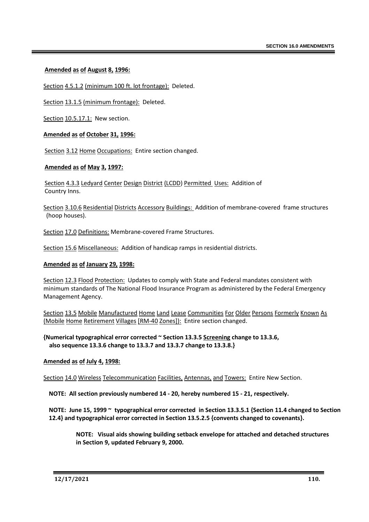## **Amended as of August 8, 1996:**

Section 4.5.1.2 (minimum 100 ft. lot frontage): Deleted.

Section 13.1.5 (minimum frontage): Deleted.

Section 10.5.17.1: New section.

## **Amended as of October 31, 1996:**

Section 3.12 Home Occupations: Entire section changed.

## **Amended as of May 3, 1997:**

Section 4.3.3 Ledyard Center Design District (LCDD) Permitted Uses: Addition of Country Inns.

Section 3.10.6 Residential Districts Accessory Buildings: Addition of membrane-covered frame structures (hoop houses).

Section 17.0 Definitions: Membrane-covered Frame Structures.

Section 15.6 Miscellaneous: Addition of handicap ramps in residential districts.

#### **Amended as of January 29, 1998:**

Section 12.3 Flood Protection: Updates to comply with State and Federal mandates consistent with minimum standards of The National Flood Insurance Program as administered by the Federal Emergency Management Agency.

Section 13.5 Mobile Manufactured Home Land Lease Communities For Older Persons Formerly Known As (Mobile Home Retirement Villages [RM-40 Zones]): Entire section changed.

**{Numerical typographical error corrected ~ Section 13.3.5 Screening change to 13.3.6, also sequence 13.3.6 change to 13.3.7 and 13.3.7 change to 13.3.8.}**

#### **Amended as of July 4, 1998:**

Section 14.0 Wireless Telecommunication Facilities, Antennas, and Towers: Entire New Section.

**NOTE: All section previously numbered 14 - 20, hereby numbered 15 - 21, respectively.**

**NOTE: June 15, 1999 ~ typographical error corrected in Section 13.3.5.1 {Section 11.4 changed to Section 12.4} and typographical error corrected in Section 13.5.2.5 {convents changed to covenants}.**

**NOTE: Visual aids showing building setback envelope for attached and detached structures in Section 9, updated February 9, 2000.**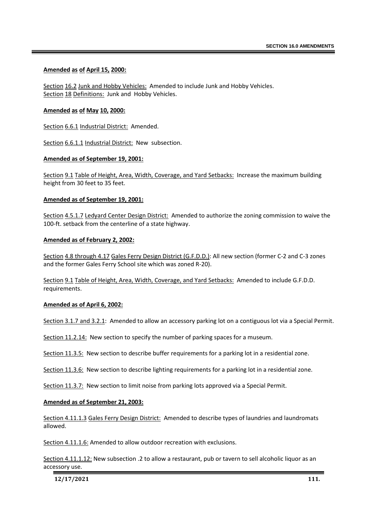### **Amended as of April 15, 2000:**

Section 16.2 Junk and Hobby Vehicles: Amended to include Junk and Hobby Vehicles. Section 18 Definitions: Junk and Hobby Vehicles.

### **Amended as of May 10, 2000:**

Section 6.6.1 Industrial District: Amended.

Section 6.6.1.1 Industrial District: New subsection.

#### **Amended as of September 19, 2001:**

Section 9.1 Table of Height, Area, Width, Coverage, and Yard Setbacks: Increase the maximum building height from 30 feet to 35 feet.

#### **Amended as of September 19, 2001:**

Section 4.5.1.7 Ledyard Center Design District: Amended to authorize the zoning commission to waive the 100-ft. setback from the centerline of a state highway.

#### **Amended as of February 2, 2002:**

Section 4.8 through 4.17 Gales Ferry Design District (G.F.D.D.): All new section (former C-2 and C-3 zones and the former Gales Ferry School site which was zoned R-20).

Section 9.1 Table of Height, Area, Width, Coverage, and Yard Setbacks: Amended to include G.F.D.D. requirements.

#### **Amended as of April 6, 2002:**

Section 3.1.7 and 3.2.1: Amended to allow an accessory parking lot on a contiguous lot via a Special Permit.

Section 11.2.14: New section to specify the number of parking spaces for a museum.

Section 11.3.5: New section to describe buffer requirements for a parking lot in a residential zone.

Section 11.3.6: New section to describe lighting requirements for a parking lot in a residential zone.

Section 11.3.7: New section to limit noise from parking lots approved via a Special Permit.

#### **Amended as of September 21, 2003:**

Section 4.11.1.3 Gales Ferry Design District: Amended to describe types of laundries and laundromats allowed.

Section 4.11.1.6: Amended to allow outdoor recreation with exclusions.

Section 4.11.1.12: New subsection .2 to allow a restaurant, pub or tavern to sell alcoholic liquor as an accessory use.

**12/17/2021 111.**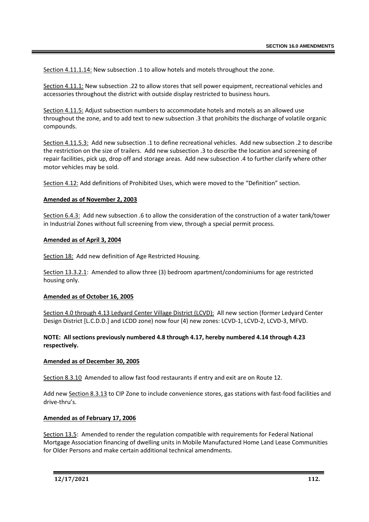Section 4.11.1.14: New subsection .1 to allow hotels and motels throughout the zone.

Section 4.11.1: New subsection .22 to allow stores that sell power equipment, recreational vehicles and accessories throughout the district with outside display restricted to business hours.

Section 4.11.5: Adjust subsection numbers to accommodate hotels and motels as an allowed use throughout the zone, and to add text to new subsection .3 that prohibits the discharge of volatile organic compounds.

Section 4.11.5.3: Add new subsection .1 to define recreational vehicles. Add new subsection .2 to describe the restriction on the size of trailers. Add new subsection .3 to describe the location and screening of repair facilities, pick up, drop off and storage areas. Add new subsection .4 to further clarify where other motor vehicles may be sold.

Section 4.12: Add definitions of Prohibited Uses, which were moved to the "Definition" section.

## **Amended as of November 2, 2003**

Section 6.4.3: Add new subsection .6 to allow the consideration of the construction of a water tank/tower in Industrial Zones without full screening from view, through a special permit process.

#### **Amended as of April 3, 2004**

Section 18: Add new definition of Age Restricted Housing.

Section 13.3.2.1: Amended to allow three (3) bedroom apartment/condominiums for age restricted housing only.

#### **Amended as of October 16, 2005**

Section 4.0 through 4.13 Ledyard Center Village District (LCVD): All new section (former Ledyard Center Design District [L.C.D.D.] and LCDD zone) now four (4) new zones: LCVD-1, LCVD-2, LCVD-3, MFVD.

## **NOTE: All sections previously numbered 4.8 through 4.17, hereby numbered 4.14 through 4.23 respectively.**

#### **Amended as of December 30, 2005**

Section 8.3.10 Amended to allow fast food restaurants if entry and exit are on Route 12.

Add new Section 8.3.13 to CIP Zone to include convenience stores, gas stations with fast-food facilities and drive-thru's.

#### **Amended as of February 17, 2006**

Section 13.5: Amended to render the regulation compatible with requirements for Federal National Mortgage Association financing of dwelling units in Mobile Manufactured Home Land Lease Communities for Older Persons and make certain additional technical amendments.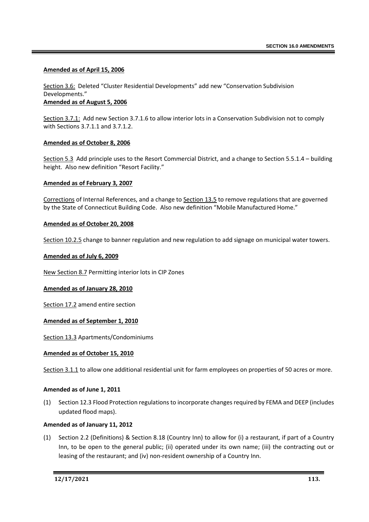### **Amended as of April 15, 2006**

Section 3.6: Deleted "Cluster Residential Developments" add new "Conservation Subdivision Developments."

**Amended as of August 5, 2006**

Section 3.7.1: Add new Section 3.7.1.6 to allow interior lots in a Conservation Subdivision not to comply with Sections 3.7.1.1 and 3.7.1.2.

## **Amended as of October 8, 2006**

Section 5.3 Add principle uses to the Resort Commercial District, and a change to Section 5.5.1.4 – building height. Also new definition "Resort Facility."

## **Amended as of February 3, 2007**

Corrections of Internal References, and a change to Section 13.5 to remove regulations that are governed by the State of Connecticut Building Code. Also new definition "Mobile Manufactured Home."

#### **Amended as of October 20, 2008**

Section 10.2.5 change to banner regulation and new regulation to add signage on municipal water towers.

## **Amended as of July 6, 2009**

New Section 8.7 Permitting interior lots in CIP Zones

#### **Amended as of January 28, 2010**

Section 17.2 amend entire section

#### **Amended as of September 1, 2010**

Section 13.3 Apartments/Condominiums

#### **Amended as of October 15, 2010**

Section 3.1.1 to allow one additional residential unit for farm employees on properties of 50 acres or more.

#### **Amended as of June 1, 2011**

(1) Section 12.3 Flood Protection regulations to incorporate changes required by FEMA and DEEP (includes updated flood maps).

#### **Amended as of January 11, 2012**

(1) Section 2.2 (Definitions) & Section 8.18 (Country Inn) to allow for (i) a restaurant, if part of a Country Inn, to be open to the general public; (ii) operated under its own name; (iii) the contracting out or leasing of the restaurant; and (iv) non-resident ownership of a Country Inn.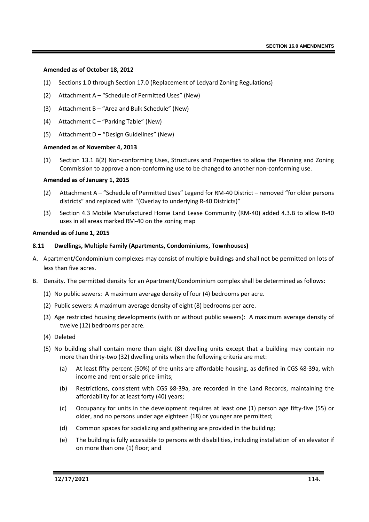#### **Amended as of October 18, 2012**

- (1) Sections 1.0 through Section 17.0 (Replacement of Ledyard Zoning Regulations)
- (2) Attachment A "Schedule of Permitted Uses" (New)
- (3) Attachment B "Area and Bulk Schedule" (New)
- (4) Attachment C "Parking Table" (New)
- (5) Attachment D "Design Guidelines" (New)

#### **Amended as of November 4, 2013**

(1) Section 13.1 B(2) Non-conforming Uses, Structures and Properties to allow the Planning and Zoning Commission to approve a non-conforming use to be changed to another non-conforming use.

#### **Amended as of January 1, 2015**

- (2) Attachment A "Schedule of Permitted Uses" Legend for RM-40 District removed "for older persons districts" and replaced with "(Overlay to underlying R-40 Districts)"
- (3) Section 4.3 Mobile Manufactured Home Land Lease Community (RM-40) added 4.3.B to allow R-40 uses in all areas marked RM-40 on the zoning map

#### **Amended as of June 1, 2015**

#### **8.11 Dwellings, Multiple Family (Apartments, Condominiums, Townhouses)**

- A. Apartment/Condominium complexes may consist of multiple buildings and shall not be permitted on lots of less than five acres.
- B. Density. The permitted density for an Apartment/Condominium complex shall be determined as follows:
	- (1) No public sewers: A maximum average density of four (4) bedrooms per acre.
	- (2) Public sewers: A maximum average density of eight (8) bedrooms per acre.
	- (3) Age restricted housing developments (with or without public sewers): A maximum average density of twelve (12) bedrooms per acre.
	- (4) Deleted
	- (5) No building shall contain more than eight (8) dwelling units except that a building may contain no more than thirty-two (32) dwelling units when the following criteria are met:
		- (a) At least fifty percent (50%) of the units are affordable housing, as defined in CGS §8-39a, with income and rent or sale price limits;
		- (b) Restrictions, consistent with CGS §8-39a, are recorded in the Land Records, maintaining the affordability for at least forty (40) years;
		- (c) Occupancy for units in the development requires at least one (1) person age fifty-five (55) or older, and no persons under age eighteen (18) or younger are permitted;
		- (d) Common spaces for socializing and gathering are provided in the building;
		- (e) The building is fully accessible to persons with disabilities, including installation of an elevator if on more than one (1) floor; and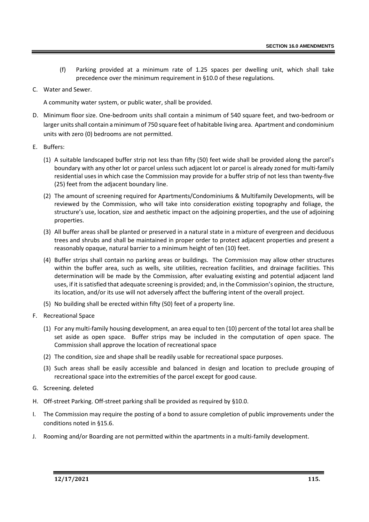- (f) Parking provided at a minimum rate of 1.25 spaces per dwelling unit, which shall take precedence over the minimum requirement in §10.0 of these regulations.
- C. Water and Sewer.

A community water system, or public water, shall be provided.

- D. Minimum floor size. One-bedroom units shall contain a minimum of 540 square feet, and two-bedroom or larger units shall contain a minimum of 750 square feet of habitable living area. Apartment and condominium units with zero (0) bedrooms are not permitted.
- E. Buffers:
	- (1) A suitable landscaped buffer strip not less than fifty (50) feet wide shall be provided along the parcel's boundary with any other lot or parcel unless such adjacent lot or parcel is already zoned for multi-family residential uses in which case the Commission may provide for a buffer strip of not less than twenty-five (25) feet from the adjacent boundary line.
	- (2) The amount of screening required for Apartments/Condominiums & Multifamily Developments, will be reviewed by the Commission, who will take into consideration existing topography and foliage, the structure's use, location, size and aesthetic impact on the adjoining properties, and the use of adjoining properties.
	- (3) All buffer areas shall be planted or preserved in a natural state in a mixture of evergreen and deciduous trees and shrubs and shall be maintained in proper order to protect adjacent properties and present a reasonably opaque, natural barrier to a minimum height of ten (10) feet.
	- (4) Buffer strips shall contain no parking areas or buildings. The Commission may allow other structures within the buffer area, such as wells, site utilities, recreation facilities, and drainage facilities. This determination will be made by the Commission, after evaluating existing and potential adjacent land uses, if it is satisfied that adequate screening is provided; and, in the Commission's opinion, the structure, its location, and/or its use will not adversely affect the buffering intent of the overall project.
	- (5) No building shall be erected within fifty (50) feet of a property line.
- F. Recreational Space
	- (1) For any multi-family housing development, an area equal to ten (10) percent of the total lot area shall be set aside as open space. Buffer strips may be included in the computation of open space. The Commission shall approve the location of recreational space
	- (2) The condition, size and shape shall be readily usable for recreational space purposes.
	- (3) Such areas shall be easily accessible and balanced in design and location to preclude grouping of recreational space into the extremities of the parcel except for good cause.
- G. Screening. deleted
- H. Off-street Parking. Off-street parking shall be provided as required by §10.0.
- I. The Commission may require the posting of a bond to assure completion of public improvements under the conditions noted in §15.6.
- J. Rooming and/or Boarding are not permitted within the apartments in a multi-family development.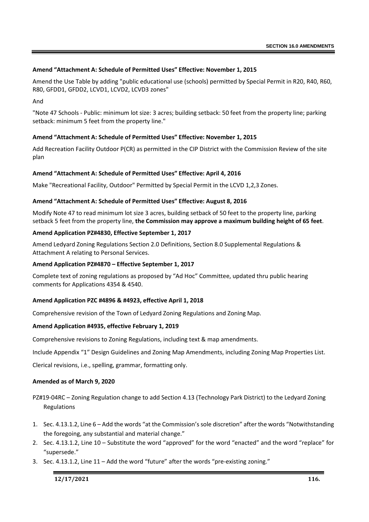# **Amend "Attachment A: Schedule of Permitted Uses" Effective: November 1, 2015**

Amend the Use Table by adding "public educational use (schools) permitted by Special Permit in R20, R40, R60, R80, GFDD1, GFDD2, LCVD1, LCVD2, LCVD3 zones"

And

"Note 47 Schools - Public: minimum lot size: 3 acres; building setback: 50 feet from the property line; parking setback: minimum 5 feet from the property line."

# **Amend "Attachment A: Schedule of Permitted Uses" Effective: November 1, 2015**

Add Recreation Facility Outdoor P(CR) as permitted in the CIP District with the Commission Review of the site plan

# **Amend "Attachment A: Schedule of Permitted Uses" Effective: April 4, 2016**

Make "Recreational Facility, Outdoor" Permitted by Special Permit in the LCVD 1,2,3 Zones.

## **Amend "Attachment A: Schedule of Permitted Uses" Effective: August 8, 2016**

Modify Note 47 to read minimum lot size 3 acres, building setback of 50 feet to the property line, parking setback 5 feet from the property line, **the Commission may approve a maximum building height of 65 feet**.

## **Amend Application PZ#4830, Effective September 1, 2017**

Amend Ledyard Zoning Regulations Section 2.0 Definitions, Section 8.0 Supplemental Regulations & Attachment A relating to Personal Services.

### **Amend Application PZ#4870 – Effective September 1, 2017**

Complete text of zoning regulations as proposed by "Ad Hoc" Committee, updated thru public hearing comments for Applications 4354 & 4540.

# **Amend Application PZC #4896 & #4923, effective April 1, 2018**

Comprehensive revision of the Town of Ledyard Zoning Regulations and Zoning Map.

# **Amend Application #4935, effective February 1, 2019**

Comprehensive revisions to Zoning Regulations, including text & map amendments.

Include Appendix "1" Design Guidelines and Zoning Map Amendments, including Zoning Map Properties List.

Clerical revisions, i.e., spelling, grammar, formatting only.

#### **Amended as of March 9, 2020**

PZ#19-04RC – Zoning Regulation change to add Section 4.13 (Technology Park District) to the Ledyard Zoning Regulations

- 1. Sec. 4.13.1.2, Line 6 Add the words "at the Commission's sole discretion" after the words "Notwithstanding the foregoing, any substantial and material change."
- 2. Sec. 4.13.1.2, Line 10 Substitute the word "approved" for the word "enacted" and the word "replace" for "supersede."
- 3. Sec. 4.13.1.2, Line 11 Add the word "future" after the words "pre-existing zoning."